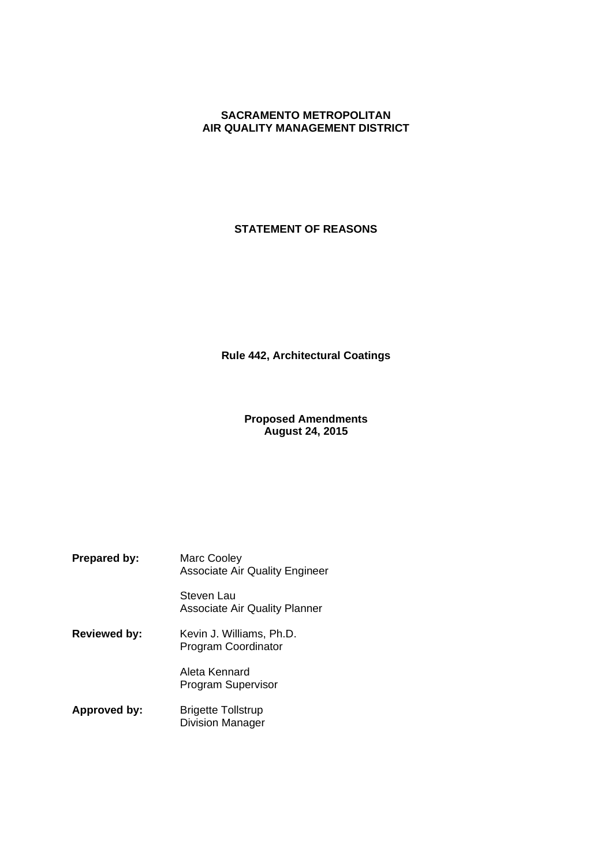# **SACRAMENTO METROPOLITAN AIR QUALITY MANAGEMENT DISTRICT**

# **STATEMENT OF REASONS**

**Rule 442, Architectural Coatings**

# **Proposed Amendments August 24, 2015**

**Prepared by:** Marc Cooley Associate Air Quality Engineer Steven Lau Associate Air Quality Planner **Reviewed by:** Kevin J. Williams, Ph.D. Program Coordinator Aleta Kennard Program Supervisor **Approved by:** Brigette Tollstrup Division Manager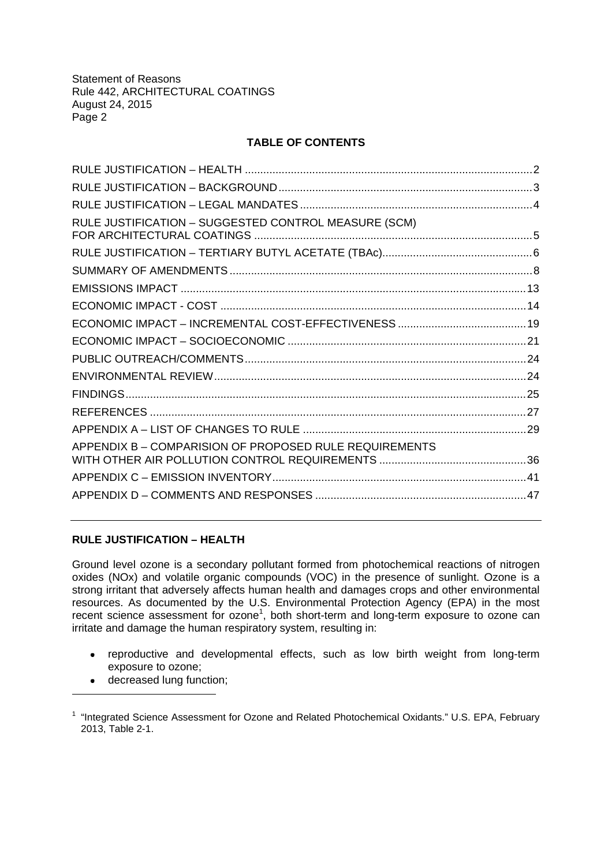# **TABLE OF CONTENTS**

| RULE JUSTIFICATION - SUGGESTED CONTROL MEASURE (SCM)   |  |
|--------------------------------------------------------|--|
|                                                        |  |
|                                                        |  |
|                                                        |  |
|                                                        |  |
|                                                        |  |
|                                                        |  |
|                                                        |  |
|                                                        |  |
|                                                        |  |
|                                                        |  |
|                                                        |  |
| APPENDIX B - COMPARISION OF PROPOSED RULE REQUIREMENTS |  |
|                                                        |  |
|                                                        |  |
|                                                        |  |
|                                                        |  |

# **RULE JUSTIFICATION – HEALTH**

Ground level ozone is a secondary pollutant formed from photochemical reactions of nitrogen oxides (NOx) and volatile organic compounds (VOC) in the presence of sunlight. Ozone is a strong irritant that adversely affects human health and damages crops and other environmental resources. As documented by the U.S. Environmental Protection Agency (EPA) in the most recent science assessment for ozone<sup>1</sup>, both short-term and long-term exposure to ozone can irritate and damage the human respiratory system, resulting in:

- reproductive and developmental effects, such as low birth weight from long-term exposure to ozone;
- decreased lung function;

<sup>&</sup>lt;sup>1</sup> "Integrated Science Assessment for Ozone and Related Photochemical Oxidants." U.S. EPA, February 2013, Table 2-1.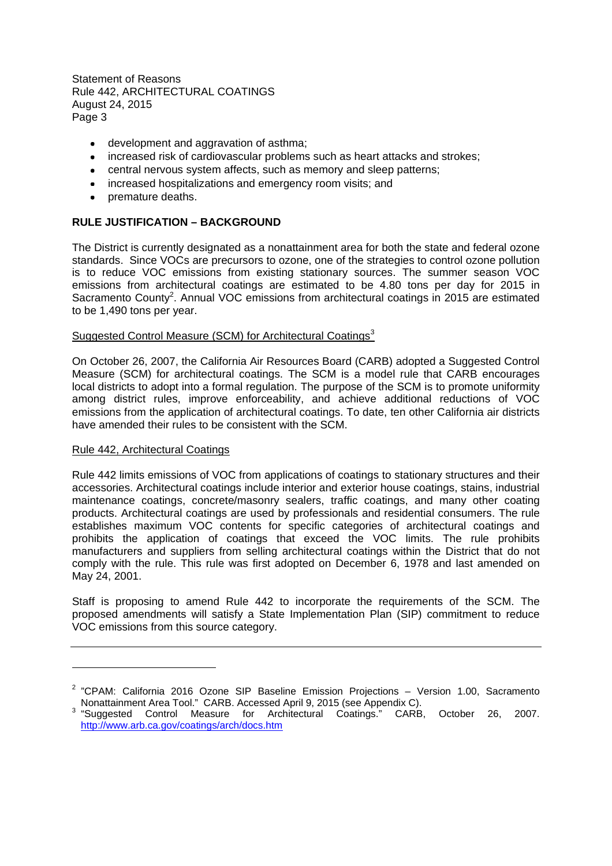- development and aggravation of asthma;
- increased risk of cardiovascular problems such as heart attacks and strokes;
- central nervous system affects, such as memory and sleep patterns;
- increased hospitalizations and emergency room visits; and
- premature deaths.

# **RULE JUSTIFICATION – BACKGROUND**

The District is currently designated as a nonattainment area for both the state and federal ozone standards. Since VOCs are precursors to ozone, one of the strategies to control ozone pollution is to reduce VOC emissions from existing stationary sources. The summer season VOC emissions from architectural coatings are estimated to be 4.80 tons per day for 2015 in Sacramento County<sup>2</sup>. Annual VOC emissions from architectural coatings in 2015 are estimated to be 1,490 tons per year.

# Suggested Control Measure (SCM) for Architectural Coatings<sup>3</sup>

On October 26, 2007, the California Air Resources Board (CARB) adopted a Suggested Control Measure (SCM) for architectural coatings. The SCM is a model rule that CARB encourages local districts to adopt into a formal regulation. The purpose of the SCM is to promote uniformity among district rules, improve enforceability, and achieve additional reductions of VOC emissions from the application of architectural coatings. To date, ten other California air districts have amended their rules to be consistent with the SCM.

# Rule 442, Architectural Coatings

Rule 442 limits emissions of VOC from applications of coatings to stationary structures and their accessories. Architectural coatings include interior and exterior house coatings, stains, industrial maintenance coatings, concrete/masonry sealers, traffic coatings, and many other coating products. Architectural coatings are used by professionals and residential consumers. The rule establishes maximum VOC contents for specific categories of architectural coatings and prohibits the application of coatings that exceed the VOC limits. The rule prohibits manufacturers and suppliers from selling architectural coatings within the District that do not comply with the rule. This rule was first adopted on December 6, 1978 and last amended on May 24, 2001.

Staff is proposing to amend Rule 442 to incorporate the requirements of the SCM. The proposed amendments will satisfy a State Implementation Plan (SIP) commitment to reduce VOC emissions from this source category.

<sup>&</sup>lt;sup>2</sup> "CPAM: California 2016 Ozone SIP Baseline Emission Projections - Version 1.00, Sacramento Nonattainment Area Tool." CARB. Accessed April 9, 2015 (see Appendix C).

<sup>&</sup>lt;sup>3</sup> "Suggested Control Measure for Architectural Coatings." CARB, October 26, 2007. http://www.arb.ca.gov/coatings/arch/docs.htm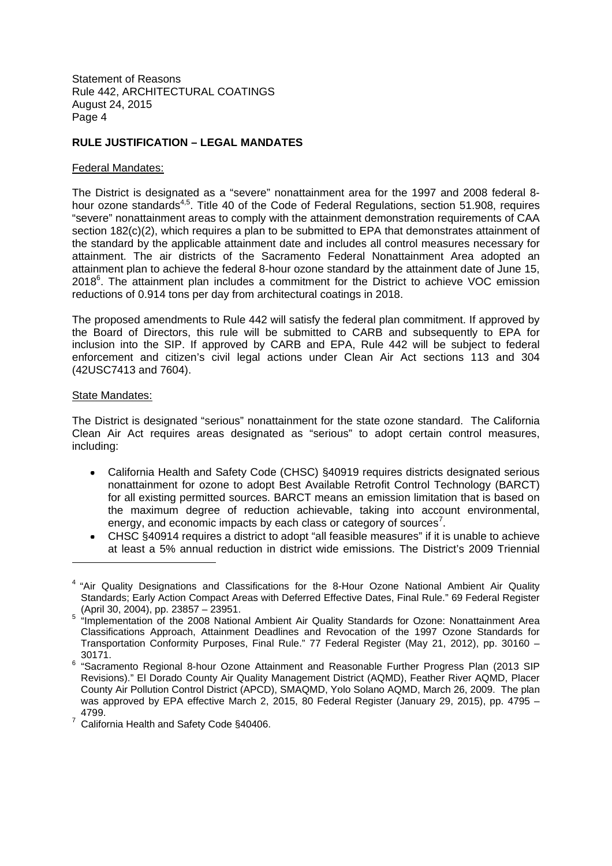# **RULE JUSTIFICATION – LEGAL MANDATES**

#### Federal Mandates:

The District is designated as a "severe" nonattainment area for the 1997 and 2008 federal 8 hour ozone standards<sup>4,5</sup>. Title 40 of the Code of Federal Regulations, section 51.908, requires "severe" nonattainment areas to comply with the attainment demonstration requirements of CAA section 182(c)(2), which requires a plan to be submitted to EPA that demonstrates attainment of the standard by the applicable attainment date and includes all control measures necessary for attainment. The air districts of the Sacramento Federal Nonattainment Area adopted an attainment plan to achieve the federal 8-hour ozone standard by the attainment date of June 15, 2018<sup>6</sup>. The attainment plan includes a commitment for the District to achieve VOC emission reductions of 0.914 tons per day from architectural coatings in 2018.

The proposed amendments to Rule 442 will satisfy the federal plan commitment. If approved by the Board of Directors, this rule will be submitted to CARB and subsequently to EPA for inclusion into the SIP. If approved by CARB and EPA, Rule 442 will be subject to federal enforcement and citizen's civil legal actions under Clean Air Act sections 113 and 304 (42USC7413 and 7604).

#### State Mandates:

The District is designated "serious" nonattainment for the state ozone standard. The California Clean Air Act requires areas designated as "serious" to adopt certain control measures, including:

- California Health and Safety Code (CHSC) §40919 requires districts designated serious nonattainment for ozone to adopt Best Available Retrofit Control Technology (BARCT) for all existing permitted sources. BARCT means an emission limitation that is based on the maximum degree of reduction achievable, taking into account environmental, energy, and economic impacts by each class or category of sources<sup>7</sup>.
- CHSC §40914 requires a district to adopt "all feasible measures" if it is unable to achieve at least a 5% annual reduction in district wide emissions. The District's 2009 Triennial

<sup>&</sup>lt;sup>4</sup> "Air Quality Designations and Classifications for the 8-Hour Ozone National Ambient Air Quality Standards; Early Action Compact Areas with Deferred Effective Dates, Final Rule." 69 Federal Register

<sup>(</sup>April 30, 2004), pp. 23857 – 23951. 5 "Implementation of the 2008 National Ambient Air Quality Standards for Ozone: Nonattainment Area Classifications Approach, Attainment Deadlines and Revocation of the 1997 Ozone Standards for Transportation Conformity Purposes, Final Rule." 77 Federal Register (May 21, 2012), pp. 30160 – 30171.

<sup>&</sup>lt;sup>6</sup> "Sacramento Regional 8-hour Ozone Attainment and Reasonable Further Progress Plan (2013 SIP Revisions)." El Dorado County Air Quality Management District (AQMD), Feather River AQMD, Placer County Air Pollution Control District (APCD), SMAQMD, Yolo Solano AQMD, March 26, 2009. The plan was approved by EPA effective March 2, 2015, 80 Federal Register (January 29, 2015), pp. 4795 – 4799.

<sup>7</sup> California Health and Safety Code §40406.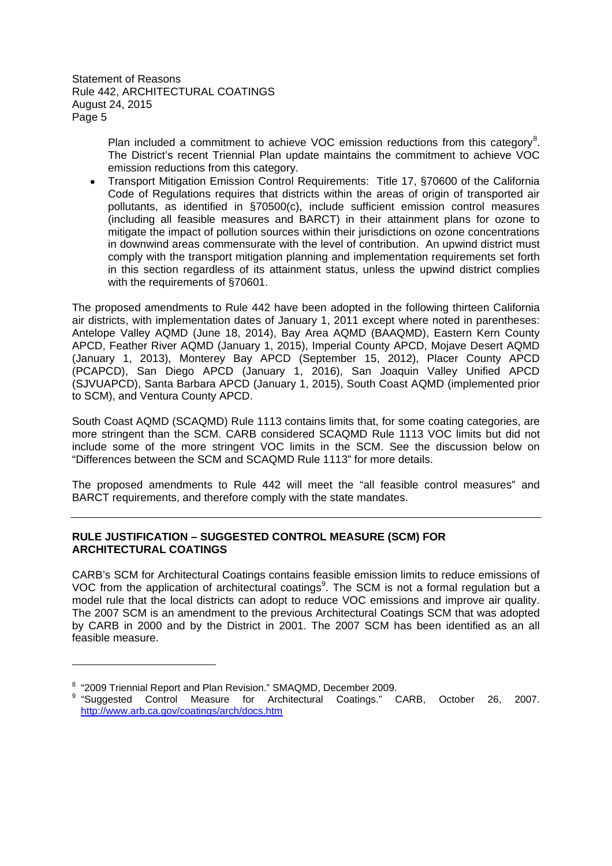> Plan included a commitment to achieve VOC emission reductions from this category<sup>8</sup>. The District's recent Triennial Plan update maintains the commitment to achieve VOC emission reductions from this category.

Transport Mitigation Emission Control Requirements: Title 17, §70600 of the California Code of Regulations requires that districts within the areas of origin of transported air pollutants, as identified in §70500(c), include sufficient emission control measures (including all feasible measures and BARCT) in their attainment plans for ozone to mitigate the impact of pollution sources within their jurisdictions on ozone concentrations in downwind areas commensurate with the level of contribution. An upwind district must comply with the transport mitigation planning and implementation requirements set forth in this section regardless of its attainment status, unless the upwind district complies with the requirements of §70601.

The proposed amendments to Rule 442 have been adopted in the following thirteen California air districts, with implementation dates of January 1, 2011 except where noted in parentheses: Antelope Valley AQMD (June 18, 2014), Bay Area AQMD (BAAQMD), Eastern Kern County APCD, Feather River AQMD (January 1, 2015), Imperial County APCD, Mojave Desert AQMD (January 1, 2013), Monterey Bay APCD (September 15, 2012), Placer County APCD (PCAPCD), San Diego APCD (January 1, 2016), San Joaquin Valley Unified APCD (SJVUAPCD), Santa Barbara APCD (January 1, 2015), South Coast AQMD (implemented prior to SCM), and Ventura County APCD.

South Coast AQMD (SCAQMD) Rule 1113 contains limits that, for some coating categories, are more stringent than the SCM. CARB considered SCAQMD Rule 1113 VOC limits but did not include some of the more stringent VOC limits in the SCM. See the discussion below on "Differences between the SCM and SCAQMD Rule 1113" for more details.

The proposed amendments to Rule 442 will meet the "all feasible control measures" and BARCT requirements, and therefore comply with the state mandates.

# **RULE JUSTIFICATION – SUGGESTED CONTROL MEASURE (SCM) FOR ARCHITECTURAL COATINGS**

CARB's SCM for Architectural Coatings contains feasible emission limits to reduce emissions of VOC from the application of architectural coatings<sup>9</sup>. The SCM is not a formal regulation but a model rule that the local districts can adopt to reduce VOC emissions and improve air quality. The 2007 SCM is an amendment to the previous Architectural Coatings SCM that was adopted by CARB in 2000 and by the District in 2001. The 2007 SCM has been identified as an all feasible measure.

<sup>&</sup>lt;sup>8</sup> "2009 Triennial Report and Plan Revision." SMAQMD, December 2009.

<sup>&</sup>lt;sup>9</sup> "Suggested Control Measure for Architectural Coatings." CARB, October 26, 2007. http://www.arb.ca.gov/coatings/arch/docs.htm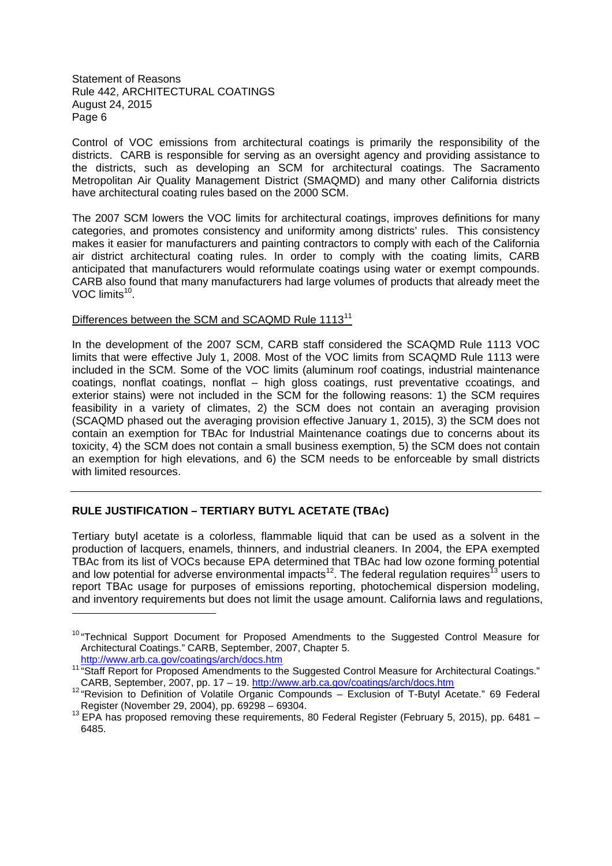Control of VOC emissions from architectural coatings is primarily the responsibility of the districts. CARB is responsible for serving as an oversight agency and providing assistance to the districts, such as developing an SCM for architectural coatings. The Sacramento Metropolitan Air Quality Management District (SMAQMD) and many other California districts have architectural coating rules based on the 2000 SCM.

The 2007 SCM lowers the VOC limits for architectural coatings, improves definitions for many categories, and promotes consistency and uniformity among districts' rules. This consistency makes it easier for manufacturers and painting contractors to comply with each of the California air district architectural coating rules. In order to comply with the coating limits, CARB anticipated that manufacturers would reformulate coatings using water or exempt compounds. CARB also found that many manufacturers had large volumes of products that already meet the VOC limits<sup>10</sup>.

# Differences between the SCM and SCAQMD Rule 1113<sup>11</sup>

In the development of the 2007 SCM, CARB staff considered the SCAQMD Rule 1113 VOC limits that were effective July 1, 2008. Most of the VOC limits from SCAQMD Rule 1113 were included in the SCM. Some of the VOC limits (aluminum roof coatings, industrial maintenance coatings, nonflat coatings, nonflat – high gloss coatings, rust preventative ccoatings, and exterior stains) were not included in the SCM for the following reasons: 1) the SCM requires feasibility in a variety of climates, 2) the SCM does not contain an averaging provision (SCAQMD phased out the averaging provision effective January 1, 2015), 3) the SCM does not contain an exemption for TBAc for Industrial Maintenance coatings due to concerns about its toxicity, 4) the SCM does not contain a small business exemption, 5) the SCM does not contain an exemption for high elevations, and 6) the SCM needs to be enforceable by small districts with limited resources.

# **RULE JUSTIFICATION – TERTIARY BUTYL ACETATE (TBAc)**

Tertiary butyl acetate is a colorless, flammable liquid that can be used as a solvent in the production of lacquers, enamels, thinners, and industrial cleaners. In 2004, the EPA exempted TBAc from its list of VOCs because EPA determined that TBAc had low ozone forming potential and low potential for adverse environmental impacts<sup>12</sup>. The federal regulation requires<sup>13</sup> users to report TBAc usage for purposes of emissions reporting, photochemical dispersion modeling, and inventory requirements but does not limit the usage amount. California laws and regulations,

<sup>&</sup>lt;sup>10</sup> "Technical Support Document for Proposed Amendments to the Suggested Control Measure for Architectural Coatings." CARB, September, 2007, Chapter 5. http://www.arb.ca.gov/coatings/arch/docs.htm

<sup>11 &</sup>quot;Staff Report for Proposed Amendments to the Suggested Control Measure for Architectural Coatings." CARB, September, 2007, pp. 17 – 19. http://www.arb.ca.gov/coatings/arch/docs.htm

<sup>12</sup> "Revision to Definition of Volatile Organic Compounds – Exclusion of T-Butyl Acetate." 69 Federal Register (November 29, 2004), pp. 69298 – 69304.

<sup>13</sup> EPA has proposed removing these requirements, 80 Federal Register (February 5, 2015), pp. 6481 – 6485.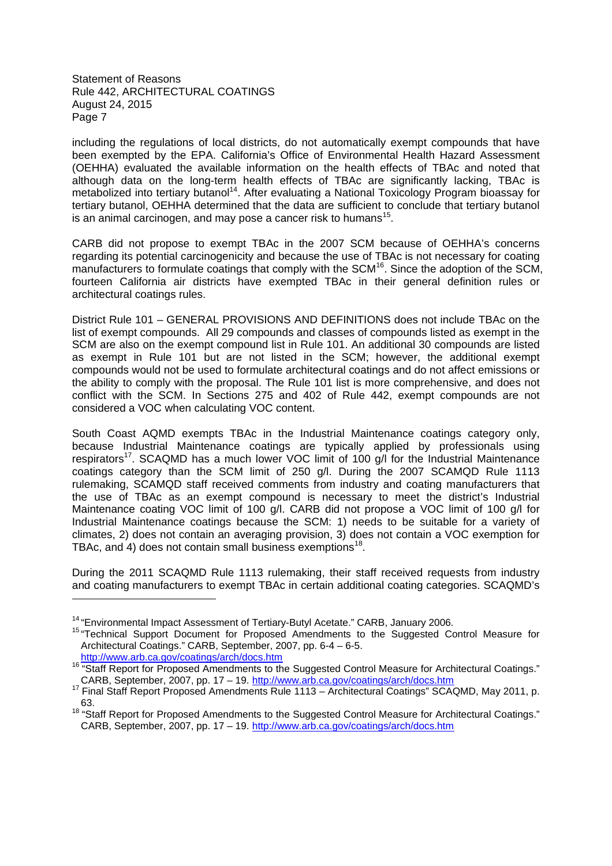including the regulations of local districts, do not automatically exempt compounds that have been exempted by the EPA. California's Office of Environmental Health Hazard Assessment (OEHHA) evaluated the available information on the health effects of TBAc and noted that although data on the long-term health effects of TBAc are significantly lacking, TBAc is metabolized into tertiary butanol<sup>14</sup>. After evaluating a National Toxicology Program bioassay for tertiary butanol, OEHHA determined that the data are sufficient to conclude that tertiary butanol is an animal carcinogen, and may pose a cancer risk to humans<sup>15</sup>.

CARB did not propose to exempt TBAc in the 2007 SCM because of OEHHA's concerns regarding its potential carcinogenicity and because the use of TBAc is not necessary for coating manufacturers to formulate coatings that comply with the SCM<sup>16</sup>. Since the adoption of the SCM, fourteen California air districts have exempted TBAc in their general definition rules or architectural coatings rules.

District Rule 101 – GENERAL PROVISIONS AND DEFINITIONS does not include TBAc on the list of exempt compounds. All 29 compounds and classes of compounds listed as exempt in the SCM are also on the exempt compound list in Rule 101. An additional 30 compounds are listed as exempt in Rule 101 but are not listed in the SCM; however, the additional exempt compounds would not be used to formulate architectural coatings and do not affect emissions or the ability to comply with the proposal. The Rule 101 list is more comprehensive, and does not conflict with the SCM. In Sections 275 and 402 of Rule 442, exempt compounds are not considered a VOC when calculating VOC content.

South Coast AQMD exempts TBAc in the Industrial Maintenance coatings category only, because Industrial Maintenance coatings are typically applied by professionals using respirators<sup>17</sup>. SCAQMD has a much lower VOC limit of 100 g/l for the Industrial Maintenance coatings category than the SCM limit of 250 g/l. During the 2007 SCAMQD Rule 1113 rulemaking, SCAMQD staff received comments from industry and coating manufacturers that the use of TBAc as an exempt compound is necessary to meet the district's Industrial Maintenance coating VOC limit of 100 g/l. CARB did not propose a VOC limit of 100 g/l for Industrial Maintenance coatings because the SCM: 1) needs to be suitable for a variety of climates, 2) does not contain an averaging provision, 3) does not contain a VOC exemption for TBAc, and 4) does not contain small business exemptions<sup>18</sup>.

During the 2011 SCAQMD Rule 1113 rulemaking, their staff received requests from industry and coating manufacturers to exempt TBAc in certain additional coating categories. SCAQMD's

<sup>&</sup>lt;sup>14</sup> "Environmental Impact Assessment of Tertiary-Butyl Acetate." CARB, January 2006.

<sup>&</sup>lt;sup>15</sup> "Technical Support Document for Proposed Amendments to the Suggested Control Measure for Architectural Coatings." CARB, September, 2007, pp. 6-4 – 6-5.

http://www.arb.ca.gov/coatings/arch/docs.htm

<sup>16 &</sup>quot;Staff Report for Proposed Amendments to the Suggested Control Measure for Architectural Coatings." CARB, September, 2007, pp. 17 – 19. http://www.arb.ca.gov/coatings/arch/docs.htm

<sup>17</sup> Final Staff Report Proposed Amendments Rule 1113 – Architectural Coatings" SCAQMD, May 2011, p. 63.

<sup>&</sup>lt;sup>18</sup> "Staff Report for Proposed Amendments to the Suggested Control Measure for Architectural Coatings." CARB, September, 2007, pp. 17 – 19. http://www.arb.ca.gov/coatings/arch/docs.htm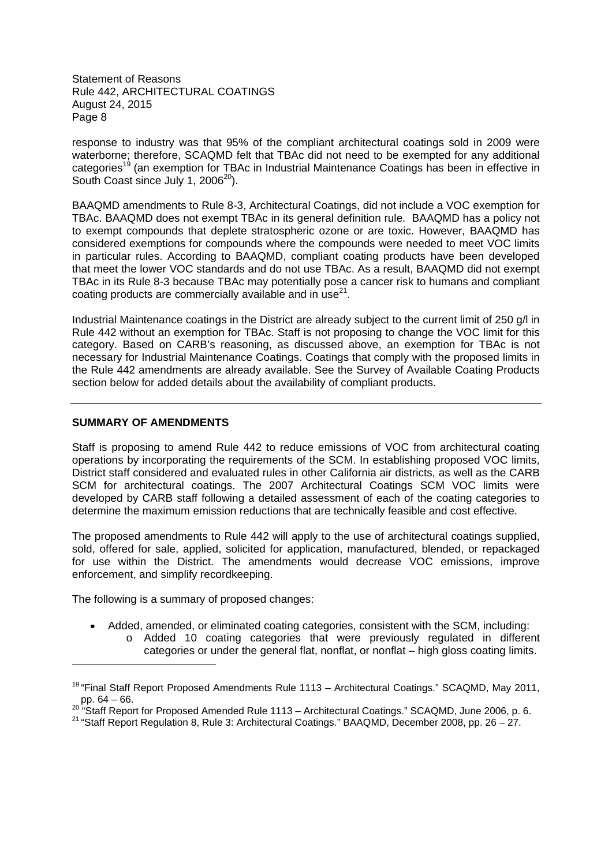response to industry was that 95% of the compliant architectural coatings sold in 2009 were waterborne; therefore, SCAQMD felt that TBAc did not need to be exempted for any additional categories<sup>19</sup> (an exemption for TBAc in Industrial Maintenance Coatings has been in effective in South Coast since July 1,  $2006^{20}$ ).

BAAQMD amendments to Rule 8-3, Architectural Coatings, did not include a VOC exemption for TBAc. BAAQMD does not exempt TBAc in its general definition rule. BAAQMD has a policy not to exempt compounds that deplete stratospheric ozone or are toxic. However, BAAQMD has considered exemptions for compounds where the compounds were needed to meet VOC limits in particular rules. According to BAAQMD, compliant coating products have been developed that meet the lower VOC standards and do not use TBAc. As a result, BAAQMD did not exempt TBAc in its Rule 8-3 because TBAc may potentially pose a cancer risk to humans and compliant coating products are commercially available and in use<sup>21</sup>.

Industrial Maintenance coatings in the District are already subject to the current limit of 250 g/l in Rule 442 without an exemption for TBAc. Staff is not proposing to change the VOC limit for this category. Based on CARB's reasoning, as discussed above, an exemption for TBAc is not necessary for Industrial Maintenance Coatings. Coatings that comply with the proposed limits in the Rule 442 amendments are already available. See the Survey of Available Coating Products section below for added details about the availability of compliant products.

# **SUMMARY OF AMENDMENTS**

Staff is proposing to amend Rule 442 to reduce emissions of VOC from architectural coating operations by incorporating the requirements of the SCM. In establishing proposed VOC limits, District staff considered and evaluated rules in other California air districts, as well as the CARB SCM for architectural coatings. The 2007 Architectural Coatings SCM VOC limits were developed by CARB staff following a detailed assessment of each of the coating categories to determine the maximum emission reductions that are technically feasible and cost effective.

The proposed amendments to Rule 442 will apply to the use of architectural coatings supplied, sold, offered for sale, applied, solicited for application, manufactured, blended, or repackaged for use within the District. The amendments would decrease VOC emissions, improve enforcement, and simplify recordkeeping.

The following is a summary of proposed changes:

- Added, amended, or eliminated coating categories, consistent with the SCM, including:
	- o Added 10 coating categories that were previously regulated in different categories or under the general flat, nonflat, or nonflat – high gloss coating limits.

<sup>&</sup>lt;sup>19</sup> "Final Staff Report Proposed Amendments Rule 1113 - Architectural Coatings." SCAQMD, May 2011, pp. 64 – 66.

<sup>&</sup>lt;sup>20 '</sup>"Staff Report for Proposed Amended Rule 1113 – Architectural Coatings." SCAQMD, June 2006, p. 6.

<sup>21</sup> "Staff Report Regulation 8, Rule 3: Architectural Coatings." BAAQMD, December 2008, pp. 26 – 27.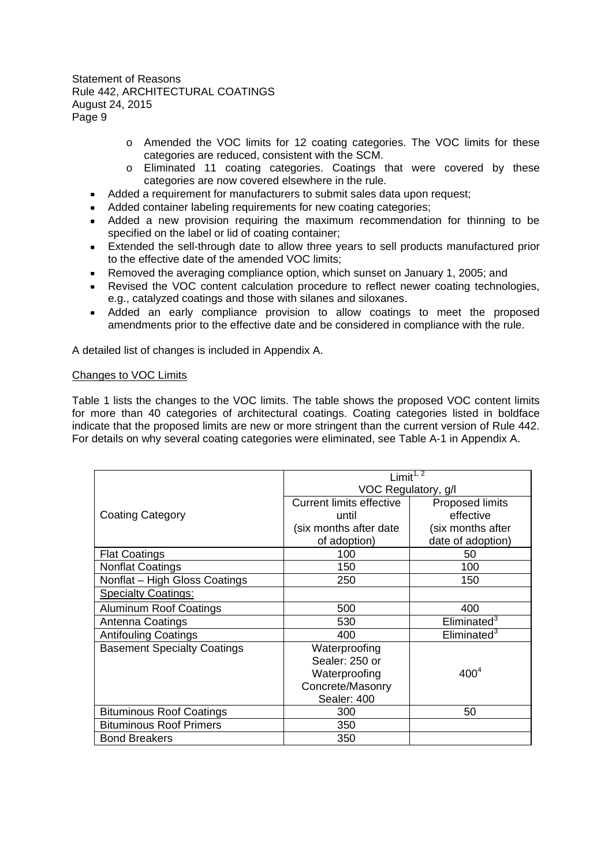- o Amended the VOC limits for 12 coating categories. The VOC limits for these categories are reduced, consistent with the SCM.
- o Eliminated 11 coating categories. Coatings that were covered by these categories are now covered elsewhere in the rule.
- Added a requirement for manufacturers to submit sales data upon request;
- Added container labeling requirements for new coating categories;
- Added a new provision requiring the maximum recommendation for thinning to be specified on the label or lid of coating container;
- Extended the sell-through date to allow three years to sell products manufactured prior to the effective date of the amended VOC limits;
- Removed the averaging compliance option, which sunset on January 1, 2005; and
- Revised the VOC content calculation procedure to reflect newer coating technologies, e.g., catalyzed coatings and those with silanes and siloxanes.
- Added an early compliance provision to allow coatings to meet the proposed amendments prior to the effective date and be considered in compliance with the rule.

A detailed list of changes is included in Appendix A.

#### Changes to VOC Limits

Table 1 lists the changes to the VOC limits. The table shows the proposed VOC content limits for more than 40 categories of architectural coatings. Coating categories listed in boldface indicate that the proposed limits are new or more stringent than the current version of Rule 442. For details on why several coating categories were eliminated, see Table A-1 in Appendix A.

|                                    | Limit $1,$ <sup>7</sup>         |                         |  |
|------------------------------------|---------------------------------|-------------------------|--|
|                                    | VOC Regulatory, g/l             |                         |  |
|                                    | <b>Current limits effective</b> | Proposed limits         |  |
| <b>Coating Category</b>            | until                           | effective               |  |
|                                    | (six months after date)         | (six months after       |  |
|                                    | of adoption)                    | date of adoption)       |  |
| <b>Flat Coatings</b>               | 100                             | 50                      |  |
| <b>Nonflat Coatings</b>            | 150                             | 100                     |  |
| Nonflat - High Gloss Coatings      | 250                             | 150                     |  |
| <b>Specialty Coatings:</b>         |                                 |                         |  |
| <b>Aluminum Roof Coatings</b>      | 500                             | 400                     |  |
| Antenna Coatings                   | 530                             | Eliminated <sup>3</sup> |  |
| <b>Antifouling Coatings</b>        | 400                             | Eliminated <sup>3</sup> |  |
| <b>Basement Specialty Coatings</b> | Waterproofing                   |                         |  |
|                                    | Sealer: 250 or                  |                         |  |
|                                    | Waterproofing                   | 400 <sup>4</sup>        |  |
|                                    | Concrete/Masonry                |                         |  |
|                                    | Sealer: 400                     |                         |  |
| <b>Bituminous Roof Coatings</b>    | 300                             | 50                      |  |
| <b>Bituminous Roof Primers</b>     | 350                             |                         |  |
| <b>Bond Breakers</b>               | 350                             |                         |  |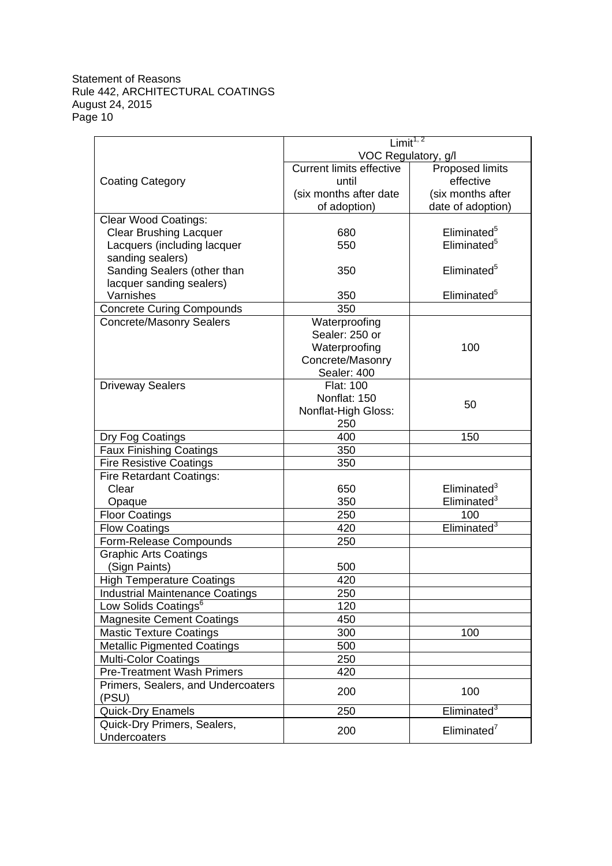|                                        | Limit <sup>1, 2</sup>           |                         |  |
|----------------------------------------|---------------------------------|-------------------------|--|
|                                        | VOC Regulatory, g/l             |                         |  |
|                                        | <b>Current limits effective</b> | <b>Proposed limits</b>  |  |
| <b>Coating Category</b>                | until                           | effective               |  |
|                                        | (six months after date          | (six months after       |  |
|                                        | of adoption)                    | date of adoption)       |  |
| <b>Clear Wood Coatings:</b>            |                                 |                         |  |
| <b>Clear Brushing Lacquer</b>          | 680                             | Eliminated <sup>5</sup> |  |
| Lacquers (including lacquer            | 550                             | Eliminated <sup>5</sup> |  |
| sanding sealers)                       |                                 |                         |  |
| Sanding Sealers (other than            | 350                             | Eliminated <sup>5</sup> |  |
| lacquer sanding sealers)               |                                 |                         |  |
| Varnishes                              | 350<br>350                      | Eliminated <sup>5</sup> |  |
| <b>Concrete Curing Compounds</b>       |                                 |                         |  |
| <b>Concrete/Masonry Sealers</b>        | Waterproofing<br>Sealer: 250 or |                         |  |
|                                        | Waterproofing                   | 100                     |  |
|                                        | Concrete/Masonry                |                         |  |
|                                        | Sealer: 400                     |                         |  |
| <b>Driveway Sealers</b>                | Flat: 100                       |                         |  |
|                                        | Nonflat: 150                    |                         |  |
|                                        | Nonflat-High Gloss:             | 50                      |  |
|                                        | 250                             |                         |  |
| Dry Fog Coatings                       | 400                             | 150                     |  |
| <b>Faux Finishing Coatings</b>         | 350                             |                         |  |
| <b>Fire Resistive Coatings</b>         | 350                             |                         |  |
| Fire Retardant Coatings:               |                                 |                         |  |
| Clear                                  | 650                             | Eliminated <sup>3</sup> |  |
| Opaque                                 | 350                             | Eliminated $3$          |  |
| <b>Floor Coatings</b>                  | 250                             | 100                     |  |
| <b>Flow Coatings</b>                   | 420                             | Eliminated <sup>3</sup> |  |
| Form-Release Compounds                 | 250                             |                         |  |
| <b>Graphic Arts Coatings</b>           |                                 |                         |  |
| (Sign Paints)                          | 500                             |                         |  |
| <b>High Temperature Coatings</b>       | 420                             |                         |  |
| <b>Industrial Maintenance Coatings</b> | 250                             |                         |  |
| Low Solids Coatings <sup>6</sup>       | 120                             |                         |  |
| <b>Magnesite Cement Coatings</b>       | 450                             |                         |  |
| <b>Mastic Texture Coatings</b>         | 300                             | 100                     |  |
| <b>Metallic Pigmented Coatings</b>     | 500                             |                         |  |
| <b>Multi-Color Coatings</b>            | 250                             |                         |  |
| <b>Pre-Treatment Wash Primers</b>      | 420                             |                         |  |
| Primers, Sealers, and Undercoaters     | 200                             | 100                     |  |
| (PSU)                                  |                                 |                         |  |
| Quick-Dry Enamels                      | 250                             | Eliminated <sup>3</sup> |  |
| Quick-Dry Primers, Sealers,            | 200                             | Eliminated <sup>7</sup> |  |
| Undercoaters                           |                                 |                         |  |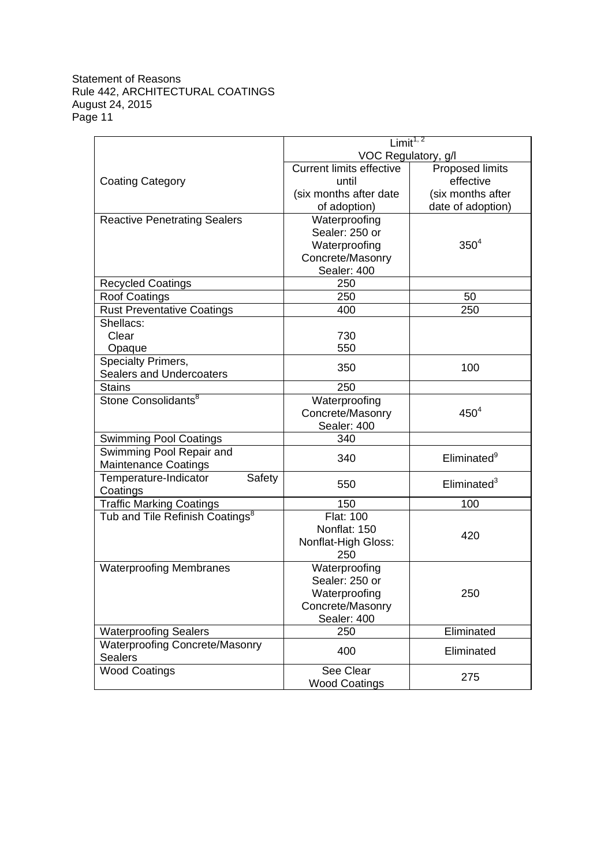|                                             | Limit <sup>1, 2</sup>           |                         |  |
|---------------------------------------------|---------------------------------|-------------------------|--|
|                                             | VOC Regulatory, g/l             |                         |  |
|                                             | <b>Current limits effective</b> | Proposed limits         |  |
| <b>Coating Category</b>                     | until                           | effective               |  |
|                                             | (six months after date          | (six months after       |  |
|                                             | of adoption)                    | date of adoption)       |  |
| <b>Reactive Penetrating Sealers</b>         | Waterproofing                   |                         |  |
|                                             | Sealer: 250 or                  |                         |  |
|                                             | Waterproofing                   | $350^{4}$               |  |
|                                             | Concrete/Masonry                |                         |  |
|                                             | Sealer: 400                     |                         |  |
| <b>Recycled Coatings</b>                    | 250                             |                         |  |
| <b>Roof Coatings</b>                        | 250                             | 50                      |  |
| <b>Rust Preventative Coatings</b>           | 400                             | 250                     |  |
| Shellacs:                                   |                                 |                         |  |
| Clear                                       | 730                             |                         |  |
| Opaque                                      | 550                             |                         |  |
| Specialty Primers,                          | 350                             | 100                     |  |
| <b>Sealers and Undercoaters</b>             |                                 |                         |  |
| <b>Stains</b>                               | 250                             |                         |  |
| Stone Consolidants <sup>8</sup>             | Waterproofing                   |                         |  |
|                                             | Concrete/Masonry                | 450 <sup>4</sup>        |  |
|                                             | Sealer: 400                     |                         |  |
| <b>Swimming Pool Coatings</b>               | 340                             |                         |  |
| Swimming Pool Repair and                    | 340                             | Eliminated <sup>9</sup> |  |
| <b>Maintenance Coatings</b>                 |                                 |                         |  |
| Temperature-Indicator<br>Safety             | 550                             | Eliminated <sup>3</sup> |  |
| Coatings                                    |                                 |                         |  |
| <b>Traffic Marking Coatings</b>             | 150                             | 100                     |  |
| Tub and Tile Refinish Coatings <sup>8</sup> | <b>Flat: 100</b>                |                         |  |
|                                             | Nonflat: 150                    | 420                     |  |
|                                             | Nonflat-High Gloss:             |                         |  |
|                                             | 250                             |                         |  |
| <b>Waterproofing Membranes</b>              | Waterproofing                   |                         |  |
|                                             | Sealer: 250 or                  |                         |  |
|                                             | Waterproofing                   | 250                     |  |
|                                             | Concrete/Masonry                |                         |  |
|                                             | Sealer: 400                     |                         |  |
| <b>Waterproofing Sealers</b>                | 250                             | Eliminated              |  |
| <b>Waterproofing Concrete/Masonry</b>       | 400                             | Eliminated              |  |
| <b>Sealers</b>                              |                                 |                         |  |
| <b>Wood Coatings</b>                        | See Clear                       | 275                     |  |
|                                             | <b>Wood Coatings</b>            |                         |  |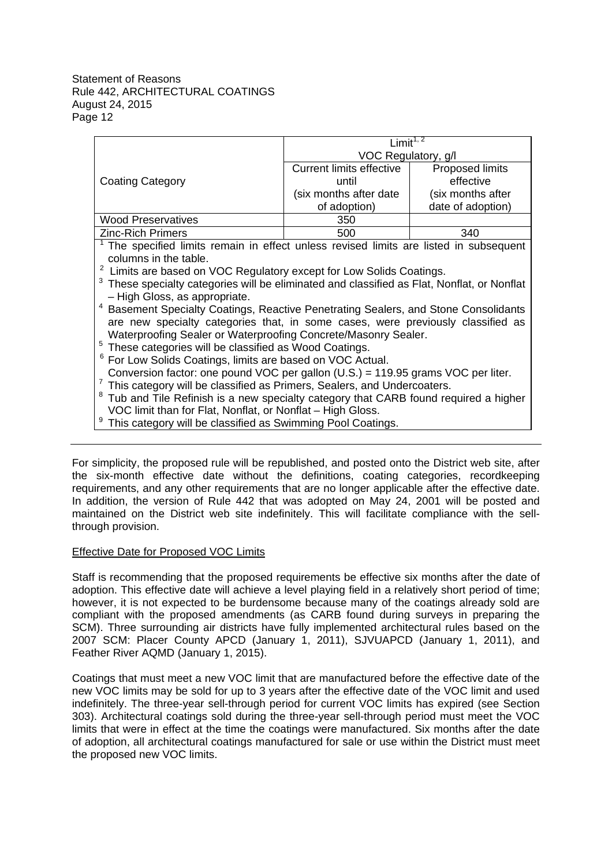|                           | l imit <sup>1, 2</sup>          |                   |  |
|---------------------------|---------------------------------|-------------------|--|
|                           | VOC Regulatory, g/l             |                   |  |
|                           | <b>Current limits effective</b> | Proposed limits   |  |
| <b>Coating Category</b>   | until                           | effective         |  |
|                           | (six months after date          | (six months after |  |
|                           | of adoption)                    | date of adoption) |  |
| <b>Wood Preservatives</b> | 350                             |                   |  |
| <b>Zinc-Rich Primers</b>  | 500                             | 340               |  |

 $1$  The specified limits remain in effect unless revised limits are listed in subsequent columns in the table.

 $2$  Limits are based on VOC Regulatory except for Low Solids Coatings.

<sup>3</sup> These specialty categories will be eliminated and classified as Flat, Nonflat, or Nonflat – High Gloss, as appropriate.

<sup>4</sup> Basement Specialty Coatings, Reactive Penetrating Sealers, and Stone Consolidants are new specialty categories that, in some cases, were previously classified as Waterproofing Sealer or Waterproofing Concrete/Masonry Sealer.

- <sup>5</sup> These categories will be classified as Wood Coatings.
- <sup>6</sup> For Low Solids Coatings, limits are based on VOC Actual.
- Conversion factor: one pound VOC per gallon (U.S.) = 119.95 grams VOC per liter.
- <sup>7</sup> This category will be classified as Primers, Sealers, and Undercoaters.
- $8$  Tub and Tile Refinish is a new specialty category that CARB found required a higher VOC limit than for Flat, Nonflat, or Nonflat – High Gloss.
- <sup>9</sup> This category will be classified as Swimming Pool Coatings.

For simplicity, the proposed rule will be republished, and posted onto the District web site, after the six-month effective date without the definitions, coating categories, recordkeeping requirements, and any other requirements that are no longer applicable after the effective date. In addition, the version of Rule 442 that was adopted on May 24, 2001 will be posted and maintained on the District web site indefinitely. This will facilitate compliance with the sellthrough provision.

# Effective Date for Proposed VOC Limits

Staff is recommending that the proposed requirements be effective six months after the date of adoption. This effective date will achieve a level playing field in a relatively short period of time; however, it is not expected to be burdensome because many of the coatings already sold are compliant with the proposed amendments (as CARB found during surveys in preparing the SCM). Three surrounding air districts have fully implemented architectural rules based on the 2007 SCM: Placer County APCD (January 1, 2011), SJVUAPCD (January 1, 2011), and Feather River AQMD (January 1, 2015).

Coatings that must meet a new VOC limit that are manufactured before the effective date of the new VOC limits may be sold for up to 3 years after the effective date of the VOC limit and used indefinitely. The three-year sell-through period for current VOC limits has expired (see Section 303). Architectural coatings sold during the three-year sell-through period must meet the VOC limits that were in effect at the time the coatings were manufactured. Six months after the date of adoption, all architectural coatings manufactured for sale or use within the District must meet the proposed new VOC limits.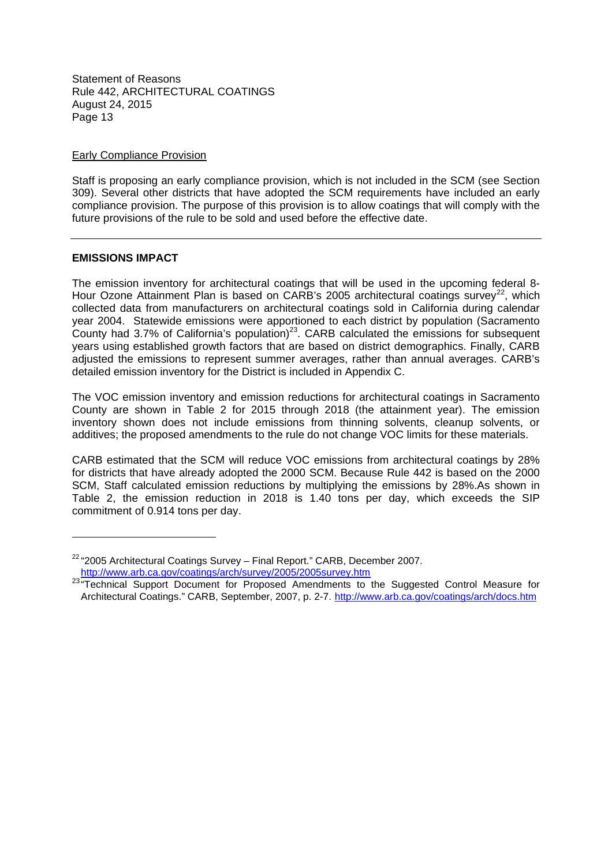#### Early Compliance Provision

Staff is proposing an early compliance provision, which is not included in the SCM (see Section 309). Several other districts that have adopted the SCM requirements have included an early compliance provision. The purpose of this provision is to allow coatings that will comply with the future provisions of the rule to be sold and used before the effective date.

# **EMISSIONS IMPACT**

The emission inventory for architectural coatings that will be used in the upcoming federal 8- Hour Ozone Attainment Plan is based on CARB's 2005 architectural coatings survey<sup>22</sup>, which collected data from manufacturers on architectural coatings sold in California during calendar year 2004. Statewide emissions were apportioned to each district by population (Sacramento County had 3.7% of California's population)<sup>23</sup>. CARB calculated the emissions for subsequent years using established growth factors that are based on district demographics. Finally, CARB adjusted the emissions to represent summer averages, rather than annual averages. CARB's detailed emission inventory for the District is included in Appendix C.

The VOC emission inventory and emission reductions for architectural coatings in Sacramento County are shown in Table 2 for 2015 through 2018 (the attainment year). The emission inventory shown does not include emissions from thinning solvents, cleanup solvents, or additives; the proposed amendments to the rule do not change VOC limits for these materials.

CARB estimated that the SCM will reduce VOC emissions from architectural coatings by 28% for districts that have already adopted the 2000 SCM. Because Rule 442 is based on the 2000 SCM, Staff calculated emission reductions by multiplying the emissions by 28%.As shown in Table 2, the emission reduction in 2018 is 1.40 tons per day, which exceeds the SIP commitment of 0.914 tons per day.

 $22$  "2005 Architectural Coatings Survey - Final Report." CARB, December 2007. http://www.arb.ca.gov/coatings/arch/survey/2005/2005survey.htm

<sup>&</sup>lt;sup>23</sup> Technical Support Document for Proposed Amendments to the Suggested Control Measure for Architectural Coatings." CARB, September, 2007, p. 2-7. http://www.arb.ca.gov/coatings/arch/docs.htm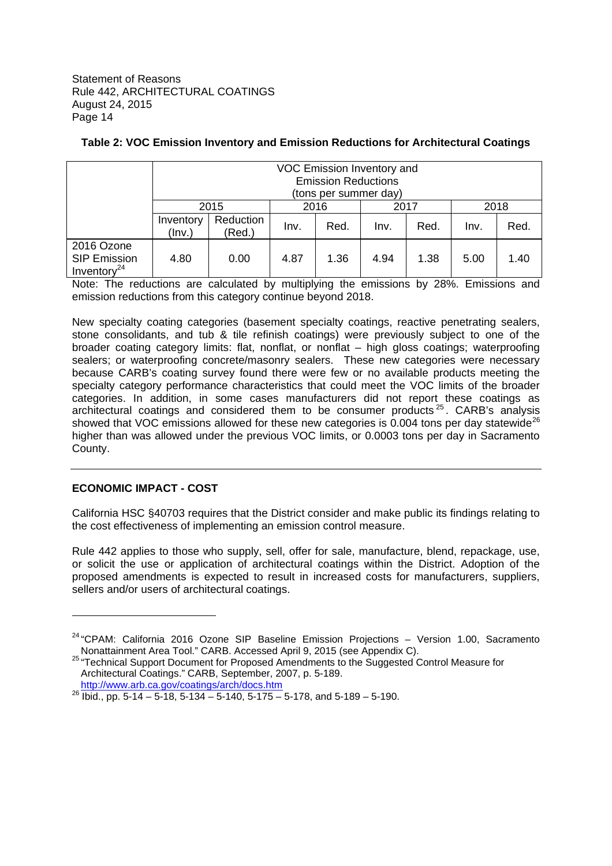|                                                     | VOC Emission Inventory and<br><b>Emission Reductions</b><br>(tons per summer day) |                     |      |      |      |      |      |      |
|-----------------------------------------------------|-----------------------------------------------------------------------------------|---------------------|------|------|------|------|------|------|
|                                                     |                                                                                   | 2015                | 2016 |      | 2017 |      | 2018 |      |
|                                                     | Inventory<br>(lnv.)                                                               | Reduction<br>(Red.) | Inv. | Red. | Inv. | Red. | Inv. | Red. |
| 2016 Ozone<br><b>SIP Emission</b><br>Inventory $24$ | 4.80                                                                              | 0.00                | 4.87 | 1.36 | 4.94 | 1.38 | 5.00 | 1.40 |

# **Table 2: VOC Emission Inventory and Emission Reductions for Architectural Coatings**

Note: The reductions are calculated by multiplying the emissions by 28%. Emissions and emission reductions from this category continue beyond 2018.

New specialty coating categories (basement specialty coatings, reactive penetrating sealers, stone consolidants, and tub & tile refinish coatings) were previously subject to one of the broader coating category limits: flat, nonflat, or nonflat – high gloss coatings; waterproofing sealers; or waterproofing concrete/masonry sealers. These new categories were necessary because CARB's coating survey found there were few or no available products meeting the specialty category performance characteristics that could meet the VOC limits of the broader categories. In addition, in some cases manufacturers did not report these coatings as architectural coatings and considered them to be consumer products  $25$ . CARB's analysis showed that VOC emissions allowed for these new categories is 0.004 tons per day statewide<sup>26</sup> higher than was allowed under the previous VOC limits, or 0.0003 tons per day in Sacramento County.

# **ECONOMIC IMPACT - COST**

California HSC §40703 requires that the District consider and make public its findings relating to the cost effectiveness of implementing an emission control measure.

Rule 442 applies to those who supply, sell, offer for sale, manufacture, blend, repackage, use, or solicit the use or application of architectural coatings within the District. Adoption of the proposed amendments is expected to result in increased costs for manufacturers, suppliers, sellers and/or users of architectural coatings.

<sup>&</sup>lt;sup>24</sup> "CPAM: California 2016 Ozone SIP Baseline Emission Projections - Version 1.00, Sacramento Nonattainment Area Tool." CARB. Accessed April 9, 2015 (see Appendix C).

<sup>25 &</sup>quot;Technical Support Document for Proposed Amendments to the Suggested Control Measure for Architectural Coatings." CARB, September, 2007, p. 5-189. http://www.arb.ca.gov/coatings/arch/docs.htm

<sup>&</sup>lt;sup>26</sup> Ibid., pp. 5-14 – 5-18, 5-134 – 5-140, 5-175 – 5-178, and 5-189 – 5-190.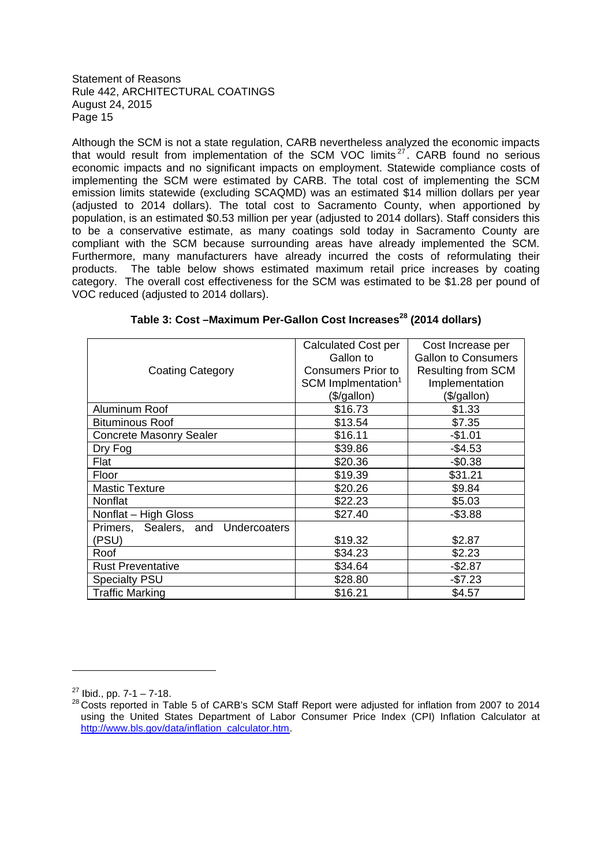Although the SCM is not a state regulation, CARB nevertheless analyzed the economic impacts that would result from implementation of the SCM VOC limits<sup>27</sup>. CARB found no serious economic impacts and no significant impacts on employment. Statewide compliance costs of implementing the SCM were estimated by CARB. The total cost of implementing the SCM emission limits statewide (excluding SCAQMD) was an estimated \$14 million dollars per year (adjusted to 2014 dollars). The total cost to Sacramento County, when apportioned by population, is an estimated \$0.53 million per year (adjusted to 2014 dollars). Staff considers this to be a conservative estimate, as many coatings sold today in Sacramento County are compliant with the SCM because surrounding areas have already implemented the SCM. Furthermore, many manufacturers have already incurred the costs of reformulating their products. The table below shows estimated maximum retail price increases by coating category. The overall cost effectiveness for the SCM was estimated to be \$1.28 per pound of VOC reduced (adjusted to 2014 dollars).

|                                    | Calculated Cost per<br>Gallon to | Cost Increase per<br><b>Gallon to Consumers</b> |
|------------------------------------|----------------------------------|-------------------------------------------------|
|                                    | <b>Consumers Prior to</b>        | <b>Resulting from SCM</b>                       |
| <b>Coating Category</b>            |                                  |                                                 |
|                                    | SCM Implmentation <sup>1</sup>   | Implementation                                  |
|                                    | (\$/gallon)                      | (\$/gallon)                                     |
| Aluminum Roof                      | \$16.73                          | \$1.33                                          |
| <b>Bituminous Roof</b>             | \$13.54                          | \$7.35                                          |
| <b>Concrete Masonry Sealer</b>     | \$16.11                          | $-$1.01$                                        |
| Dry Fog                            | \$39.86                          | $-$4.53$                                        |
| Flat                               | \$20.36                          | $-$0.38$                                        |
| Floor                              | \$19.39                          | \$31.21                                         |
| <b>Mastic Texture</b>              | \$20.26                          | \$9.84                                          |
| Nonflat                            | \$22.23                          | \$5.03                                          |
| Nonflat - High Gloss               | \$27.40                          | $-$ \$3.88                                      |
| Primers, Sealers, and Undercoaters |                                  |                                                 |
| (PSU)                              | \$19.32                          | \$2.87                                          |
| Roof                               | \$34.23                          | \$2.23                                          |
| <b>Rust Preventative</b>           | \$34.64                          | $-$2.87$                                        |
| <b>Specialty PSU</b>               | \$28.80                          | $-$7.23$                                        |
| <b>Traffic Marking</b>             | \$16.21                          | \$4.57                                          |

 $27$  Ibid., pp. 7-1 – 7-18.

<sup>28</sup> Costs reported in Table 5 of CARB's SCM Staff Report were adjusted for inflation from 2007 to 2014 using the United States Department of Labor Consumer Price Index (CPI) Inflation Calculator at http://www.bls.gov/data/inflation\_calculator.htm.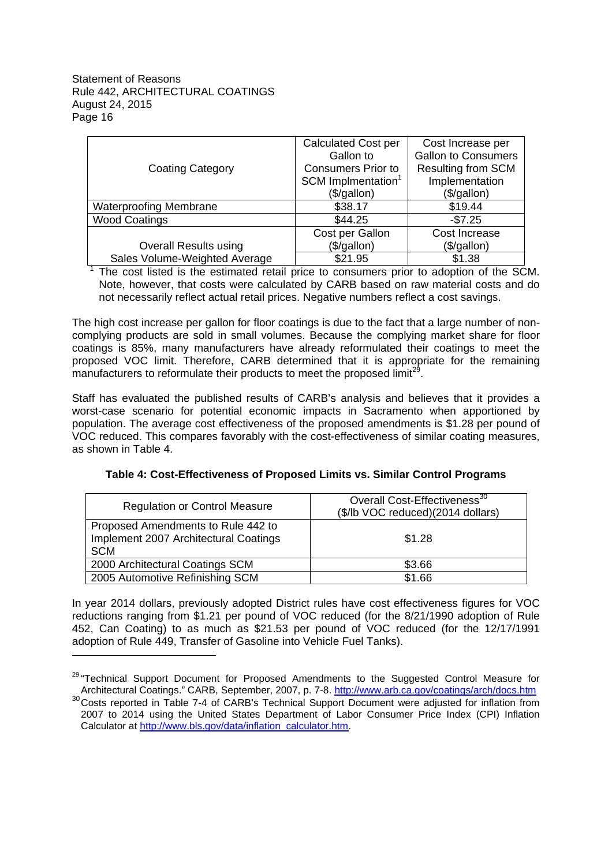|                               | <b>Calculated Cost per</b>     | Cost Increase per          |
|-------------------------------|--------------------------------|----------------------------|
|                               | Gallon to                      | <b>Gallon to Consumers</b> |
| <b>Coating Category</b>       | <b>Consumers Prior to</b>      | <b>Resulting from SCM</b>  |
|                               | SCM Implmentation <sup>1</sup> | Implementation             |
|                               | (\$/gallon)                    | (\$/gallon)                |
| <b>Waterproofing Membrane</b> | \$38.17                        | \$19.44                    |
| <b>Wood Coatings</b>          | \$44.25                        | $-$7.25$                   |
|                               | Cost per Gallon                | Cost Increase              |
| <b>Overall Results using</b>  | (\$/gallon)                    | (\$/gallon)                |
| Sales Volume-Weighted Average | \$21.95                        | \$1.38                     |

 $<sup>1</sup>$  The cost listed is the estimated retail price to consumers prior to adoption of the SCM.</sup> Note, however, that costs were calculated by CARB based on raw material costs and do not necessarily reflect actual retail prices. Negative numbers reflect a cost savings.

The high cost increase per gallon for floor coatings is due to the fact that a large number of noncomplying products are sold in small volumes. Because the complying market share for floor coatings is 85%, many manufacturers have already reformulated their coatings to meet the proposed VOC limit. Therefore, CARB determined that it is appropriate for the remaining manufacturers to reformulate their products to meet the proposed limit<sup>29</sup>.

Staff has evaluated the published results of CARB's analysis and believes that it provides a worst-case scenario for potential economic impacts in Sacramento when apportioned by population. The average cost effectiveness of the proposed amendments is \$1.28 per pound of VOC reduced. This compares favorably with the cost-effectiveness of similar coating measures, as shown in Table 4.

| <b>Regulation or Control Measure</b>                                                      | Overall Cost-Effectiveness <sup>30</sup><br>(\$/lb VOC reduced)(2014 dollars) |
|-------------------------------------------------------------------------------------------|-------------------------------------------------------------------------------|
| Proposed Amendments to Rule 442 to<br>Implement 2007 Architectural Coatings<br><b>SCM</b> | \$1.28                                                                        |
| 2000 Architectural Coatings SCM                                                           | \$3.66                                                                        |
| 2005 Automotive Refinishing SCM                                                           | \$1.66                                                                        |

# **Table 4: Cost-Effectiveness of Proposed Limits vs. Similar Control Programs**

In year 2014 dollars, previously adopted District rules have cost effectiveness figures for VOC reductions ranging from \$1.21 per pound of VOC reduced (for the 8/21/1990 adoption of Rule 452, Can Coating) to as much as \$21.53 per pound of VOC reduced (for the 12/17/1991 adoption of Rule 449, Transfer of Gasoline into Vehicle Fuel Tanks).

<sup>&</sup>lt;sup>29</sup> "Technical Support Document for Proposed Amendments to the Suggested Control Measure for Architectural Coatings." CARB, September, 2007, p. 7-8. http://www.arb.ca.gov/coatings/arch/docs.htm <sup>30</sup>Costs reported in Table 7-4 of CARB's Technical Support Document were adjusted for inflation from 2007 to 2014 using the United States Department of Labor Consumer Price Index (CPI) Inflation Calculator at http://www.bls.gov/data/inflation\_calculator.htm.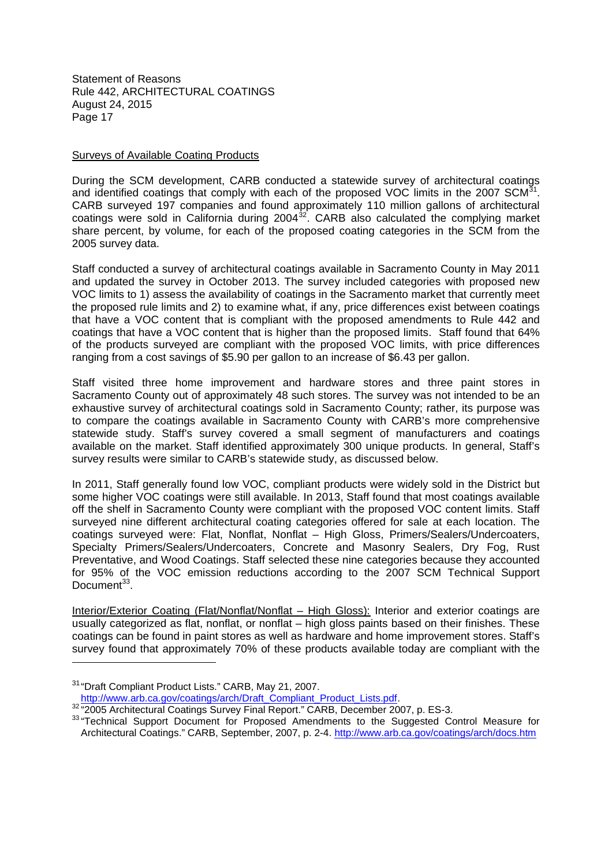#### Surveys of Available Coating Products

During the SCM development, CARB conducted a statewide survey of architectural coatings and identified coatings that comply with each of the proposed VOC limits in the 2007 SCM $^{31}$ . CARB surveyed 197 companies and found approximately 110 million gallons of architectural coatings were sold in California during  $2004^{32}$ . CARB also calculated the complying market share percent, by volume, for each of the proposed coating categories in the SCM from the 2005 survey data.

Staff conducted a survey of architectural coatings available in Sacramento County in May 2011 and updated the survey in October 2013. The survey included categories with proposed new VOC limits to 1) assess the availability of coatings in the Sacramento market that currently meet the proposed rule limits and 2) to examine what, if any, price differences exist between coatings that have a VOC content that is compliant with the proposed amendments to Rule 442 and coatings that have a VOC content that is higher than the proposed limits. Staff found that 64% of the products surveyed are compliant with the proposed VOC limits, with price differences ranging from a cost savings of \$5.90 per gallon to an increase of \$6.43 per gallon.

Staff visited three home improvement and hardware stores and three paint stores in Sacramento County out of approximately 48 such stores. The survey was not intended to be an exhaustive survey of architectural coatings sold in Sacramento County; rather, its purpose was to compare the coatings available in Sacramento County with CARB's more comprehensive statewide study. Staff's survey covered a small segment of manufacturers and coatings available on the market. Staff identified approximately 300 unique products. In general, Staff's survey results were similar to CARB's statewide study, as discussed below.

In 2011, Staff generally found low VOC, compliant products were widely sold in the District but some higher VOC coatings were still available. In 2013, Staff found that most coatings available off the shelf in Sacramento County were compliant with the proposed VOC content limits. Staff surveyed nine different architectural coating categories offered for sale at each location. The coatings surveyed were: Flat, Nonflat, Nonflat – High Gloss, Primers/Sealers/Undercoaters, Specialty Primers/Sealers/Undercoaters, Concrete and Masonry Sealers, Dry Fog, Rust Preventative, and Wood Coatings. Staff selected these nine categories because they accounted for 95% of the VOC emission reductions according to the 2007 SCM Technical Support Document<sup>33</sup>.

Interior/Exterior Coating (Flat/Nonflat/Nonflat – High Gloss): Interior and exterior coatings are usually categorized as flat, nonflat, or nonflat – high gloss paints based on their finishes. These coatings can be found in paint stores as well as hardware and home improvement stores. Staff's survey found that approximately 70% of these products available today are compliant with the

<sup>31</sup> "Draft Compliant Product Lists." CARB, May 21, 2007. http://www.arb.ca.gov/coatings/arch/Draft\_Compliant\_Product\_Lists.pdf.

<sup>32 &</sup>quot;2005 Architectural Coatings Survey Final Report." CARB, December 2007, p. ES-3.

<sup>&</sup>lt;sup>33</sup> "Technical Support Document for Proposed Amendments to the Suggested Control Measure for Architectural Coatings." CARB, September, 2007, p. 2-4. http://www.arb.ca.gov/coatings/arch/docs.htm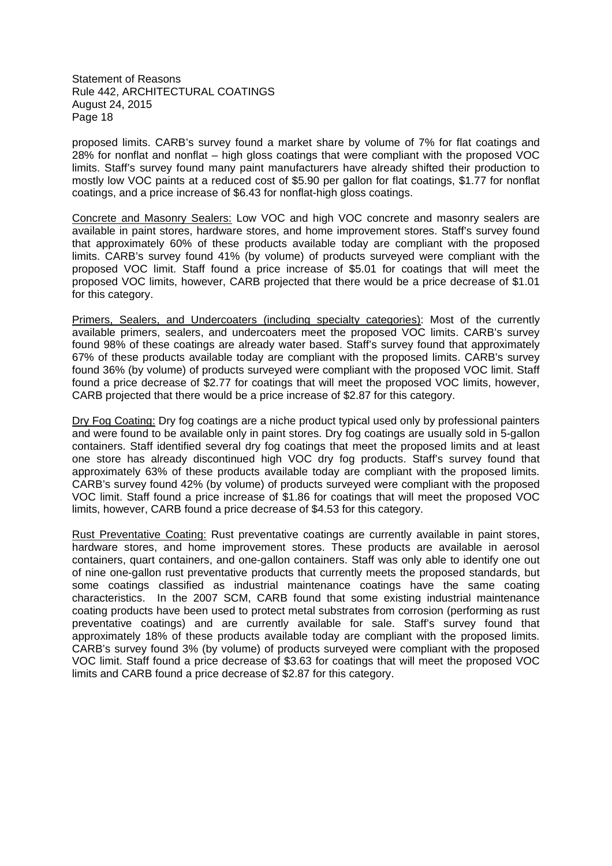proposed limits. CARB's survey found a market share by volume of 7% for flat coatings and 28% for nonflat and nonflat – high gloss coatings that were compliant with the proposed VOC limits. Staff's survey found many paint manufacturers have already shifted their production to mostly low VOC paints at a reduced cost of \$5.90 per gallon for flat coatings, \$1.77 for nonflat coatings, and a price increase of \$6.43 for nonflat-high gloss coatings.

Concrete and Masonry Sealers: Low VOC and high VOC concrete and masonry sealers are available in paint stores, hardware stores, and home improvement stores. Staff's survey found that approximately 60% of these products available today are compliant with the proposed limits. CARB's survey found 41% (by volume) of products surveyed were compliant with the proposed VOC limit. Staff found a price increase of \$5.01 for coatings that will meet the proposed VOC limits, however, CARB projected that there would be a price decrease of \$1.01 for this category.

Primers, Sealers, and Undercoaters (including specialty categories): Most of the currently available primers, sealers, and undercoaters meet the proposed VOC limits. CARB's survey found 98% of these coatings are already water based. Staff's survey found that approximately 67% of these products available today are compliant with the proposed limits. CARB's survey found 36% (by volume) of products surveyed were compliant with the proposed VOC limit. Staff found a price decrease of \$2.77 for coatings that will meet the proposed VOC limits, however, CARB projected that there would be a price increase of \$2.87 for this category.

Dry Fog Coating: Dry fog coatings are a niche product typical used only by professional painters and were found to be available only in paint stores. Dry fog coatings are usually sold in 5-gallon containers. Staff identified several dry fog coatings that meet the proposed limits and at least one store has already discontinued high VOC dry fog products. Staff's survey found that approximately 63% of these products available today are compliant with the proposed limits. CARB's survey found 42% (by volume) of products surveyed were compliant with the proposed VOC limit. Staff found a price increase of \$1.86 for coatings that will meet the proposed VOC limits, however, CARB found a price decrease of \$4.53 for this category.

Rust Preventative Coating: Rust preventative coatings are currently available in paint stores, hardware stores, and home improvement stores. These products are available in aerosol containers, quart containers, and one-gallon containers. Staff was only able to identify one out of nine one-gallon rust preventative products that currently meets the proposed standards, but some coatings classified as industrial maintenance coatings have the same coating characteristics. In the 2007 SCM, CARB found that some existing industrial maintenance coating products have been used to protect metal substrates from corrosion (performing as rust preventative coatings) and are currently available for sale. Staff's survey found that approximately 18% of these products available today are compliant with the proposed limits. CARB's survey found 3% (by volume) of products surveyed were compliant with the proposed VOC limit. Staff found a price decrease of \$3.63 for coatings that will meet the proposed VOC limits and CARB found a price decrease of \$2.87 for this category.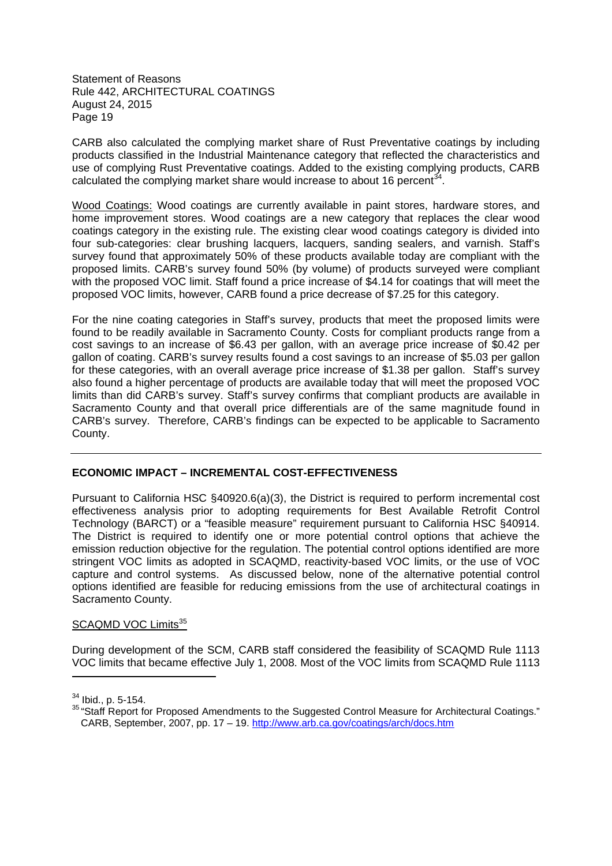CARB also calculated the complying market share of Rust Preventative coatings by including products classified in the Industrial Maintenance category that reflected the characteristics and use of complying Rust Preventative coatings. Added to the existing complying products, CARB calculated the complying market share would increase to about 16 percent $^{34}$ .

Wood Coatings: Wood coatings are currently available in paint stores, hardware stores, and home improvement stores. Wood coatings are a new category that replaces the clear wood coatings category in the existing rule. The existing clear wood coatings category is divided into four sub-categories: clear brushing lacquers, lacquers, sanding sealers, and varnish. Staff's survey found that approximately 50% of these products available today are compliant with the proposed limits. CARB's survey found 50% (by volume) of products surveyed were compliant with the proposed VOC limit. Staff found a price increase of \$4.14 for coatings that will meet the proposed VOC limits, however, CARB found a price decrease of \$7.25 for this category.

For the nine coating categories in Staff's survey, products that meet the proposed limits were found to be readily available in Sacramento County. Costs for compliant products range from a cost savings to an increase of \$6.43 per gallon, with an average price increase of \$0.42 per gallon of coating. CARB's survey results found a cost savings to an increase of \$5.03 per gallon for these categories, with an overall average price increase of \$1.38 per gallon. Staff's survey also found a higher percentage of products are available today that will meet the proposed VOC limits than did CARB's survey. Staff's survey confirms that compliant products are available in Sacramento County and that overall price differentials are of the same magnitude found in CARB's survey. Therefore, CARB's findings can be expected to be applicable to Sacramento County.

# **ECONOMIC IMPACT – INCREMENTAL COST-EFFECTIVENESS**

Pursuant to California HSC §40920.6(a)(3), the District is required to perform incremental cost effectiveness analysis prior to adopting requirements for Best Available Retrofit Control Technology (BARCT) or a "feasible measure" requirement pursuant to California HSC §40914. The District is required to identify one or more potential control options that achieve the emission reduction objective for the regulation. The potential control options identified are more stringent VOC limits as adopted in SCAQMD, reactivity-based VOC limits, or the use of VOC capture and control systems. As discussed below, none of the alternative potential control options identified are feasible for reducing emissions from the use of architectural coatings in Sacramento County.

# SCAQMD VOC Limits<sup>35</sup>

During development of the SCM, CARB staff considered the feasibility of SCAQMD Rule 1113 VOC limits that became effective July 1, 2008. Most of the VOC limits from SCAQMD Rule 1113

 $34$  Ibid., p. 5-154.

<sup>35 &</sup>quot;Staff Report for Proposed Amendments to the Suggested Control Measure for Architectural Coatings." CARB, September, 2007, pp. 17 – 19. http://www.arb.ca.gov/coatings/arch/docs.htm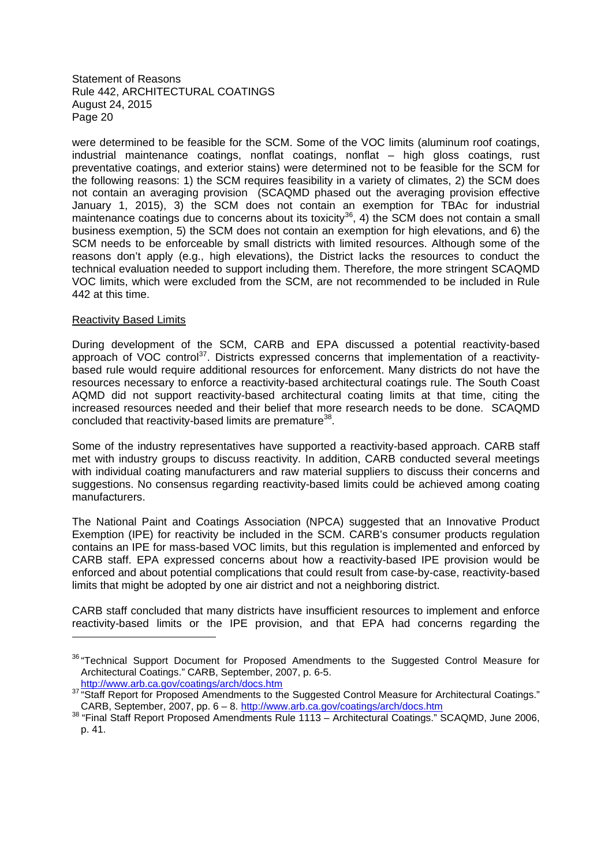were determined to be feasible for the SCM. Some of the VOC limits (aluminum roof coatings, industrial maintenance coatings, nonflat coatings, nonflat – high gloss coatings, rust preventative coatings, and exterior stains) were determined not to be feasible for the SCM for the following reasons: 1) the SCM requires feasibility in a variety of climates, 2) the SCM does not contain an averaging provision (SCAQMD phased out the averaging provision effective January 1, 2015), 3) the SCM does not contain an exemption for TBAc for industrial maintenance coatings due to concerns about its toxicity<sup>36</sup>, 4) the SCM does not contain a small business exemption, 5) the SCM does not contain an exemption for high elevations, and 6) the SCM needs to be enforceable by small districts with limited resources. Although some of the reasons don't apply (e.g., high elevations), the District lacks the resources to conduct the technical evaluation needed to support including them. Therefore, the more stringent SCAQMD VOC limits, which were excluded from the SCM, are not recommended to be included in Rule 442 at this time.

# Reactivity Based Limits

During development of the SCM, CARB and EPA discussed a potential reactivity-based approach of VOC control<sup>37</sup>. Districts expressed concerns that implementation of a reactivitybased rule would require additional resources for enforcement. Many districts do not have the resources necessary to enforce a reactivity-based architectural coatings rule. The South Coast AQMD did not support reactivity-based architectural coating limits at that time, citing the increased resources needed and their belief that more research needs to be done. SCAQMD concluded that reactivity-based limits are premature<sup>38</sup>.

Some of the industry representatives have supported a reactivity-based approach. CARB staff met with industry groups to discuss reactivity. In addition, CARB conducted several meetings with individual coating manufacturers and raw material suppliers to discuss their concerns and suggestions. No consensus regarding reactivity-based limits could be achieved among coating manufacturers.

The National Paint and Coatings Association (NPCA) suggested that an Innovative Product Exemption (IPE) for reactivity be included in the SCM. CARB's consumer products regulation contains an IPE for mass-based VOC limits, but this regulation is implemented and enforced by CARB staff. EPA expressed concerns about how a reactivity-based IPE provision would be enforced and about potential complications that could result from case-by-case, reactivity-based limits that might be adopted by one air district and not a neighboring district.

CARB staff concluded that many districts have insufficient resources to implement and enforce reactivity-based limits or the IPE provision, and that EPA had concerns regarding the

<sup>&</sup>lt;sup>36</sup> "Technical Support Document for Proposed Amendments to the Suggested Control Measure for Architectural Coatings." CARB, September, 2007, p. 6-5. http://www.arb.ca.gov/coatings/arch/docs.htm

<sup>37 &</sup>quot;Staff Report for Proposed Amendments to the Suggested Control Measure for Architectural Coatings." CARB, September, 2007, pp. 6 – 8. http://www.arb.ca.gov/coatings/arch/docs.htm

<sup>38</sup> "Final Staff Report Proposed Amendments Rule 1113 – Architectural Coatings." SCAQMD, June 2006, p. 41.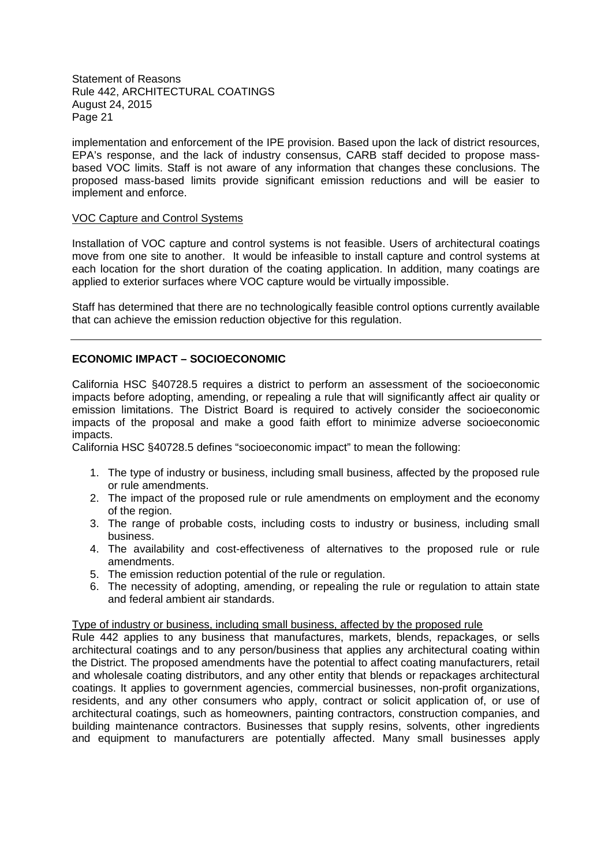implementation and enforcement of the IPE provision. Based upon the lack of district resources, EPA's response, and the lack of industry consensus, CARB staff decided to propose massbased VOC limits. Staff is not aware of any information that changes these conclusions. The proposed mass-based limits provide significant emission reductions and will be easier to implement and enforce.

#### VOC Capture and Control Systems

Installation of VOC capture and control systems is not feasible. Users of architectural coatings move from one site to another. It would be infeasible to install capture and control systems at each location for the short duration of the coating application. In addition, many coatings are applied to exterior surfaces where VOC capture would be virtually impossible.

Staff has determined that there are no technologically feasible control options currently available that can achieve the emission reduction objective for this regulation.

# **ECONOMIC IMPACT – SOCIOECONOMIC**

California HSC §40728.5 requires a district to perform an assessment of the socioeconomic impacts before adopting, amending, or repealing a rule that will significantly affect air quality or emission limitations. The District Board is required to actively consider the socioeconomic impacts of the proposal and make a good faith effort to minimize adverse socioeconomic impacts.

California HSC §40728.5 defines "socioeconomic impact" to mean the following:

- 1. The type of industry or business, including small business, affected by the proposed rule or rule amendments.
- 2. The impact of the proposed rule or rule amendments on employment and the economy of the region.
- 3. The range of probable costs, including costs to industry or business, including small business.
- 4. The availability and cost-effectiveness of alternatives to the proposed rule or rule amendments.
- 5. The emission reduction potential of the rule or regulation.
- 6. The necessity of adopting, amending, or repealing the rule or regulation to attain state and federal ambient air standards.

# Type of industry or business, including small business, affected by the proposed rule

Rule 442 applies to any business that manufactures, markets, blends, repackages, or sells architectural coatings and to any person/business that applies any architectural coating within the District. The proposed amendments have the potential to affect coating manufacturers, retail and wholesale coating distributors, and any other entity that blends or repackages architectural coatings. It applies to government agencies, commercial businesses, non-profit organizations, residents, and any other consumers who apply, contract or solicit application of, or use of architectural coatings, such as homeowners, painting contractors, construction companies, and building maintenance contractors. Businesses that supply resins, solvents, other ingredients and equipment to manufacturers are potentially affected. Many small businesses apply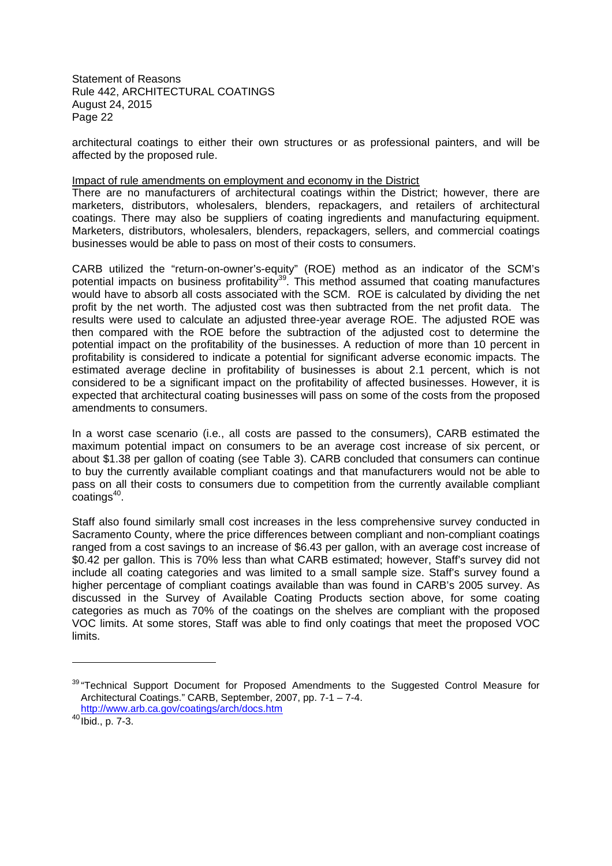architectural coatings to either their own structures or as professional painters, and will be affected by the proposed rule.

#### Impact of rule amendments on employment and economy in the District

There are no manufacturers of architectural coatings within the District; however, there are marketers, distributors, wholesalers, blenders, repackagers, and retailers of architectural coatings. There may also be suppliers of coating ingredients and manufacturing equipment. Marketers, distributors, wholesalers, blenders, repackagers, sellers, and commercial coatings businesses would be able to pass on most of their costs to consumers.

CARB utilized the "return-on-owner's-equity" (ROE) method as an indicator of the SCM's potential impacts on business profitability<sup>39</sup>. This method assumed that coating manufactures would have to absorb all costs associated with the SCM. ROE is calculated by dividing the net profit by the net worth. The adjusted cost was then subtracted from the net profit data. The results were used to calculate an adjusted three-year average ROE. The adjusted ROE was then compared with the ROE before the subtraction of the adjusted cost to determine the potential impact on the profitability of the businesses. A reduction of more than 10 percent in profitability is considered to indicate a potential for significant adverse economic impacts. The estimated average decline in profitability of businesses is about 2.1 percent, which is not considered to be a significant impact on the profitability of affected businesses. However, it is expected that architectural coating businesses will pass on some of the costs from the proposed amendments to consumers.

In a worst case scenario (i.e., all costs are passed to the consumers), CARB estimated the maximum potential impact on consumers to be an average cost increase of six percent, or about \$1.38 per gallon of coating (see Table 3). CARB concluded that consumers can continue to buy the currently available compliant coatings and that manufacturers would not be able to pass on all their costs to consumers due to competition from the currently available compliant  $\cos^{40}$ .

Staff also found similarly small cost increases in the less comprehensive survey conducted in Sacramento County, where the price differences between compliant and non-compliant coatings ranged from a cost savings to an increase of \$6.43 per gallon, with an average cost increase of \$0.42 per gallon. This is 70% less than what CARB estimated; however, Staff's survey did not include all coating categories and was limited to a small sample size. Staff's survey found a higher percentage of compliant coatings available than was found in CARB's 2005 survey. As discussed in the Survey of Available Coating Products section above, for some coating categories as much as 70% of the coatings on the shelves are compliant with the proposed VOC limits. At some stores, Staff was able to find only coatings that meet the proposed VOC limits.

<sup>&</sup>lt;sup>39</sup> "Technical Support Document for Proposed Amendments to the Suggested Control Measure for Architectural Coatings." CARB, September, 2007, pp. 7-1 – 7-4. http://www.arb.ca.gov/coatings/arch/docs.htm

 $40 \frac{\text{Im} \mu \mu \mu}{\text{lbid.}, \text{p. } 7-3.}$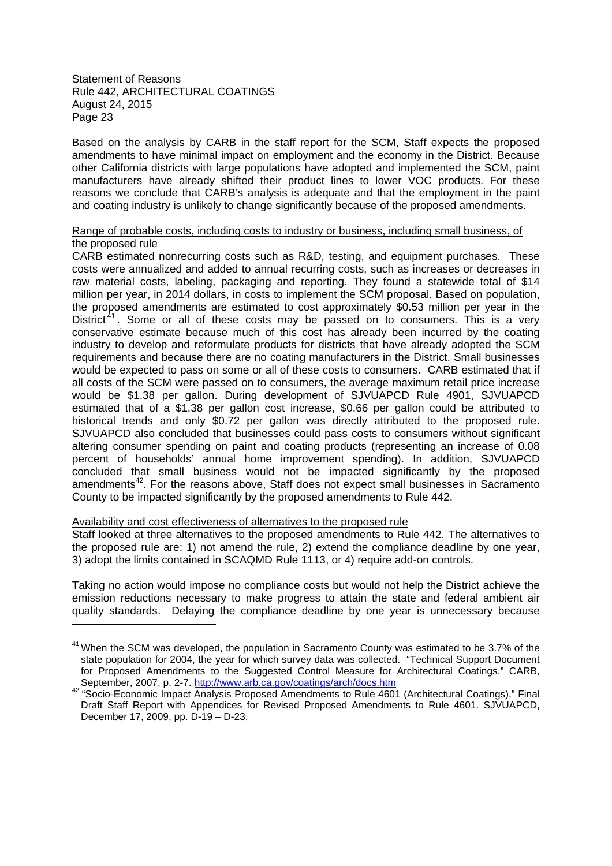Based on the analysis by CARB in the staff report for the SCM, Staff expects the proposed amendments to have minimal impact on employment and the economy in the District. Because other California districts with large populations have adopted and implemented the SCM, paint manufacturers have already shifted their product lines to lower VOC products. For these reasons we conclude that CARB's analysis is adequate and that the employment in the paint and coating industry is unlikely to change significantly because of the proposed amendments.

# Range of probable costs, including costs to industry or business, including small business, of the proposed rule

CARB estimated nonrecurring costs such as R&D, testing, and equipment purchases. These costs were annualized and added to annual recurring costs, such as increases or decreases in raw material costs, labeling, packaging and reporting. They found a statewide total of \$14 million per year, in 2014 dollars, in costs to implement the SCM proposal. Based on population, the proposed amendments are estimated to cost approximately \$0.53 million per year in the District<sup>41</sup>. Some or all of these costs may be passed on to consumers. This is a very conservative estimate because much of this cost has already been incurred by the coating industry to develop and reformulate products for districts that have already adopted the SCM requirements and because there are no coating manufacturers in the District. Small businesses would be expected to pass on some or all of these costs to consumers. CARB estimated that if all costs of the SCM were passed on to consumers, the average maximum retail price increase would be \$1.38 per gallon. During development of SJVUAPCD Rule 4901, SJVUAPCD estimated that of a \$1.38 per gallon cost increase, \$0.66 per gallon could be attributed to historical trends and only \$0.72 per gallon was directly attributed to the proposed rule. SJVUAPCD also concluded that businesses could pass costs to consumers without significant altering consumer spending on paint and coating products (representing an increase of 0.08 percent of households' annual home improvement spending). In addition, SJVUAPCD concluded that small business would not be impacted significantly by the proposed amendments<sup>42</sup>. For the reasons above, Staff does not expect small businesses in Sacramento County to be impacted significantly by the proposed amendments to Rule 442.

#### Availability and cost effectiveness of alternatives to the proposed rule

Staff looked at three alternatives to the proposed amendments to Rule 442. The alternatives to the proposed rule are: 1) not amend the rule, 2) extend the compliance deadline by one year, 3) adopt the limits contained in SCAQMD Rule 1113, or 4) require add-on controls.

Taking no action would impose no compliance costs but would not help the District achieve the emission reductions necessary to make progress to attain the state and federal ambient air quality standards. Delaying the compliance deadline by one year is unnecessary because

<sup>&</sup>lt;sup>41</sup> When the SCM was developed, the population in Sacramento County was estimated to be 3.7% of the state population for 2004, the year for which survey data was collected. "Technical Support Document for Proposed Amendments to the Suggested Control Measure for Architectural Coatings." CARB, September, 2007, p. 2-7. http://www.arb.ca.gov/coatings/arch/docs.htm

<sup>42</sup> "Socio-Economic Impact Analysis Proposed Amendments to Rule 4601 (Architectural Coatings)." Final Draft Staff Report with Appendices for Revised Proposed Amendments to Rule 4601. SJVUAPCD, December 17, 2009, pp. D-19 – D-23.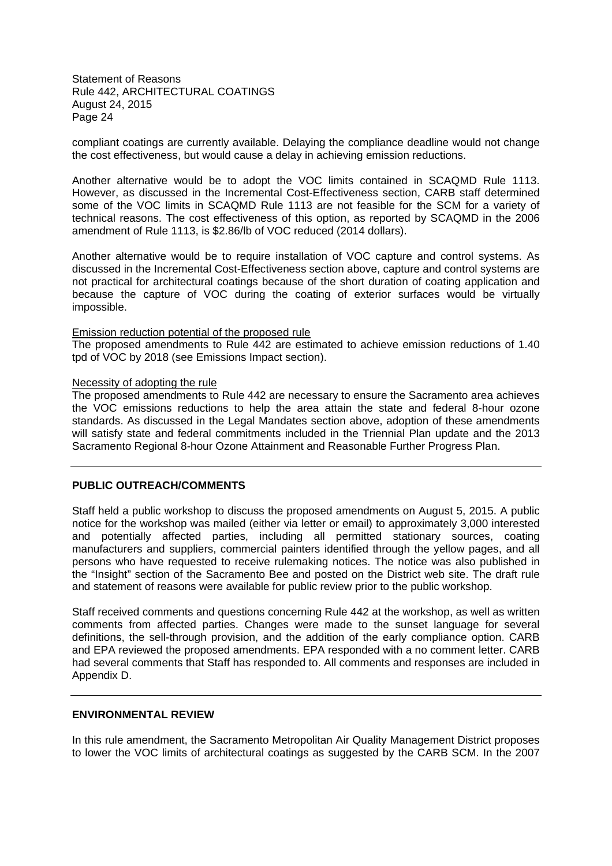compliant coatings are currently available. Delaying the compliance deadline would not change the cost effectiveness, but would cause a delay in achieving emission reductions.

Another alternative would be to adopt the VOC limits contained in SCAQMD Rule 1113. However, as discussed in the Incremental Cost-Effectiveness section, CARB staff determined some of the VOC limits in SCAQMD Rule 1113 are not feasible for the SCM for a variety of technical reasons. The cost effectiveness of this option, as reported by SCAQMD in the 2006 amendment of Rule 1113, is \$2.86/lb of VOC reduced (2014 dollars).

Another alternative would be to require installation of VOC capture and control systems. As discussed in the Incremental Cost-Effectiveness section above, capture and control systems are not practical for architectural coatings because of the short duration of coating application and because the capture of VOC during the coating of exterior surfaces would be virtually impossible.

#### Emission reduction potential of the proposed rule

The proposed amendments to Rule 442 are estimated to achieve emission reductions of 1.40 tpd of VOC by 2018 (see Emissions Impact section).

#### Necessity of adopting the rule

The proposed amendments to Rule 442 are necessary to ensure the Sacramento area achieves the VOC emissions reductions to help the area attain the state and federal 8-hour ozone standards. As discussed in the Legal Mandates section above, adoption of these amendments will satisfy state and federal commitments included in the Triennial Plan update and the 2013 Sacramento Regional 8-hour Ozone Attainment and Reasonable Further Progress Plan.

# **PUBLIC OUTREACH/COMMENTS**

Staff held a public workshop to discuss the proposed amendments on August 5, 2015. A public notice for the workshop was mailed (either via letter or email) to approximately 3,000 interested and potentially affected parties, including all permitted stationary sources, coating manufacturers and suppliers, commercial painters identified through the yellow pages, and all persons who have requested to receive rulemaking notices. The notice was also published in the "Insight" section of the Sacramento Bee and posted on the District web site. The draft rule and statement of reasons were available for public review prior to the public workshop.

Staff received comments and questions concerning Rule 442 at the workshop, as well as written comments from affected parties. Changes were made to the sunset language for several definitions, the sell-through provision, and the addition of the early compliance option. CARB and EPA reviewed the proposed amendments. EPA responded with a no comment letter. CARB had several comments that Staff has responded to. All comments and responses are included in Appendix D.

# **ENVIRONMENTAL REVIEW**

In this rule amendment, the Sacramento Metropolitan Air Quality Management District proposes to lower the VOC limits of architectural coatings as suggested by the CARB SCM. In the 2007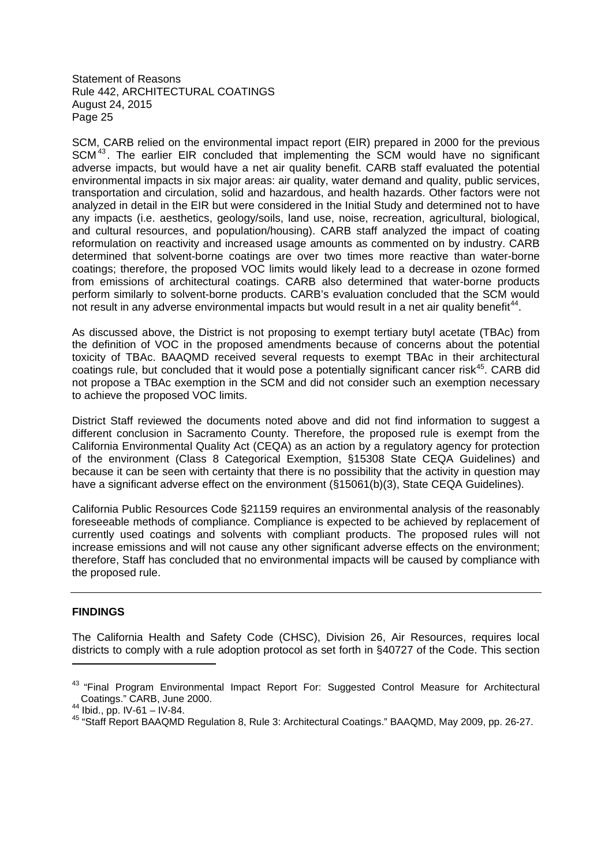SCM, CARB relied on the environmental impact report (EIR) prepared in 2000 for the previous SCM<sup>43</sup>. The earlier EIR concluded that implementing the SCM would have no significant adverse impacts, but would have a net air quality benefit. CARB staff evaluated the potential environmental impacts in six major areas: air quality, water demand and quality, public services, transportation and circulation, solid and hazardous, and health hazards. Other factors were not analyzed in detail in the EIR but were considered in the Initial Study and determined not to have any impacts (i.e. aesthetics, geology/soils, land use, noise, recreation, agricultural, biological, and cultural resources, and population/housing). CARB staff analyzed the impact of coating reformulation on reactivity and increased usage amounts as commented on by industry. CARB determined that solvent-borne coatings are over two times more reactive than water-borne coatings; therefore, the proposed VOC limits would likely lead to a decrease in ozone formed from emissions of architectural coatings. CARB also determined that water-borne products perform similarly to solvent-borne products. CARB's evaluation concluded that the SCM would not result in any adverse environmental impacts but would result in a net air quality benefit<sup>44</sup>.

As discussed above, the District is not proposing to exempt tertiary butyl acetate (TBAc) from the definition of VOC in the proposed amendments because of concerns about the potential toxicity of TBAc. BAAQMD received several requests to exempt TBAc in their architectural coatings rule, but concluded that it would pose a potentially significant cancer risk<sup>45</sup>. CARB did not propose a TBAc exemption in the SCM and did not consider such an exemption necessary to achieve the proposed VOC limits.

District Staff reviewed the documents noted above and did not find information to suggest a different conclusion in Sacramento County. Therefore, the proposed rule is exempt from the California Environmental Quality Act (CEQA) as an action by a regulatory agency for protection of the environment (Class 8 Categorical Exemption, §15308 State CEQA Guidelines) and because it can be seen with certainty that there is no possibility that the activity in question may have a significant adverse effect on the environment (§15061(b)(3), State CEQA Guidelines).

California Public Resources Code §21159 requires an environmental analysis of the reasonably foreseeable methods of compliance. Compliance is expected to be achieved by replacement of currently used coatings and solvents with compliant products. The proposed rules will not increase emissions and will not cause any other significant adverse effects on the environment; therefore, Staff has concluded that no environmental impacts will be caused by compliance with the proposed rule.

# **FINDINGS**

The California Health and Safety Code (CHSC), Division 26, Air Resources, requires local districts to comply with a rule adoption protocol as set forth in §40727 of the Code. This section

<sup>&</sup>lt;sup>43</sup> "Final Program Environmental Impact Report For: Suggested Control Measure for Architectural Coatings." CARB, June 2000.

 $44$  Ibid., pp. IV-61 – IV-84.

<sup>45</sup> "Staff Report BAAQMD Regulation 8, Rule 3: Architectural Coatings." BAAQMD, May 2009, pp. 26-27.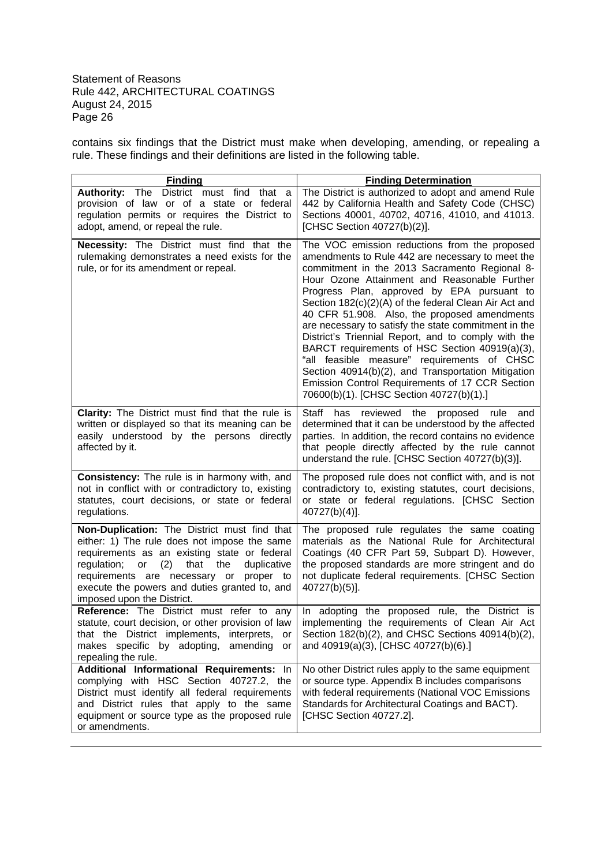contains six findings that the District must make when developing, amending, or repealing a rule. These findings and their definitions are listed in the following table.

| <b>Finding</b>                                                                                                                                                                                                                                                                                                                      | <b>Finding Determination</b>                                                                                                                                                                                                                                                                                                                                                                                                                                                                                                                                                                                                                                                                                                   |
|-------------------------------------------------------------------------------------------------------------------------------------------------------------------------------------------------------------------------------------------------------------------------------------------------------------------------------------|--------------------------------------------------------------------------------------------------------------------------------------------------------------------------------------------------------------------------------------------------------------------------------------------------------------------------------------------------------------------------------------------------------------------------------------------------------------------------------------------------------------------------------------------------------------------------------------------------------------------------------------------------------------------------------------------------------------------------------|
| Authority: The District must find that a<br>provision of law or of a state or federal<br>regulation permits or requires the District to<br>adopt, amend, or repeal the rule.                                                                                                                                                        | The District is authorized to adopt and amend Rule<br>442 by California Health and Safety Code (CHSC)<br>Sections 40001, 40702, 40716, 41010, and 41013.<br>[CHSC Section 40727(b)(2)].                                                                                                                                                                                                                                                                                                                                                                                                                                                                                                                                        |
| Necessity: The District must find that the<br>rulemaking demonstrates a need exists for the<br>rule, or for its amendment or repeal.                                                                                                                                                                                                | The VOC emission reductions from the proposed<br>amendments to Rule 442 are necessary to meet the<br>commitment in the 2013 Sacramento Regional 8-<br>Hour Ozone Attainment and Reasonable Further<br>Progress Plan, approved by EPA pursuant to<br>Section 182(c)(2)(A) of the federal Clean Air Act and<br>40 CFR 51.908. Also, the proposed amendments<br>are necessary to satisfy the state commitment in the<br>District's Triennial Report, and to comply with the<br>BARCT requirements of HSC Section 40919(a)(3),<br>"all feasible measure" requirements of CHSC<br>Section 40914(b)(2), and Transportation Mitigation<br>Emission Control Requirements of 17 CCR Section<br>70600(b)(1). [CHSC Section 40727(b)(1).] |
| Clarity: The District must find that the rule is<br>written or displayed so that its meaning can be<br>easily understood by the persons directly<br>affected by it.                                                                                                                                                                 | has reviewed the proposed<br>Staff<br>rule<br>and<br>determined that it can be understood by the affected<br>parties. In addition, the record contains no evidence<br>that people directly affected by the rule cannot<br>understand the rule. [CHSC Section 40727(b)(3)].                                                                                                                                                                                                                                                                                                                                                                                                                                                     |
| Consistency: The rule is in harmony with, and<br>not in conflict with or contradictory to, existing<br>statutes, court decisions, or state or federal<br>regulations.                                                                                                                                                               | The proposed rule does not conflict with, and is not<br>contradictory to, existing statutes, court decisions,<br>or state or federal regulations. [CHSC Section<br>40727(b)(4)].                                                                                                                                                                                                                                                                                                                                                                                                                                                                                                                                               |
| Non-Duplication: The District must find that<br>either: 1) The rule does not impose the same<br>requirements as an existing state or federal<br>(2)<br>regulation;<br>or<br>that<br>the<br>duplicative<br>requirements are necessary or<br>proper to<br>execute the powers and duties granted to, and<br>imposed upon the District. | The proposed rule regulates the same coating<br>materials as the National Rule for Architectural<br>Coatings (40 CFR Part 59, Subpart D). However,<br>the proposed standards are more stringent and do<br>not duplicate federal requirements. [CHSC Section<br>40727(b)(5)].                                                                                                                                                                                                                                                                                                                                                                                                                                                   |
| Reference: The District must refer to any<br>statute, court decision, or other provision of law<br>that the District implements,<br>interprets,<br>or<br>makes specific by adopting,<br>amending<br>or<br>repealing the rule.                                                                                                       | In adopting the proposed rule, the District is<br>implementing the requirements of Clean Air Act<br>Section 182(b)(2), and CHSC Sections 40914(b)(2),<br>and 40919(a)(3), [CHSC 40727(b)(6).]                                                                                                                                                                                                                                                                                                                                                                                                                                                                                                                                  |
| Additional Informational Requirements: In<br>complying with HSC Section 40727.2, the<br>District must identify all federal requirements<br>and District rules that apply to the same<br>equipment or source type as the proposed rule<br>or amendments.                                                                             | No other District rules apply to the same equipment<br>or source type. Appendix B includes comparisons<br>with federal requirements (National VOC Emissions<br>Standards for Architectural Coatings and BACT).<br>[CHSC Section 40727.2].                                                                                                                                                                                                                                                                                                                                                                                                                                                                                      |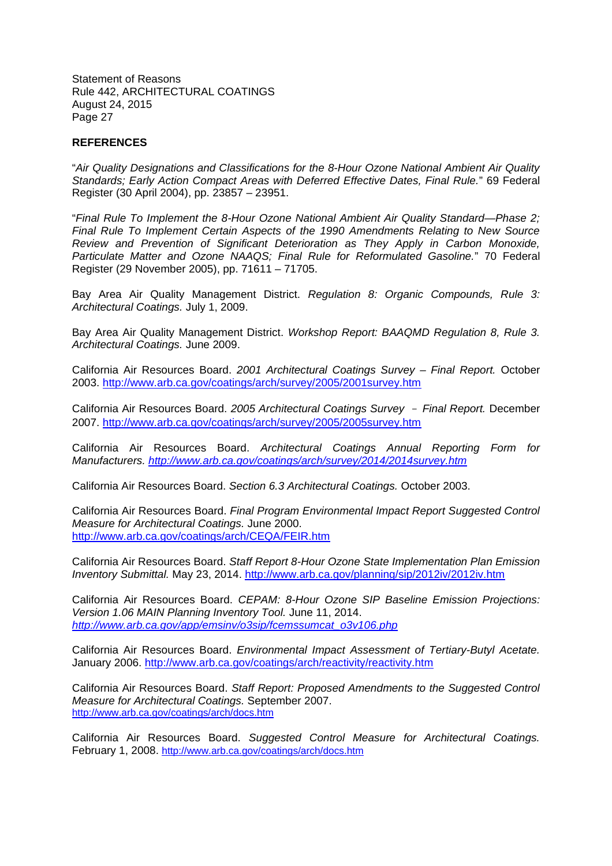# **REFERENCES**

"*Air Quality Designations and Classifications for the 8-Hour Ozone National Ambient Air Quality Standards; Early Action Compact Areas with Deferred Effective Dates, Final Rule.*" 69 Federal Register (30 April 2004), pp. 23857 – 23951.

"*Final Rule To Implement the 8-Hour Ozone National Ambient Air Quality Standard—Phase 2; Final Rule To Implement Certain Aspects of the 1990 Amendments Relating to New Source Review and Prevention of Significant Deterioration as They Apply in Carbon Monoxide, Particulate Matter and Ozone NAAQS; Final Rule for Reformulated Gasoline.*" 70 Federal Register (29 November 2005), pp. 71611 – 71705.

Bay Area Air Quality Management District. *Regulation 8: Organic Compounds, Rule 3: Architectural Coatings.* July 1, 2009.

Bay Area Air Quality Management District. *Workshop Report: BAAQMD Regulation 8, Rule 3. Architectural Coatings.* June 2009.

California Air Resources Board. *2001 Architectural Coatings Survey – Final Report.* October 2003. http://www.arb.ca.gov/coatings/arch/survey/2005/2001survey.htm

California Air Resources Board. *2005 Architectural Coatings Survey Final Report.* December 2007. http://www.arb.ca.gov/coatings/arch/survey/2005/2005survey.htm

California Air Resources Board. *Architectural Coatings Annual Reporting Form for Manufacturers. http://www.arb.ca.gov/coatings/arch/survey/2014/2014survey.htm*

California Air Resources Board. *Section 6.3 Architectural Coatings.* October 2003.

California Air Resources Board. *Final Program Environmental Impact Report Suggested Control Measure for Architectural Coatings.* June 2000. http://www.arb.ca.gov/coatings/arch/CEQA/FEIR.htm

California Air Resources Board. *Staff Report 8-Hour Ozone State Implementation Plan Emission Inventory Submittal.* May 23, 2014. http://www.arb.ca.gov/planning/sip/2012iv/2012iv.htm

California Air Resources Board. *CEPAM: 8-Hour Ozone SIP Baseline Emission Projections: Version 1.06 MAIN Planning Inventory Tool.* June 11, 2014. *http://www.arb.ca.gov/app/emsinv/o3sip/fcemssumcat\_o3v106.php*

California Air Resources Board. *Environmental Impact Assessment of Tertiary-Butyl Acetate.* January 2006. http://www.arb.ca.gov/coatings/arch/reactivity/reactivity.htm

California Air Resources Board. *Staff Report: Proposed Amendments to the Suggested Control Measure for Architectural Coatings.* September 2007. http://www.arb.ca.gov/coatings/arch/docs.htm

California Air Resources Board. *Suggested Control Measure for Architectural Coatings.* February 1, 2008. http://www.arb.ca.gov/coatings/arch/docs.htm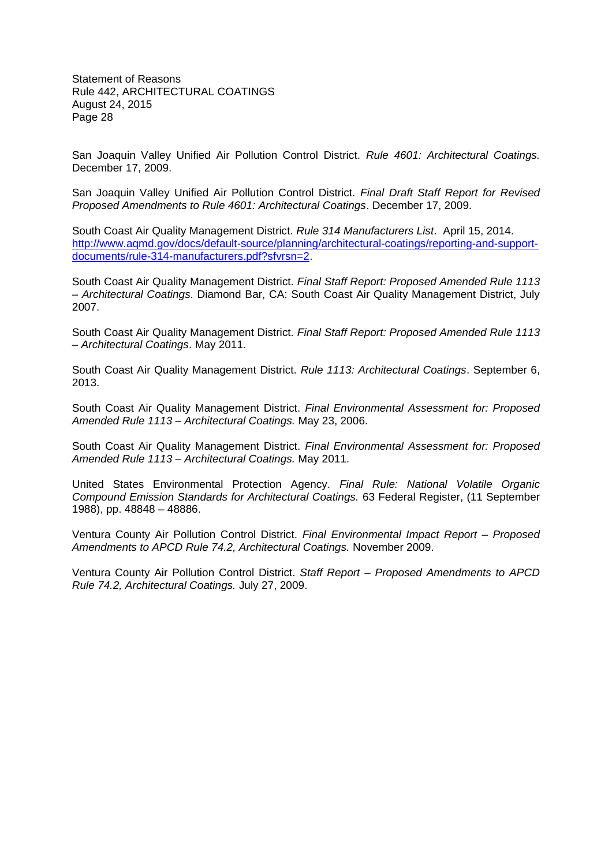San Joaquin Valley Unified Air Pollution Control District. *Rule 4601: Architectural Coatings.* December 17, 2009.

San Joaquin Valley Unified Air Pollution Control District. *Final Draft Staff Report for Revised Proposed Amendments to Rule 4601: Architectural Coatings*. December 17, 2009.

South Coast Air Quality Management District. *Rule 314 Manufacturers List*. April 15, 2014. http://www.aqmd.gov/docs/default-source/planning/architectural-coatings/reporting-and-supportdocuments/rule-314-manufacturers.pdf?sfvrsn=2.

South Coast Air Quality Management District. *Final Staff Report: Proposed Amended Rule 1113 – Architectural Coatings*. Diamond Bar, CA: South Coast Air Quality Management District, July 2007.

South Coast Air Quality Management District. *Final Staff Report: Proposed Amended Rule 1113 – Architectural Coatings*. May 2011.

South Coast Air Quality Management District. *Rule 1113: Architectural Coatings*. September 6, 2013.

South Coast Air Quality Management District. *Final Environmental Assessment for: Proposed Amended Rule 1113 – Architectural Coatings.* May 23, 2006.

South Coast Air Quality Management District. *Final Environmental Assessment for: Proposed Amended Rule 1113 – Architectural Coatings.* May 2011.

United States Environmental Protection Agency. *Final Rule: National Volatile Organic Compound Emission Standards for Architectural Coatings.* 63 Federal Register, (11 September 1988), pp. 48848 – 48886.

Ventura County Air Pollution Control District. *Final Environmental Impact Report – Proposed Amendments to APCD Rule 74.2, Architectural Coatings.* November 2009.

Ventura County Air Pollution Control District. *Staff Report – Proposed Amendments to APCD Rule 74.2, Architectural Coatings.* July 27, 2009.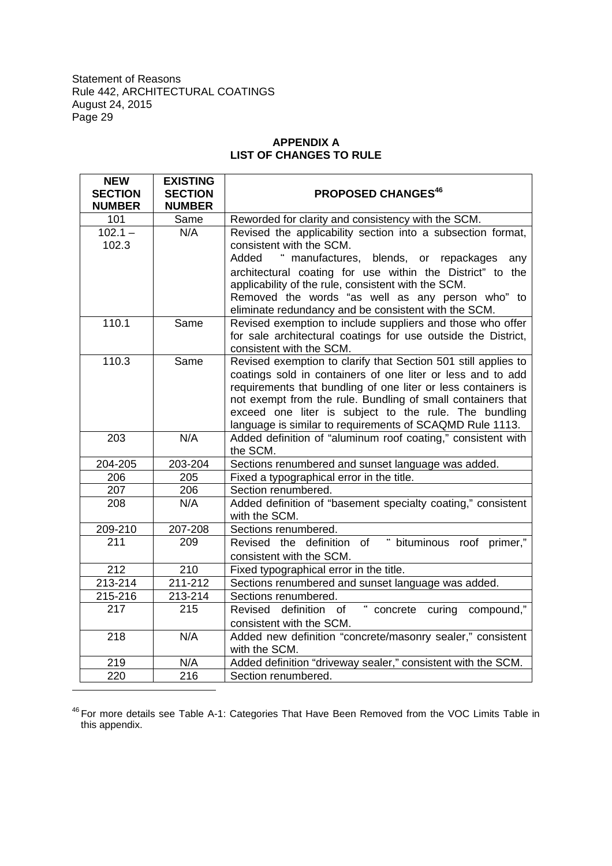# **APPENDIX A LIST OF CHANGES TO RULE**

| <b>NEW</b><br><b>SECTION</b><br><b>NUMBER</b> | <b>EXISTING</b><br><b>SECTION</b><br><b>NUMBER</b> | <b>PROPOSED CHANGES<sup>46</sup></b>                                                                                                                                                                                                                                                                                                                                               |
|-----------------------------------------------|----------------------------------------------------|------------------------------------------------------------------------------------------------------------------------------------------------------------------------------------------------------------------------------------------------------------------------------------------------------------------------------------------------------------------------------------|
| 101                                           | Same                                               | Reworded for clarity and consistency with the SCM.                                                                                                                                                                                                                                                                                                                                 |
| $102.1 -$<br>102.3                            | N/A                                                | Revised the applicability section into a subsection format,<br>consistent with the SCM.<br>" manufactures, blends, or repackages<br>Added<br>any                                                                                                                                                                                                                                   |
|                                               |                                                    | architectural coating for use within the District" to the<br>applicability of the rule, consistent with the SCM.<br>Removed the words "as well as any person who" to<br>eliminate redundancy and be consistent with the SCM.                                                                                                                                                       |
| 110.1                                         | Same                                               | Revised exemption to include suppliers and those who offer<br>for sale architectural coatings for use outside the District,<br>consistent with the SCM.                                                                                                                                                                                                                            |
| 110.3                                         | Same                                               | Revised exemption to clarify that Section 501 still applies to<br>coatings sold in containers of one liter or less and to add<br>requirements that bundling of one liter or less containers is<br>not exempt from the rule. Bundling of small containers that<br>exceed one liter is subject to the rule. The bundling<br>language is similar to requirements of SCAQMD Rule 1113. |
| 203                                           | N/A                                                | Added definition of "aluminum roof coating," consistent with<br>the SCM.                                                                                                                                                                                                                                                                                                           |
| 204-205                                       | 203-204                                            | Sections renumbered and sunset language was added.                                                                                                                                                                                                                                                                                                                                 |
| 206                                           | 205                                                | Fixed a typographical error in the title.                                                                                                                                                                                                                                                                                                                                          |
| 207                                           | 206                                                | Section renumbered.                                                                                                                                                                                                                                                                                                                                                                |
| 208                                           | N/A                                                | Added definition of "basement specialty coating," consistent<br>with the SCM.                                                                                                                                                                                                                                                                                                      |
| 209-210                                       | 207-208                                            | Sections renumbered.                                                                                                                                                                                                                                                                                                                                                               |
| 211                                           | 209                                                | Revised the definition of "bituminous roof primer,"<br>consistent with the SCM.                                                                                                                                                                                                                                                                                                    |
| 212                                           | 210                                                | Fixed typographical error in the title.                                                                                                                                                                                                                                                                                                                                            |
| 213-214                                       | 211-212                                            | Sections renumbered and sunset language was added.                                                                                                                                                                                                                                                                                                                                 |
| 215-216                                       | 213-214                                            | Sections renumbered.                                                                                                                                                                                                                                                                                                                                                               |
| 217                                           | 215                                                | Revised definition of "concrete curing compound,"<br>consistent with the SCM.                                                                                                                                                                                                                                                                                                      |
| 218                                           | N/A                                                | Added new definition "concrete/masonry sealer," consistent<br>with the SCM.                                                                                                                                                                                                                                                                                                        |
| 219                                           | N/A                                                | Added definition "driveway sealer," consistent with the SCM.                                                                                                                                                                                                                                                                                                                       |
| $\overline{2}20$                              | 216                                                | Section renumbered.                                                                                                                                                                                                                                                                                                                                                                |

<sup>46</sup> For more details see Table A-1: Categories That Have Been Removed from the VOC Limits Table in this appendix.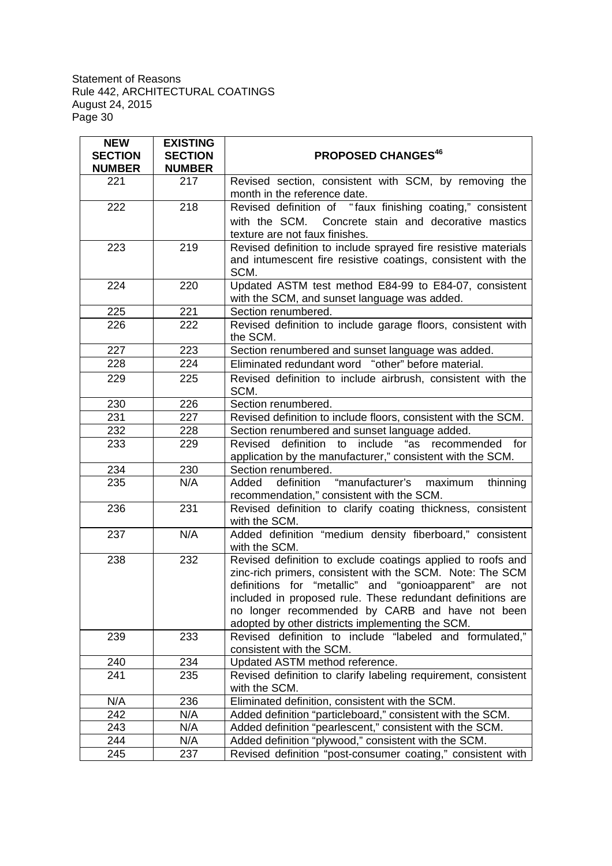| <b>NEW</b><br><b>SECTION</b><br><b>NUMBER</b> | <b>EXISTING</b><br><b>SECTION</b><br><b>NUMBER</b> | <b>PROPOSED CHANGES<sup>46</sup></b>                                                                                                                                                                                                                                                                                                                    |
|-----------------------------------------------|----------------------------------------------------|---------------------------------------------------------------------------------------------------------------------------------------------------------------------------------------------------------------------------------------------------------------------------------------------------------------------------------------------------------|
| 221                                           | 217                                                | Revised section, consistent with SCM, by removing the<br>month in the reference date.                                                                                                                                                                                                                                                                   |
| 222                                           | 218                                                | Revised definition of "faux finishing coating," consistent<br>with the SCM. Concrete stain and decorative mastics<br>texture are not faux finishes.                                                                                                                                                                                                     |
| 223                                           | 219                                                | Revised definition to include sprayed fire resistive materials<br>and intumescent fire resistive coatings, consistent with the<br>SCM.                                                                                                                                                                                                                  |
| 224                                           | 220                                                | Updated ASTM test method E84-99 to E84-07, consistent<br>with the SCM, and sunset language was added.                                                                                                                                                                                                                                                   |
| 225                                           | 221                                                | Section renumbered.                                                                                                                                                                                                                                                                                                                                     |
| 226                                           | 222                                                | Revised definition to include garage floors, consistent with<br>the SCM.                                                                                                                                                                                                                                                                                |
| 227                                           | 223                                                | Section renumbered and sunset language was added.                                                                                                                                                                                                                                                                                                       |
| 228                                           | 224                                                | Eliminated redundant word "other" before material.                                                                                                                                                                                                                                                                                                      |
| 229                                           | 225                                                | Revised definition to include airbrush, consistent with the<br>SCM.                                                                                                                                                                                                                                                                                     |
| 230                                           | 226                                                | Section renumbered.                                                                                                                                                                                                                                                                                                                                     |
| 231                                           | 227                                                | Revised definition to include floors, consistent with the SCM.                                                                                                                                                                                                                                                                                          |
| 232                                           | 228                                                | Section renumbered and sunset language added.                                                                                                                                                                                                                                                                                                           |
| 233                                           | 229                                                | definition to include "as recommended for<br>Revised                                                                                                                                                                                                                                                                                                    |
|                                               |                                                    | application by the manufacturer," consistent with the SCM.                                                                                                                                                                                                                                                                                              |
| 234                                           | 230                                                | Section renumbered.                                                                                                                                                                                                                                                                                                                                     |
| 235                                           | N/A                                                | definition "manufacturer's<br>Added<br>maximum<br>thinning<br>recommendation," consistent with the SCM.                                                                                                                                                                                                                                                 |
| 236                                           | 231                                                | Revised definition to clarify coating thickness, consistent<br>with the SCM.                                                                                                                                                                                                                                                                            |
| 237                                           | N/A                                                | Added definition "medium density fiberboard," consistent<br>with the SCM.                                                                                                                                                                                                                                                                               |
| 238                                           | 232                                                | Revised definition to exclude coatings applied to roofs and<br>zinc-rich primers, consistent with the SCM. Note: The SCM<br>definitions for "metallic" and "gonioapparent" are not<br>included in proposed rule. These redundant definitions are<br>no longer recommended by CARB and have not been<br>adopted by other districts implementing the SCM. |
| 239                                           | 233                                                | Revised definition to include "labeled and formulated,"<br>consistent with the SCM.                                                                                                                                                                                                                                                                     |
| 240                                           | 234                                                | Updated ASTM method reference.                                                                                                                                                                                                                                                                                                                          |
| 241                                           | 235                                                | Revised definition to clarify labeling requirement, consistent<br>with the SCM.                                                                                                                                                                                                                                                                         |
| N/A                                           | 236                                                | Eliminated definition, consistent with the SCM.                                                                                                                                                                                                                                                                                                         |
| 242                                           | N/A                                                | Added definition "particleboard," consistent with the SCM.                                                                                                                                                                                                                                                                                              |
| 243                                           | N/A                                                | Added definition "pearlescent," consistent with the SCM.                                                                                                                                                                                                                                                                                                |
| 244                                           | N/A                                                | Added definition "plywood," consistent with the SCM.                                                                                                                                                                                                                                                                                                    |
| 245                                           | 237                                                | Revised definition "post-consumer coating," consistent with                                                                                                                                                                                                                                                                                             |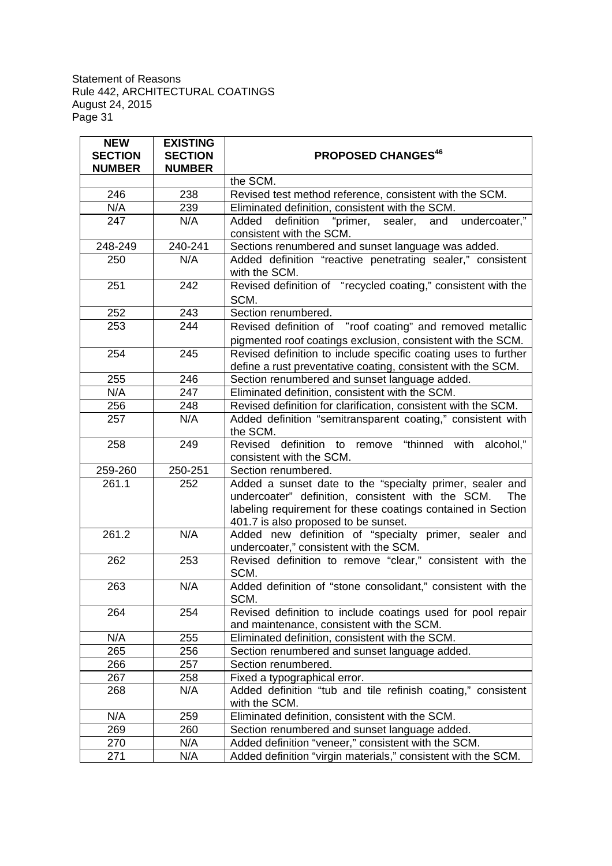| <b>NEW</b><br><b>SECTION</b><br><b>NUMBER</b> | <b>EXISTING</b><br><b>SECTION</b><br><b>NUMBER</b> | <b>PROPOSED CHANGES46</b>                                                                                                                                                                                                    |
|-----------------------------------------------|----------------------------------------------------|------------------------------------------------------------------------------------------------------------------------------------------------------------------------------------------------------------------------------|
|                                               |                                                    | the SCM.                                                                                                                                                                                                                     |
| 246                                           | 238                                                | Revised test method reference, consistent with the SCM.                                                                                                                                                                      |
| N/A                                           | 239                                                | Eliminated definition, consistent with the SCM.                                                                                                                                                                              |
| 247                                           | N/A                                                | "primer, sealer, and undercoater,"<br>definition<br>Added<br>consistent with the SCM.                                                                                                                                        |
| 248-249                                       | 240-241                                            | Sections renumbered and sunset language was added.                                                                                                                                                                           |
| 250                                           | N/A                                                | Added definition "reactive penetrating sealer," consistent<br>with the SCM.                                                                                                                                                  |
| 251                                           | 242                                                | Revised definition of "recycled coating," consistent with the<br>SCM.                                                                                                                                                        |
| 252                                           | 243                                                | Section renumbered.                                                                                                                                                                                                          |
| 253                                           | 244                                                | Revised definition of "roof coating" and removed metallic<br>pigmented roof coatings exclusion, consistent with the SCM.                                                                                                     |
| 254                                           | 245                                                | Revised definition to include specific coating uses to further<br>define a rust preventative coating, consistent with the SCM.                                                                                               |
| 255                                           | 246                                                | Section renumbered and sunset language added.                                                                                                                                                                                |
| N/A                                           | 247                                                | Eliminated definition, consistent with the SCM.                                                                                                                                                                              |
| 256                                           | 248                                                | Revised definition for clarification, consistent with the SCM.                                                                                                                                                               |
| 257                                           | N/A                                                | Added definition "semitransparent coating," consistent with<br>the SCM.                                                                                                                                                      |
| 258                                           | 249                                                | Revised definition to remove "thinned with alcohol,"<br>consistent with the SCM.                                                                                                                                             |
| 259-260                                       | 250-251                                            | Section renumbered.                                                                                                                                                                                                          |
| 261.1                                         | 252                                                | Added a sunset date to the "specialty primer, sealer and<br>undercoater" definition, consistent with the SCM.<br>The<br>labeling requirement for these coatings contained in Section<br>401.7 is also proposed to be sunset. |
| 261.2                                         | N/A                                                | Added new definition of "specialty primer, sealer and<br>undercoater," consistent with the SCM.                                                                                                                              |
| 262                                           | 253                                                | Revised definition to remove "clear," consistent with the<br>SCM.                                                                                                                                                            |
| 263                                           | N/A                                                | Added definition of "stone consolidant," consistent with the<br>SCM.                                                                                                                                                         |
| 264                                           | 254                                                | Revised definition to include coatings used for pool repair<br>and maintenance, consistent with the SCM.                                                                                                                     |
| N/A                                           | 255                                                | Eliminated definition, consistent with the SCM.                                                                                                                                                                              |
| 265                                           | 256                                                | Section renumbered and sunset language added.                                                                                                                                                                                |
| 266                                           | 257                                                | Section renumbered.                                                                                                                                                                                                          |
| 267                                           | 258                                                | Fixed a typographical error.                                                                                                                                                                                                 |
| 268                                           | N/A                                                | Added definition "tub and tile refinish coating," consistent<br>with the SCM.                                                                                                                                                |
| N/A                                           | 259                                                | Eliminated definition, consistent with the SCM.                                                                                                                                                                              |
| 269                                           | 260                                                | Section renumbered and sunset language added.                                                                                                                                                                                |
| 270                                           | N/A                                                | Added definition "veneer," consistent with the SCM.                                                                                                                                                                          |
| 271                                           | N/A                                                | Added definition "virgin materials," consistent with the SCM.                                                                                                                                                                |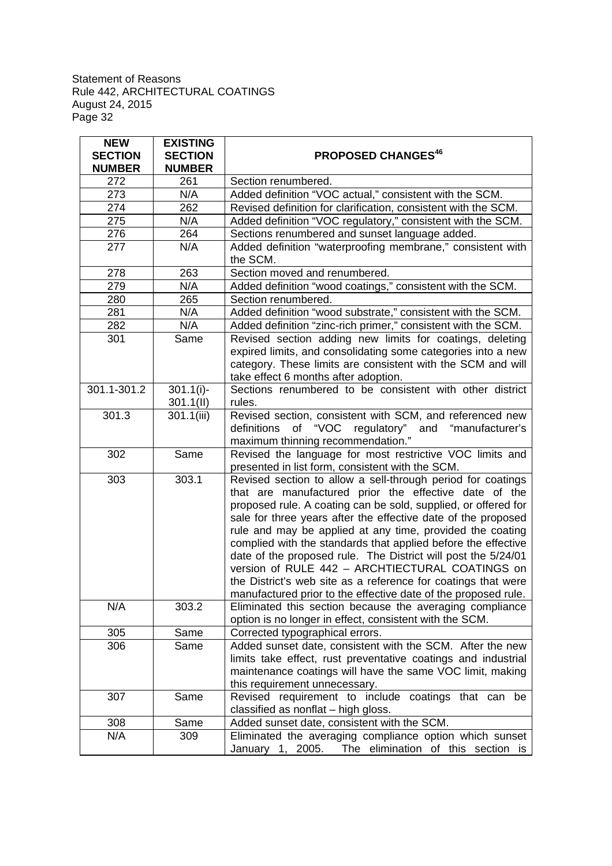| <b>NEW</b><br><b>SECTION</b><br><b>NUMBER</b> | <b>EXISTING</b><br><b>SECTION</b><br><b>NUMBER</b> | <b>PROPOSED CHANGES<sup>46</sup></b>                                                                                                                                                                                                                                                                                                                                                                                                                                                                                                                                                                                                         |
|-----------------------------------------------|----------------------------------------------------|----------------------------------------------------------------------------------------------------------------------------------------------------------------------------------------------------------------------------------------------------------------------------------------------------------------------------------------------------------------------------------------------------------------------------------------------------------------------------------------------------------------------------------------------------------------------------------------------------------------------------------------------|
| 272                                           | 261                                                | Section renumbered.                                                                                                                                                                                                                                                                                                                                                                                                                                                                                                                                                                                                                          |
| 273                                           | N/A                                                | Added definition "VOC actual," consistent with the SCM.                                                                                                                                                                                                                                                                                                                                                                                                                                                                                                                                                                                      |
| 274                                           | 262                                                | Revised definition for clarification, consistent with the SCM.                                                                                                                                                                                                                                                                                                                                                                                                                                                                                                                                                                               |
| 275                                           | N/A                                                | Added definition "VOC regulatory," consistent with the SCM.                                                                                                                                                                                                                                                                                                                                                                                                                                                                                                                                                                                  |
| 276                                           | 264                                                | Sections renumbered and sunset language added.                                                                                                                                                                                                                                                                                                                                                                                                                                                                                                                                                                                               |
| 277                                           | N/A                                                | Added definition "waterproofing membrane," consistent with<br>the SCM.                                                                                                                                                                                                                                                                                                                                                                                                                                                                                                                                                                       |
| 278                                           | 263                                                | Section moved and renumbered.                                                                                                                                                                                                                                                                                                                                                                                                                                                                                                                                                                                                                |
| 279                                           | N/A                                                | Added definition "wood coatings," consistent with the SCM.                                                                                                                                                                                                                                                                                                                                                                                                                                                                                                                                                                                   |
| 280                                           | 265                                                | Section renumbered.                                                                                                                                                                                                                                                                                                                                                                                                                                                                                                                                                                                                                          |
| 281                                           | N/A                                                | Added definition "wood substrate," consistent with the SCM.                                                                                                                                                                                                                                                                                                                                                                                                                                                                                                                                                                                  |
| 282                                           | N/A                                                | Added definition "zinc-rich primer," consistent with the SCM.                                                                                                                                                                                                                                                                                                                                                                                                                                                                                                                                                                                |
| 301                                           | Same                                               | Revised section adding new limits for coatings, deleting                                                                                                                                                                                                                                                                                                                                                                                                                                                                                                                                                                                     |
|                                               |                                                    | expired limits, and consolidating some categories into a new<br>category. These limits are consistent with the SCM and will<br>take effect 6 months after adoption.                                                                                                                                                                                                                                                                                                                                                                                                                                                                          |
| $301.1 - 301.2$                               | $301.1(i)$ -                                       | Sections renumbered to be consistent with other district                                                                                                                                                                                                                                                                                                                                                                                                                                                                                                                                                                                     |
|                                               | 301.1(11)                                          | rules.                                                                                                                                                                                                                                                                                                                                                                                                                                                                                                                                                                                                                                       |
| 301.3                                         | 301.1(iii)                                         | Revised section, consistent with SCM, and referenced new<br>definitions of "VOC regulatory" and "manufacturer's<br>maximum thinning recommendation."                                                                                                                                                                                                                                                                                                                                                                                                                                                                                         |
| 302                                           | Same                                               | Revised the language for most restrictive VOC limits and<br>presented in list form, consistent with the SCM.                                                                                                                                                                                                                                                                                                                                                                                                                                                                                                                                 |
| 303                                           | 303.1                                              | Revised section to allow a sell-through period for coatings<br>that are manufactured prior the effective date of the<br>proposed rule. A coating can be sold, supplied, or offered for<br>sale for three years after the effective date of the proposed<br>rule and may be applied at any time, provided the coating<br>complied with the standards that applied before the effective<br>date of the proposed rule. The District will post the 5/24/01<br>version of RULE 442 - ARCHTIECTURAL COATINGS on<br>the District's web site as a reference for coatings that were<br>manufactured prior to the effective date of the proposed rule. |
| N/A                                           | 303.2                                              | Eliminated this section because the averaging compliance<br>option is no longer in effect, consistent with the SCM.                                                                                                                                                                                                                                                                                                                                                                                                                                                                                                                          |
| 305                                           | Same                                               | Corrected typographical errors.                                                                                                                                                                                                                                                                                                                                                                                                                                                                                                                                                                                                              |
| 306                                           | Same                                               | Added sunset date, consistent with the SCM. After the new                                                                                                                                                                                                                                                                                                                                                                                                                                                                                                                                                                                    |
|                                               |                                                    | limits take effect, rust preventative coatings and industrial<br>maintenance coatings will have the same VOC limit, making<br>this requirement unnecessary.                                                                                                                                                                                                                                                                                                                                                                                                                                                                                  |
| 307                                           | Same                                               | Revised requirement to include coatings that can be<br>classified as nonflat - high gloss.                                                                                                                                                                                                                                                                                                                                                                                                                                                                                                                                                   |
| 308                                           | Same                                               | Added sunset date, consistent with the SCM.                                                                                                                                                                                                                                                                                                                                                                                                                                                                                                                                                                                                  |
| N/A                                           | 309                                                | Eliminated the averaging compliance option which sunset<br>January 1, 2005.<br>The elimination of this section is                                                                                                                                                                                                                                                                                                                                                                                                                                                                                                                            |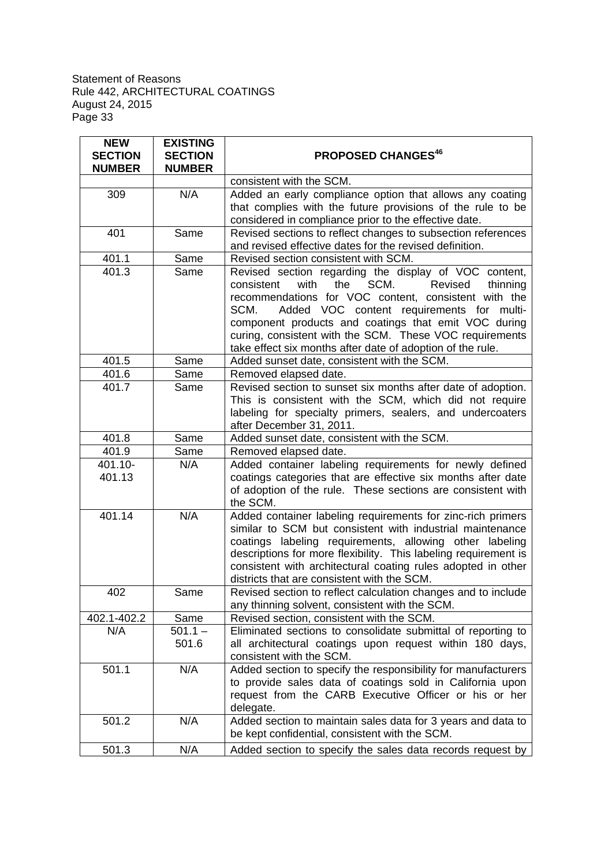| <b>NEW</b><br><b>SECTION</b> | <b>EXISTING</b><br><b>SECTION</b> | <b>PROPOSED CHANGES<sup>46</sup></b>                                                                                                                                                                                                                                                                                                                                                                            |
|------------------------------|-----------------------------------|-----------------------------------------------------------------------------------------------------------------------------------------------------------------------------------------------------------------------------------------------------------------------------------------------------------------------------------------------------------------------------------------------------------------|
| <b>NUMBER</b>                | <b>NUMBER</b>                     |                                                                                                                                                                                                                                                                                                                                                                                                                 |
|                              |                                   | consistent with the SCM.                                                                                                                                                                                                                                                                                                                                                                                        |
| 309                          | N/A                               | Added an early compliance option that allows any coating<br>that complies with the future provisions of the rule to be<br>considered in compliance prior to the effective date.                                                                                                                                                                                                                                 |
| 401                          | Same                              | Revised sections to reflect changes to subsection references<br>and revised effective dates for the revised definition.                                                                                                                                                                                                                                                                                         |
| 401.1                        | Same                              | Revised section consistent with SCM.                                                                                                                                                                                                                                                                                                                                                                            |
| 401.3                        | Same                              | Revised section regarding the display of VOC content,<br>the<br>SCM.<br>consistent<br>with<br>Revised<br>thinning<br>recommendations for VOC content, consistent with the<br>Added VOC content requirements for multi-<br>SCM.<br>component products and coatings that emit VOC during<br>curing, consistent with the SCM. These VOC requirements<br>take effect six months after date of adoption of the rule. |
| 401.5                        | Same                              | Added sunset date, consistent with the SCM.                                                                                                                                                                                                                                                                                                                                                                     |
| 401.6                        | Same                              | Removed elapsed date.                                                                                                                                                                                                                                                                                                                                                                                           |
| 401.7                        | Same                              | Revised section to sunset six months after date of adoption.<br>This is consistent with the SCM, which did not require<br>labeling for specialty primers, sealers, and undercoaters<br>after December 31, 2011.                                                                                                                                                                                                 |
| 401.8                        | Same                              | Added sunset date, consistent with the SCM.                                                                                                                                                                                                                                                                                                                                                                     |
| 401.9                        | Same                              | Removed elapsed date.                                                                                                                                                                                                                                                                                                                                                                                           |
| 401.10-<br>401.13            | N/A                               | Added container labeling requirements for newly defined<br>coatings categories that are effective six months after date<br>of adoption of the rule. These sections are consistent with<br>the SCM.                                                                                                                                                                                                              |
| 401.14                       | N/A                               | Added container labeling requirements for zinc-rich primers<br>similar to SCM but consistent with industrial maintenance<br>coatings labeling requirements, allowing other labeling<br>descriptions for more flexibility. This labeling requirement is<br>consistent with architectural coating rules adopted in other<br>districts that are consistent with the SCM.                                           |
| 402                          | Same                              | Revised section to reflect calculation changes and to include<br>any thinning solvent, consistent with the SCM.                                                                                                                                                                                                                                                                                                 |
| 402.1-402.2                  | Same                              | Revised section, consistent with the SCM.                                                                                                                                                                                                                                                                                                                                                                       |
| N/A                          | $501.1 -$<br>501.6                | Eliminated sections to consolidate submittal of reporting to<br>all architectural coatings upon request within 180 days,<br>consistent with the SCM.                                                                                                                                                                                                                                                            |
| 501.1                        | N/A                               | Added section to specify the responsibility for manufacturers<br>to provide sales data of coatings sold in California upon<br>request from the CARB Executive Officer or his or her<br>delegate.                                                                                                                                                                                                                |
| 501.2                        | N/A                               | Added section to maintain sales data for 3 years and data to<br>be kept confidential, consistent with the SCM.                                                                                                                                                                                                                                                                                                  |
| 501.3                        | N/A                               | Added section to specify the sales data records request by                                                                                                                                                                                                                                                                                                                                                      |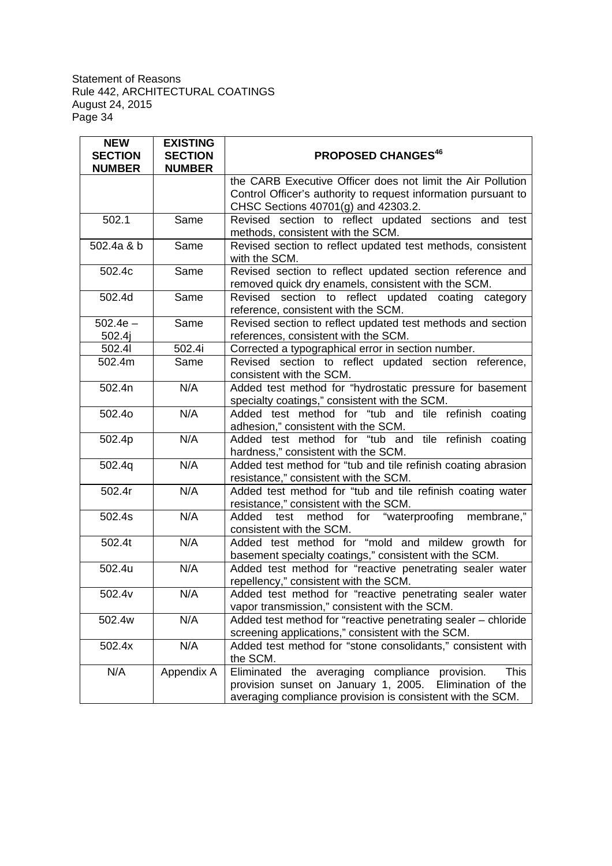| <b>NEW</b><br><b>SECTION</b><br><b>NUMBER</b> | <b>EXISTING</b><br><b>SECTION</b><br><b>NUMBER</b> | <b>PROPOSED CHANGES<sup>46</sup></b>                                                                                                                                                         |
|-----------------------------------------------|----------------------------------------------------|----------------------------------------------------------------------------------------------------------------------------------------------------------------------------------------------|
|                                               |                                                    | the CARB Executive Officer does not limit the Air Pollution<br>Control Officer's authority to request information pursuant to<br>CHSC Sections 40701(g) and 42303.2.                         |
| 502.1                                         | Same                                               | Revised section to reflect updated sections and test<br>methods, consistent with the SCM.                                                                                                    |
| 502.4a & b                                    | Same                                               | Revised section to reflect updated test methods, consistent<br>with the SCM.                                                                                                                 |
| 502.4c                                        | Same                                               | Revised section to reflect updated section reference and<br>removed quick dry enamels, consistent with the SCM.                                                                              |
| 502.4d                                        | Same                                               | Revised section to reflect updated coating category<br>reference, consistent with the SCM.                                                                                                   |
| $502.4e -$<br>502.4j                          | Same                                               | Revised section to reflect updated test methods and section<br>references, consistent with the SCM.                                                                                          |
| 502.41                                        | 502.4i                                             | Corrected a typographical error in section number.                                                                                                                                           |
| 502.4m                                        | Same                                               | Revised section to reflect updated section reference,<br>consistent with the SCM.                                                                                                            |
| 502.4n                                        | N/A                                                | Added test method for "hydrostatic pressure for basement<br>specialty coatings," consistent with the SCM.                                                                                    |
| 502.40                                        | N/A                                                | Added test method for "tub and tile refinish coating<br>adhesion," consistent with the SCM.                                                                                                  |
| 502.4p                                        | N/A                                                | Added test method for "tub and tile refinish coating<br>hardness," consistent with the SCM.                                                                                                  |
| 502.4q                                        | N/A                                                | Added test method for "tub and tile refinish coating abrasion<br>resistance," consistent with the SCM.                                                                                       |
| 502.4r                                        | N/A                                                | Added test method for "tub and tile refinish coating water<br>resistance," consistent with the SCM.                                                                                          |
| 502.4s                                        | N/A                                                | method for "waterproofing<br>membrane,"<br>test<br>Added<br>consistent with the SCM.                                                                                                         |
| 502.4t                                        | N/A                                                | Added test method for "mold and mildew growth for<br>basement specialty coatings," consistent with the SCM.                                                                                  |
| 502.4u                                        | N/A                                                | Added test method for "reactive penetrating sealer water<br>repellency," consistent with the SCM.                                                                                            |
| 502.4v                                        | N/A                                                | Added test method for "reactive penetrating sealer water<br>vapor transmission," consistent with the SCM.                                                                                    |
| 502.4w                                        | N/A                                                | Added test method for "reactive penetrating sealer - chloride<br>screening applications," consistent with the SCM.                                                                           |
| 502.4x                                        | N/A                                                | Added test method for "stone consolidants," consistent with<br>the SCM.                                                                                                                      |
| N/A                                           | Appendix A                                         | Eliminated the averaging compliance<br><b>This</b><br>provision.<br>provision sunset on January 1, 2005.<br>Elimination of the<br>averaging compliance provision is consistent with the SCM. |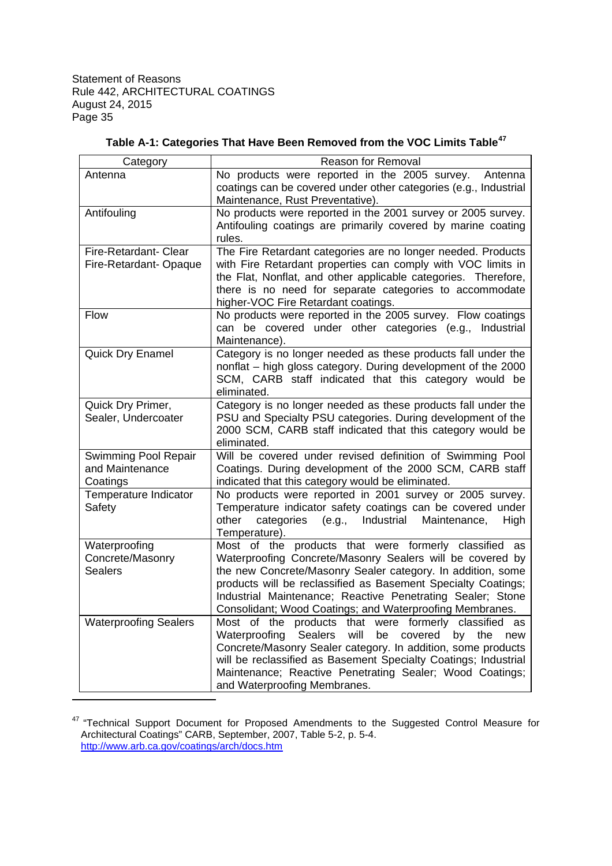| Category                     | <b>Reason for Removal</b>                                                    |
|------------------------------|------------------------------------------------------------------------------|
| Antenna                      | No products were reported in the 2005 survey.<br>Antenna                     |
|                              | coatings can be covered under other categories (e.g., Industrial             |
|                              | Maintenance, Rust Preventative).                                             |
| Antifouling                  | No products were reported in the 2001 survey or 2005 survey.                 |
|                              | Antifouling coatings are primarily covered by marine coating                 |
|                              | rules.                                                                       |
| Fire-Retardant- Clear        | The Fire Retardant categories are no longer needed. Products                 |
| Fire-Retardant-Opaque        | with Fire Retardant properties can comply with VOC limits in                 |
|                              | the Flat, Nonflat, and other applicable categories. Therefore,               |
|                              | there is no need for separate categories to accommodate                      |
|                              | higher-VOC Fire Retardant coatings.                                          |
| Flow                         | No products were reported in the 2005 survey. Flow coatings                  |
|                              | can be covered under other categories (e.g., Industrial                      |
|                              | Maintenance).                                                                |
| Quick Dry Enamel             | Category is no longer needed as these products fall under the                |
|                              | nonflat - high gloss category. During development of the 2000                |
|                              | SCM, CARB staff indicated that this category would be                        |
|                              | eliminated.                                                                  |
| Quick Dry Primer,            | Category is no longer needed as these products fall under the                |
| Sealer, Undercoater          | PSU and Specialty PSU categories. During development of the                  |
|                              | 2000 SCM, CARB staff indicated that this category would be                   |
|                              | eliminated.                                                                  |
| Swimming Pool Repair         | Will be covered under revised definition of Swimming Pool                    |
| and Maintenance              | Coatings. During development of the 2000 SCM, CARB staff                     |
| Coatings                     | indicated that this category would be eliminated.                            |
| Temperature Indicator        | No products were reported in 2001 survey or 2005 survey.                     |
| Safety                       | Temperature indicator safety coatings can be covered under                   |
|                              | other<br>categories<br>(e.g., Industrial<br>Maintenance,<br>High             |
|                              | Temperature).                                                                |
| Waterproofing                | Most of the products that were formerly classified<br>as                     |
| Concrete/Masonry             | Waterproofing Concrete/Masonry Sealers will be covered by                    |
| <b>Sealers</b>               | the new Concrete/Masonry Sealer category. In addition, some                  |
|                              | products will be reclassified as Basement Specialty Coatings;                |
|                              | Industrial Maintenance; Reactive Penetrating Sealer; Stone                   |
|                              | Consolidant; Wood Coatings; and Waterproofing Membranes.                     |
| <b>Waterproofing Sealers</b> | Most of the products that were formerly classified as                        |
|                              | will<br>Waterproofing<br><b>Sealers</b><br>be<br>covered<br>the<br>by<br>new |
|                              | Concrete/Masonry Sealer category. In addition, some products                 |
|                              | will be reclassified as Basement Specialty Coatings; Industrial              |
|                              | Maintenance; Reactive Penetrating Sealer; Wood Coatings;                     |
|                              | and Waterproofing Membranes.                                                 |

| Table A-1: Categories That Have Been Removed from the VOC Limits Table <sup>47</sup> |  |  |  |  |
|--------------------------------------------------------------------------------------|--|--|--|--|
|--------------------------------------------------------------------------------------|--|--|--|--|

<sup>&</sup>lt;sup>47</sup> "Technical Support Document for Proposed Amendments to the Suggested Control Measure for Architectural Coatings" CARB, September, 2007, Table 5-2, p. 5-4. http://www.arb.ca.gov/coatings/arch/docs.htm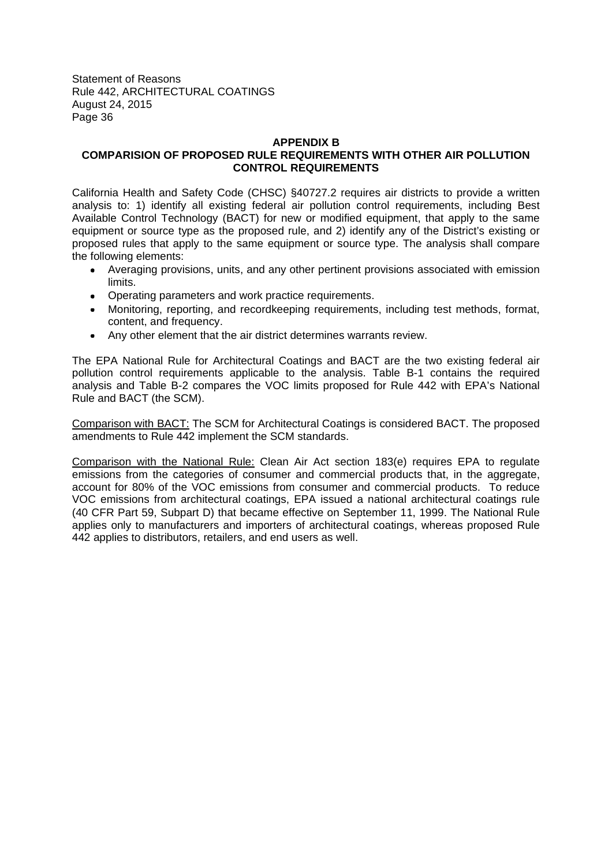#### **APPENDIX B**

# **COMPARISION OF PROPOSED RULE REQUIREMENTS WITH OTHER AIR POLLUTION CONTROL REQUIREMENTS**

California Health and Safety Code (CHSC) §40727.2 requires air districts to provide a written analysis to: 1) identify all existing federal air pollution control requirements, including Best Available Control Technology (BACT) for new or modified equipment, that apply to the same equipment or source type as the proposed rule, and 2) identify any of the District's existing or proposed rules that apply to the same equipment or source type. The analysis shall compare the following elements:

- Averaging provisions, units, and any other pertinent provisions associated with emission limits.
- Operating parameters and work practice requirements.
- Monitoring, reporting, and recordkeeping requirements, including test methods, format, content, and frequency.
- Any other element that the air district determines warrants review.

The EPA National Rule for Architectural Coatings and BACT are the two existing federal air pollution control requirements applicable to the analysis. Table B-1 contains the required analysis and Table B-2 compares the VOC limits proposed for Rule 442 with EPA's National Rule and BACT (the SCM).

Comparison with BACT: The SCM for Architectural Coatings is considered BACT. The proposed amendments to Rule 442 implement the SCM standards.

Comparison with the National Rule: Clean Air Act section 183(e) requires EPA to regulate emissions from the categories of consumer and commercial products that, in the aggregate, account for 80% of the VOC emissions from consumer and commercial products. To reduce VOC emissions from architectural coatings, EPA issued a national architectural coatings rule (40 CFR Part 59, Subpart D) that became effective on September 11, 1999. The National Rule applies only to manufacturers and importers of architectural coatings, whereas proposed Rule 442 applies to distributors, retailers, and end users as well.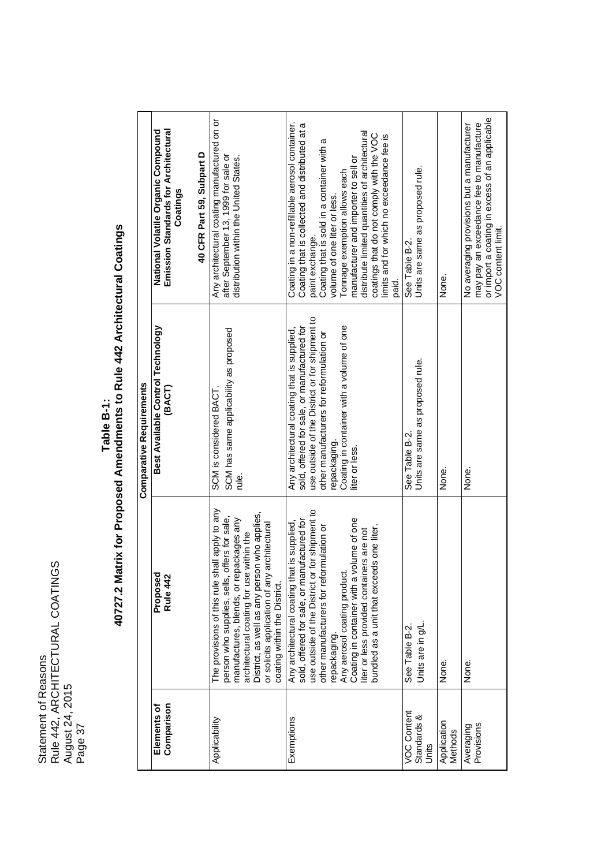Statement of Reasons Rule 442, ARCHITECTURAL COATINGS August 24, 2015 Statement of Reasons<br>Rule 442, ARCHITECTURAL COATINGS<br>August 24, 2015<br>Page 37

# Table B-1:<br>40727.2 Matrix for Proposed Amendments to Rule 442 Architectural Coatings **40727.2 Matrix for Proposed Amendments to Rule 442 Architectural Coatings**

|                                     |                                                                                                                                                                                                                                                                                                                                                                                   | <b>Comparative Requirements</b>                                                                                                                                                                                                                                         |                                                                                                                                                                                                                                                                                                                                                                                                                                |
|-------------------------------------|-----------------------------------------------------------------------------------------------------------------------------------------------------------------------------------------------------------------------------------------------------------------------------------------------------------------------------------------------------------------------------------|-------------------------------------------------------------------------------------------------------------------------------------------------------------------------------------------------------------------------------------------------------------------------|--------------------------------------------------------------------------------------------------------------------------------------------------------------------------------------------------------------------------------------------------------------------------------------------------------------------------------------------------------------------------------------------------------------------------------|
| Comparison<br>Elements of           | Proposed<br>Rule 442                                                                                                                                                                                                                                                                                                                                                              | Best Available Control Technology<br>(BACT)                                                                                                                                                                                                                             | Emission Standards for Architectural<br>National Volatile Organic Compound<br>Coatings                                                                                                                                                                                                                                                                                                                                         |
|                                     |                                                                                                                                                                                                                                                                                                                                                                                   |                                                                                                                                                                                                                                                                         | 40 CFR Part 59, Subpart D                                                                                                                                                                                                                                                                                                                                                                                                      |
| Applicability                       | The provisions of this rule shall apply to any<br>District, as well as any person who applies,<br>person who supplies, sells, offers for sale,<br>manufactures, blends, or repackages any<br>architectural<br>architectural coating for use within the<br>or solicits application of any<br>coating within the District.                                                          | SCM has same applicability as proposed<br>SCM is considered BACT.<br>ie.                                                                                                                                                                                                | Any architectural coating manufactured on or<br>after September 13, 1999 for sale or<br>distribution within the United States.                                                                                                                                                                                                                                                                                                 |
| Exemptions                          | for shipment to<br>Coating in container with a volume of one<br>sold, offered for sale, or manufactured for<br>Any architectural coating that is supplied,<br>other manufacturers for reformulation or<br>bundled as a unit that exceeds one liter.<br>liter or less provided containers are not<br>Any aerosol coating product.<br>use outside of the District or<br>repackaging | use outside of the District or for shipment to<br>Coating in container with a volume of one<br>sold, offered for sale, or manufactured for<br>Any architectural coating that is supplied,<br>other manufacturers for reformulation or<br>repackaging.<br>liter or less. | Coating in a non-refillable aerosol container.<br>Coating that is collected and distributed at a<br>distribute limited quantities of architectural<br>coatings that do not comply with the VOC<br>limits and for which no exceedance fee is<br>Coating that is sold in a container with a<br>manufacturer and importer to sell or<br>Tonnage exemption allows each<br>volume of one liter or less.<br>paint exchange.<br>paid. |
| VOC Content<br>Standards &<br>Units | Units are in g/L<br>See Table B-2.                                                                                                                                                                                                                                                                                                                                                | Units are same as proposed rule.<br>See Table B-2.                                                                                                                                                                                                                      | Units are same as proposed rule.<br>See Table B-2.                                                                                                                                                                                                                                                                                                                                                                             |
| Application<br>Methods              | None.                                                                                                                                                                                                                                                                                                                                                                             | None.                                                                                                                                                                                                                                                                   | None.                                                                                                                                                                                                                                                                                                                                                                                                                          |
| Provisions<br>Averaging             | None.                                                                                                                                                                                                                                                                                                                                                                             | None.                                                                                                                                                                                                                                                                   | or import a coating in excess of an applicable<br>may pay an exceedance fee to manufacture<br>No averaging provisions but a manufacturer<br>VOC content limit                                                                                                                                                                                                                                                                  |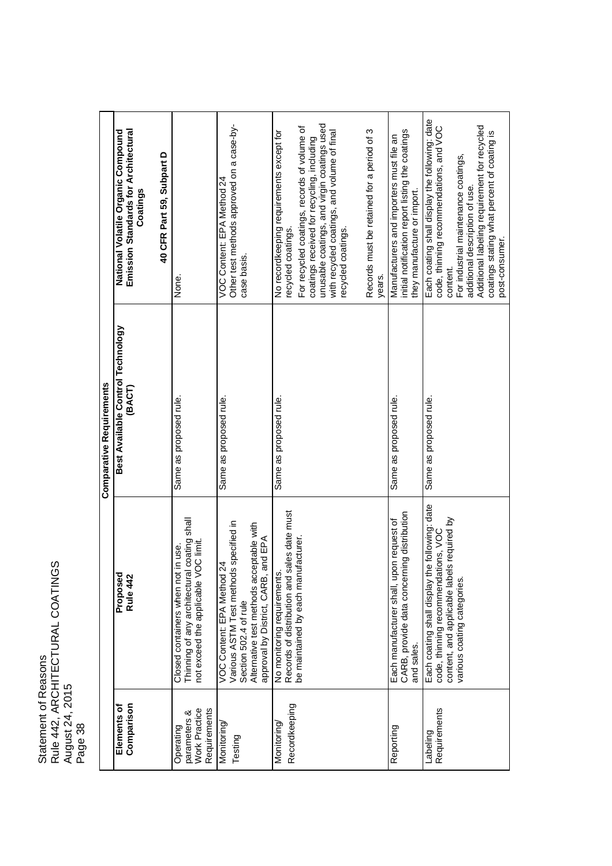Statement of Reasons Rule 442, ARCHITECTURAL COATINGS August 24, 2015 Statement of Reasons<br>Rule 442, ARCHITECTURAL COATINGS<br>August 24, 2015<br>Page 38

|                                                                   |                                                                                                                                                                                  | <b>Comparative Requirements</b>             |                                                                                                                                                                                                                                                                                                                                         |
|-------------------------------------------------------------------|----------------------------------------------------------------------------------------------------------------------------------------------------------------------------------|---------------------------------------------|-----------------------------------------------------------------------------------------------------------------------------------------------------------------------------------------------------------------------------------------------------------------------------------------------------------------------------------------|
| Comparison<br>Elements of                                         | Proposed<br>Rule 442                                                                                                                                                             | Best Available Control Technology<br>(BACT) | Emission Standards for Architectural<br>National Volatile Organic Compound<br>Coatings                                                                                                                                                                                                                                                  |
|                                                                   |                                                                                                                                                                                  |                                             | 40 CFR Part 59, Subpart D                                                                                                                                                                                                                                                                                                               |
| <b>Work Practice</b><br>Requirements<br>parameters &<br>Operating | Thinning of any architectural coating shall<br>not exceed the applicable VOC limit<br>in use.<br>Closed containers when not                                                      | Same as proposed rule.                      | None.                                                                                                                                                                                                                                                                                                                                   |
| Monitoring<br>Testing                                             | Various ASTM Test methods specified in<br>Alternative test methods acceptable with<br>approval by District, CARB, and EPA<br>VOC Content: EPA Method 24<br>Section 502.4 of rule | Same as proposed rule.                      | Other test methods approved on a case-by-<br>VOC Content: EPA Method 24<br>case basis.                                                                                                                                                                                                                                                  |
| Recordkeeping<br>Monitoring                                       | sales date must<br>be maintained by each manufacturer.<br>No monitoring requirements<br>Records of distribution and                                                              | Same as proposed rule.                      | unusable coatings, and virgin coatings used<br>For recycled coatings, records of volume of<br>Records must be retained for a period of 3<br>No recordkeeping requirements except for<br>with recycled coatings, and volume of final<br>coatings received for recycling, including<br>recycled coatings.<br>recycled coatings.<br>years. |
| Reporting                                                         | CARB, provide data concerning distribution<br>oon request of<br>Each manufacturer shall, up<br>and sales.                                                                        | Same as proposed rule.                      | initial notification report listing the coatings<br>Manufacturers and importers must file an<br>they manufacture or import.                                                                                                                                                                                                             |
| Requirements<br>Labeling                                          | Each coating shall display the following: date<br>content, and applicable labels required by<br>code, thinning recommendations, VOC<br>various coating categories.               | Same as proposed rule.                      | Each coating shall display the following: date<br>Additional labeling requirement for recycled<br>code, thinning recommendations, and VOC<br>coatings stating what percent of coating is<br>For industrial maintenance coatings,<br>additional description of use.<br>post-consumer.<br>content.                                        |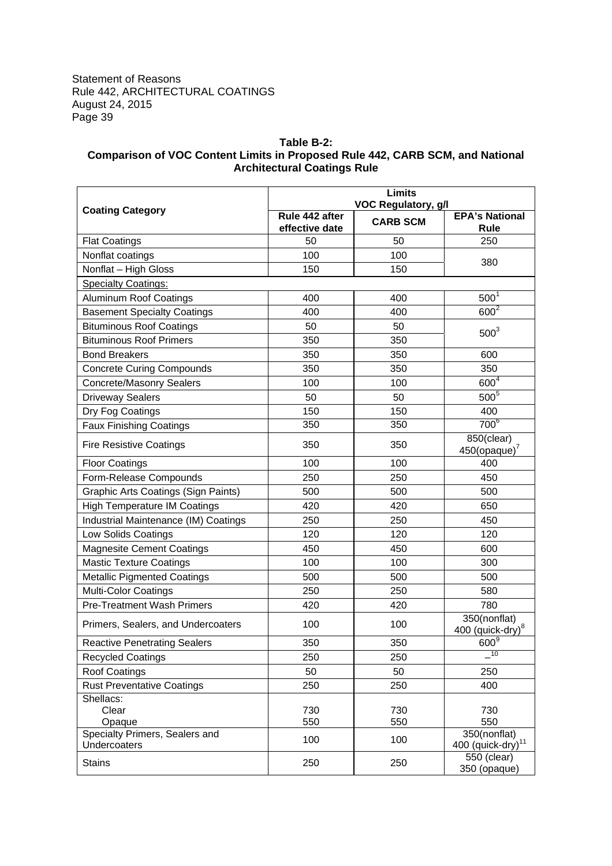# **Table B-2: Comparison of VOC Content Limits in Proposed Rule 442, CARB SCM, and National Architectural Coatings Rule**

|                                                | <b>Limits</b><br><b>VOC Regulatory, g/l</b>         |            |                                               |  |  |
|------------------------------------------------|-----------------------------------------------------|------------|-----------------------------------------------|--|--|
| <b>Coating Category</b>                        | Rule 442 after<br><b>CARB SCM</b><br>effective date |            |                                               |  |  |
| <b>Flat Coatings</b>                           | 50                                                  | 50         | 250                                           |  |  |
| Nonflat coatings                               | 100                                                 | 100        |                                               |  |  |
| Nonflat - High Gloss                           | 150                                                 | 150        | 380                                           |  |  |
| <b>Specialty Coatings:</b>                     |                                                     |            |                                               |  |  |
| <b>Aluminum Roof Coatings</b>                  | 400                                                 | 400        | 500 <sup>1</sup>                              |  |  |
| <b>Basement Specialty Coatings</b>             | 400                                                 | 400        | $600^2$                                       |  |  |
| <b>Bituminous Roof Coatings</b>                | 50                                                  | 50         |                                               |  |  |
| <b>Bituminous Roof Primers</b>                 | 350                                                 | 350        | 500 <sup>3</sup>                              |  |  |
| <b>Bond Breakers</b>                           | 350                                                 | 350        | 600                                           |  |  |
| <b>Concrete Curing Compounds</b>               | 350                                                 | 350        | 350                                           |  |  |
| <b>Concrete/Masonry Sealers</b>                | 100                                                 | 100        | 600 <sup>4</sup>                              |  |  |
| <b>Driveway Sealers</b>                        | 50                                                  | 50         | $500^{\overline{5}}$                          |  |  |
| Dry Fog Coatings                               | 150                                                 | 150        | 400                                           |  |  |
| <b>Faux Finishing Coatings</b>                 | 350                                                 | 350        | 700 <sup>6</sup>                              |  |  |
| <b>Fire Resistive Coatings</b>                 | 350                                                 | 350        | 850(clear)<br>$450$ (opaque) <sup>7</sup>     |  |  |
| <b>Floor Coatings</b>                          | 100                                                 | 100        | 400                                           |  |  |
| Form-Release Compounds                         | 250                                                 | 250        | 450                                           |  |  |
| <b>Graphic Arts Coatings (Sign Paints)</b>     | 500                                                 | 500        | 500                                           |  |  |
| <b>High Temperature IM Coatings</b>            | 420                                                 | 420        | 650                                           |  |  |
| Industrial Maintenance (IM) Coatings           | 250                                                 | 250        | 450                                           |  |  |
| Low Solids Coatings                            | 120                                                 | 120        | 120                                           |  |  |
| <b>Magnesite Cement Coatings</b>               | 450                                                 | 450        | 600                                           |  |  |
| <b>Mastic Texture Coatings</b>                 | 100                                                 | 100        | 300                                           |  |  |
| <b>Metallic Pigmented Coatings</b>             | 500                                                 | 500        | 500                                           |  |  |
| <b>Multi-Color Coatings</b>                    | 250                                                 | 250        | 580                                           |  |  |
| <b>Pre-Treatment Wash Primers</b>              | 420                                                 | 420        | 780                                           |  |  |
| Primers, Sealers, and Undercoaters             | 100                                                 | 100        | 350(nonflat)<br>400 (quick-dry) <sup>8</sup>  |  |  |
| <b>Reactive Penetrating Sealers</b>            | 350                                                 | 350        | $\underline{600}^9$                           |  |  |
| <b>Recycled Coatings</b>                       | 250                                                 | 250        | $-10$                                         |  |  |
| Roof Coatings                                  | 50                                                  | 50         | 250                                           |  |  |
| <b>Rust Preventative Coatings</b>              | 250                                                 | 250        | 400                                           |  |  |
| Shellacs:<br>Clear<br>Opaque                   | 730<br>550                                          | 730<br>550 | 730<br>550                                    |  |  |
| Specialty Primers, Sealers and<br>Undercoaters | 100                                                 | 100        | 350(nonflat)<br>400 (quick-dry) <sup>11</sup> |  |  |
| <b>Stains</b>                                  | 250                                                 | 250        | $550$ (clear)<br>350 (opaque)                 |  |  |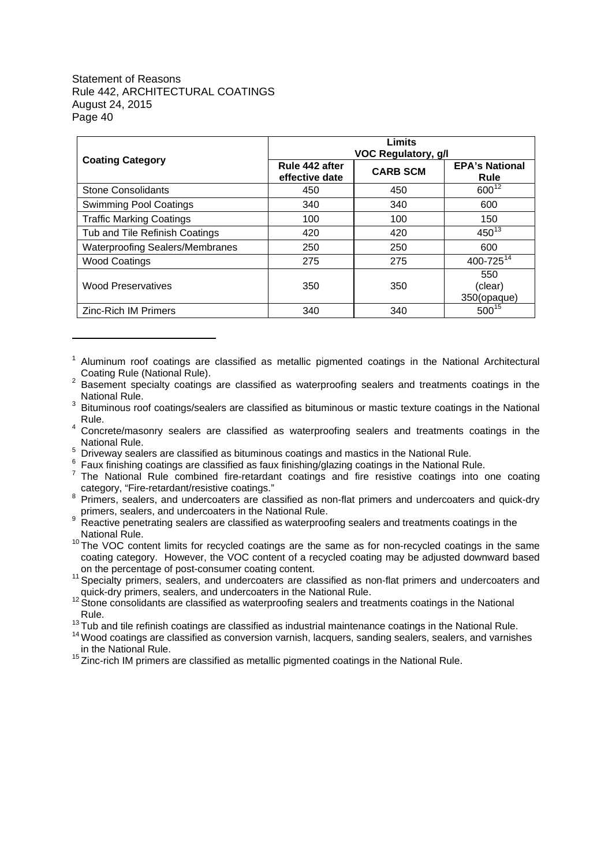| <b>Coating Category</b>                |                                  | Limits<br><b>VOC Regulatory, g/l</b> |                               |
|----------------------------------------|----------------------------------|--------------------------------------|-------------------------------|
|                                        | Rule 442 after<br>effective date | <b>CARB SCM</b>                      | <b>EPA's National</b><br>Rule |
| <b>Stone Consolidants</b>              | 450                              | 450                                  | $600^{12}$                    |
| <b>Swimming Pool Coatings</b>          | 340                              | 340                                  | 600                           |
| <b>Traffic Marking Coatings</b>        | 100                              | 100                                  | 150                           |
| Tub and Tile Refinish Coatings         | 420                              | 420                                  | $450^{13}$                    |
| <b>Waterproofing Sealers/Membranes</b> | 250                              | 250                                  | 600                           |
| <b>Wood Coatings</b>                   | 275                              | 275                                  | 400-725 <sup>14</sup>         |
| <b>Wood Preservatives</b>              | 350                              | 350                                  | 550<br>(clear)<br>350(opaque) |
| <b>Zinc-Rich IM Primers</b>            | 340                              | 340                                  | $500^{15}$                    |

<sup>1</sup> Aluminum roof coatings are classified as metallic pigmented coatings in the National Architectural Coating Rule (National Rule).

- <sup>4</sup> Concrete/masonry sealers are classified as waterproofing sealers and treatments coatings in the National Rule.
- <sup>5</sup> Driveway sealers are classified as bituminous coatings and mastics in the National Rule.
- 6 Faux finishing coatings are classified as faux finishing/glazing coatings in the National Rule.
- 7 The National Rule combined fire-retardant coatings and fire resistive coatings into one coating category, "Fire-retardant/resistive coatings."
- <sup>8</sup> Primers, sealers, and undercoaters are classified as non-flat primers and undercoaters and quick-dry primers, sealers, and undercoaters in the National Rule.
- <sup>9</sup> Reactive penetrating sealers are classified as waterproofing sealers and treatments coatings in the National Rule.
- $10$  The VOC content limits for recycled coatings are the same as for non-recycled coatings in the same coating category. However, the VOC content of a recycled coating may be adjusted downward based on the percentage of post-consumer coating content.
- <sup>11</sup> Specialty primers, sealers, and undercoaters are classified as non-flat primers and undercoaters and quick-dry primers, sealers, and undercoaters in the National Rule.
- <sup>12</sup> Stone consolidants are classified as waterproofing sealers and treatments coatings in the National Rule.
- <sup>13</sup> Tub and tile refinish coatings are classified as industrial maintenance coatings in the National Rule.
- <sup>14</sup> Wood coatings are classified as conversion varnish, lacquers, sanding sealers, sealers, and varnishes in the National Rule.
- $15$  Zinc-rich IM primers are classified as metallic pigmented coatings in the National Rule.

<sup>2</sup> Basement specialty coatings are classified as waterproofing sealers and treatments coatings in the National Rule.

<sup>&</sup>lt;sup>3</sup> Bituminous roof coatings/sealers are classified as bituminous or mastic texture coatings in the National Rule.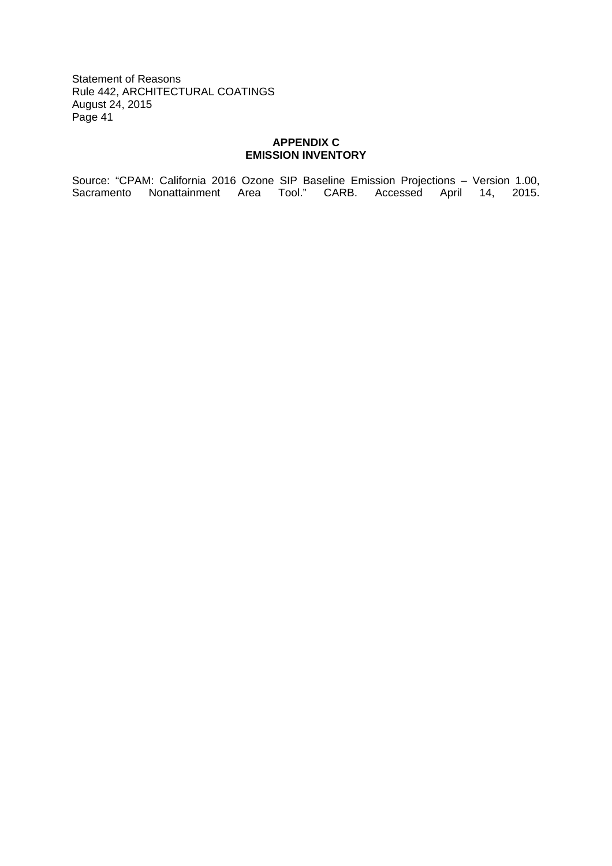# **APPENDIX C EMISSION INVENTORY**

Source: "CPAM: California 2016 Ozone SIP Baseline Emission Projections – Version 1.00, Sacramento Nonattainment Area Tool." CARB. Accessed April 14, 2015.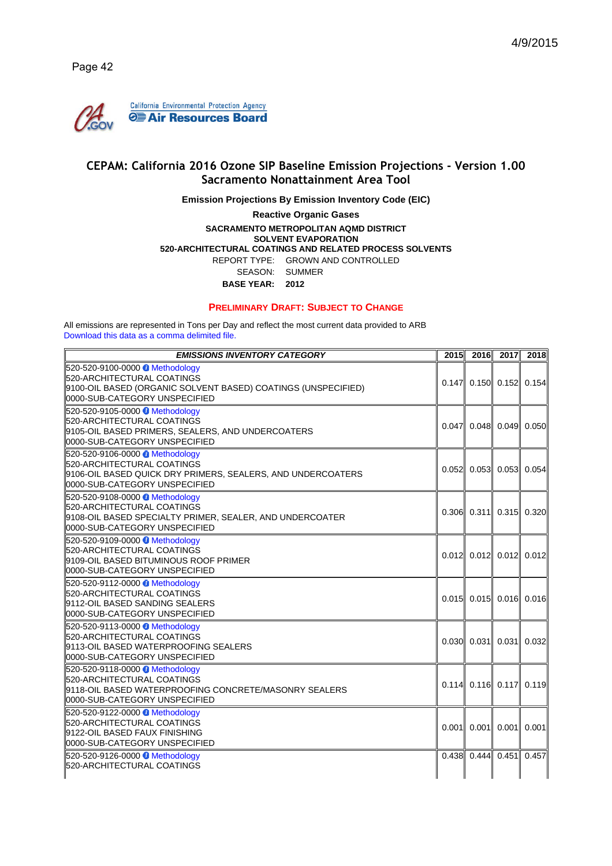

# **CEPAM: California 2016 Ozone SIP Baseline Emission Projections - Version 1.00 Sacramento Nonattainment Area Tool**

**Emission Projections By Emission Inventory Code (EIC)**

**Reactive Organic Gases**

#### **SACRAMENTO METROPOLITAN AQMD DISTRICT SOLVENT EVAPORATION 520-ARCHITECTURAL COATINGS AND RELATED PROCESS SOLVENTS** REPORT TYPE: GROWN AND CONTROLLED SEASON: SUMMER **BASE YEAR: 2012**

#### **PRELIMINARY DRAFT: SUBJECT TO CHANGE**

All emissions are represented in Tons per Day and reflect the most current data provided to ARB Download this data as a comma delimited file.

| <b>EMISSIONS INVENTORY CATEGORY</b>                                                                                                                              | 2015  | 2016 | 2017                      | 2018  |
|------------------------------------------------------------------------------------------------------------------------------------------------------------------|-------|------|---------------------------|-------|
| 520-520-9100-0000 Methodology<br>520-ARCHITECTURAL COATINGS!<br>9100-OIL BASED (ORGANIC SOLVENT BASED) COATINGS (UNSPECIFIED)<br>ll0000-SUB-CATEGORY UNSPECIFIED |       |      | $0.147$ 0.150 $0.152$     | 0.154 |
| 520-520-9105-0000 Methodology<br>520-ARCHITECTURAL COATINGS<br>∥9105-OIL BASED PRIMERS, SEALERS, AND UNDERCOATERS<br>ll0000-SUB-CATEGORY UNSPECIFIED             | 0.047 |      | $0.048$ 0.049 0.050       |       |
| 520-520-9106-0000 Methodology<br>520-ARCHITECTURAL COATINGS<br>∣9106-OIL BASED QUICK DRY PRIMERS, SEALERS, AND UNDERCOATERS<br>ll0000-SUB-CATEGORY UNSPECIFIED   |       |      | $0.052$ 0.053 0.053       | 0.054 |
| 520-520-9108-0000 Methodology<br>520-ARCHITECTURAL COATINGS<br>∥9108-OIL BASED SPECIALTY PRIMER, SEALER, AND UNDERCOATER<br>0000-SUB-CATEGORY UNSPECIFIED        |       |      | $0.306$ 0.311 0.315 0.320 |       |
| 520-520-9109-0000 Methodology<br>520-ARCHITECTURAL COATINGS<br>9109-OIL BASED BITUMINOUS ROOF PRIMER<br>ll0000-SUB-CATEGORY UNSPECIFIED                          |       |      | $0.012$ 0.012 0.012 0.012 |       |
| 520-520-9112-0000 Methodology<br>520-ARCHITECTURAL COATINGS<br>∥9112-OIL BASED SANDING SEALERS<br>0000-SUB-CATEGORY UNSPECIFIED                                  |       |      | $0.015$ 0.015 0.016 0.016 |       |
| 520-520-9113-0000 Methodology<br>520-ARCHITECTURAL COATINGS<br>I9113-OIL BASED WATERPROOFING SEALERS<br>0000-SUB-CATEGORY UNSPECIFIED                            |       |      | $0.030$ $0.031$ $0.031$   | 0.032 |
| 520-520-9118-0000 Methodology<br>520-ARCHITECTURAL COATINGS!<br>9118-OIL BASED WATERPROOFING CONCRETE/MASONRY SEALERS!<br>0000-SUB-CATEGORY UNSPECIFIED          |       |      | $0.114$ 0.116 0.117       | 0.119 |
| 520-520-9122-0000 Methodology<br>520-ARCHITECTURAL COATINGS<br>∥9122-OIL BASED FAUX FINISHING<br>0000-SUB-CATEGORY UNSPECIFIED                                   |       |      | $0.001$ 0.001 0.001       | 0.001 |
| 520-520-9126-0000 Methodology<br>520-ARCHITECTURAL COATINGS                                                                                                      |       |      | $0.438$ 0.444 $0.451$     | 0.457 |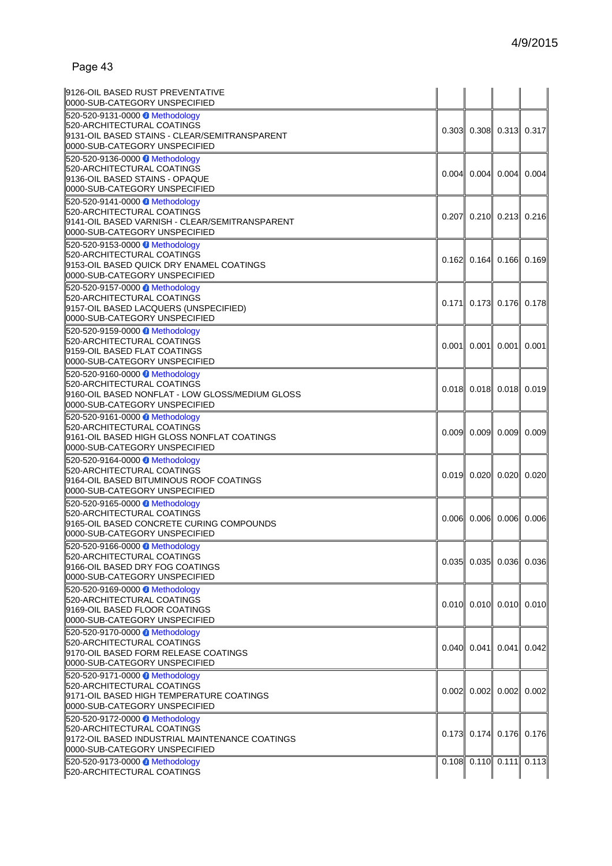| 19126-OIL BASED RUST PREVENTATIVE<br>0000-SUB-CATEGORY UNSPECIFIED                                                                              |       |                           |               |                                 |
|-------------------------------------------------------------------------------------------------------------------------------------------------|-------|---------------------------|---------------|---------------------------------|
| 520-520-9131-0000 Methodology<br>520-ARCHITECTURAL COATINGS<br>9131-OIL BASED STAINS - CLEAR/SEMITRANSPARENT<br>0000-SUB-CATEGORY UNSPECIFIED   |       | $0.303$ 0.308 0.313 0.317 |               |                                 |
| 520-520-9136-0000 Methodology<br>520-ARCHITECTURAL COATINGS<br>9136-OIL BASED STAINS - OPAQUE<br>0000-SUB-CATEGORY UNSPECIFIED                  | 0.004 |                           | $0.004$ 0.004 | 0.004                           |
| 520-520-9141-0000 Methodology<br>520-ARCHITECTURAL COATINGS<br>9141-OIL BASED VARNISH - CLEAR/SEMITRANSPARENT<br>0000-SUB-CATEGORY UNSPECIFIED  | 0.207 |                           |               | $0.210$ 0.213 $0.216$           |
| 520-520-9153-0000 Methodology<br>520-ARCHITECTURAL COATINGS<br>9153-OIL BASED QUICK DRY ENAMEL COATINGS<br>0000-SUB-CATEGORY UNSPECIFIED        | 0.162 |                           |               | $0.164$ 0.166 0.169             |
| 520-520-9157-0000 Methodology<br>520-ARCHITECTURAL COATINGS<br>9157-OIL BASED LACQUERS (UNSPECIFIED)<br>0000-SUB-CATEGORY UNSPECIFIED           |       | $0.171$ 0.173 0.176 0.178 |               |                                 |
| 520-520-9159-0000 Methodology<br>520-ARCHITECTURAL COATINGS<br>9159-OIL BASED FLAT COATINGS<br>0000-SUB-CATEGORY UNSPECIFIED                    | 0.001 | 0.001                     | 0.001         | 0.001                           |
| 520-520-9160-0000 Methodology<br>520-ARCHITECTURAL COATINGS<br>9160-OIL BASED NONFLAT - LOW GLOSS/MEDIUM GLOSS<br>0000-SUB-CATEGORY UNSPECIFIED |       | $0.018$ 0.018 0.018 0.019 |               |                                 |
| 520-520-9161-0000 Methodology<br>520-ARCHITECTURAL COATINGS<br>9161-OIL BASED HIGH GLOSS NONFLAT COATINGS<br>0000-SUB-CATEGORY UNSPECIFIED      | 0.009 |                           | $0.009$ 0.009 | 0.009                           |
| 520-520-9164-0000 Methodology<br>520-ARCHITECTURAL COATINGS<br>9164-OIL BASED BITUMINOUS ROOF COATINGS<br>0000-SUB-CATEGORY UNSPECIFIED         |       | $0.019$ 0.020 0.020 0.020 |               |                                 |
| 520-520-9165-0000 Methodology<br>520-ARCHITECTURAL COATINGS<br>9165-OIL BASED CONCRETE CURING COMPOUNDS<br>0000-SUB-CATEGORY UNSPECIFIED        | 0.006 |                           | $0.006$ 0.006 | 0.006                           |
| 520-520-9166-0000 Methodology<br>520-ARCHITECTURAL COATINGS<br>9166-OIL BASED DRY FOG COATINGS<br>0000-SUB-CATEGORY UNSPECIFIED                 | 0.035 |                           |               | $0.035$ 0.036 0.036             |
| 520-520-9169-0000 Methodology<br>520-ARCHITECTURAL COATINGS<br>9169-OIL BASED FLOOR COATINGS<br>0000-SUB-CATEGORY UNSPECIFIED                   |       | $0.010$ 0.010 0.010 0.010 |               |                                 |
| 520-520-9170-0000 Methodology<br>520-ARCHITECTURAL COATINGS<br>9170-OIL BASED FORM RELEASE COATINGS<br>0000-SUB-CATEGORY UNSPECIFIED            | 0.040 |                           | $0.041$ 0.041 | 0.042                           |
| 520-520-9171-0000 Methodology<br>520-ARCHITECTURAL COATINGS<br>9171-OIL BASED HIGH TEMPERATURE COATINGS<br>0000-SUB-CATEGORY UNSPECIFIED        |       | $0.002$ 0.002 0.002 0.002 |               |                                 |
| 520-520-9172-0000 Methodology<br>520-ARCHITECTURAL COATINGS<br>9172-OIL BASED INDUSTRIAL MAINTENANCE COATINGS<br>0000-SUB-CATEGORY UNSPECIFIED  |       | $0.173$ 0.174 0.176 0.176 |               |                                 |
| 520-520-9173-0000 Methodology<br>520-ARCHITECTURAL COATINGS                                                                                     |       |                           |               | $0.108$ $0.110$ $0.111$ $0.113$ |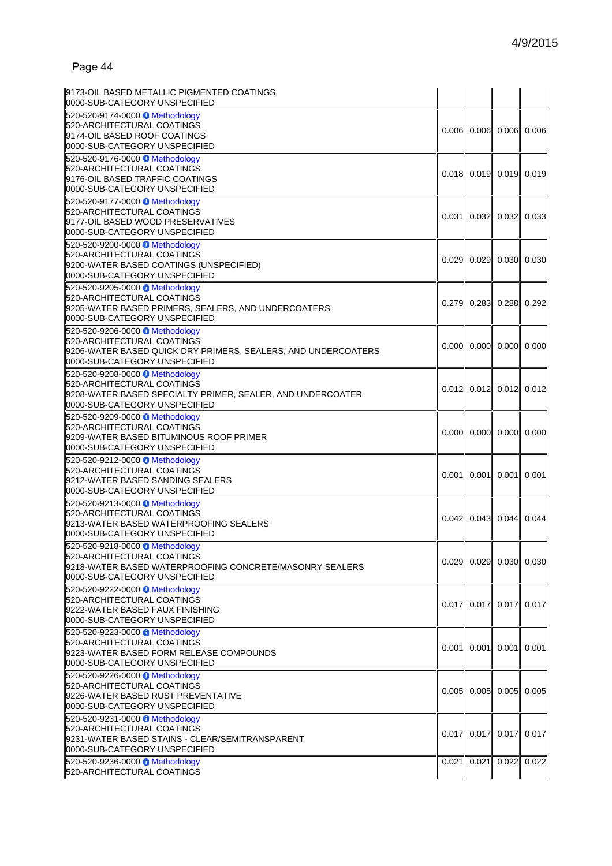| 9173-OIL BASED METALLIC PIGMENTED COATINGS<br>0000-SUB-CATEGORY UNSPECIFIED                                                                                   |                                         |                           |
|---------------------------------------------------------------------------------------------------------------------------------------------------------------|-----------------------------------------|---------------------------|
| 520-520-9174-0000 Methodology<br>520-ARCHITECTURAL COATINGS<br>9174-OIL BASED ROOF COATINGS<br>0000-SUB-CATEGORY UNSPECIFIED                                  | $0.006$ 0.006 0.006 0.006               |                           |
| 520-520-9176-0000 Methodology<br>520-ARCHITECTURAL COATINGS<br>9176-OIL BASED TRAFFIC COATINGS<br>0000-SUB-CATEGORY UNSPECIFIED                               |                                         | $0.018$ 0.019 0.019 0.019 |
| 520-520-9177-0000 Methodology<br>520-ARCHITECTURAL COATINGS<br>9177-OIL BASED WOOD PRESERVATIVES<br>0000-SUB-CATEGORY UNSPECIFIED                             | $0.031$ 0.032 0.032 0.033               |                           |
| 520-520-9200-0000 Methodology<br>520-ARCHITECTURAL COATINGS<br>9200-WATER BASED COATINGS (UNSPECIFIED)<br>0000-SUB-CATEGORY UNSPECIFIED                       | $0.029$ 0.029 0.030 0.030               |                           |
| 520-520-9205-0000 Methodology<br>520-ARCHITECTURAL COATINGS<br>9205-WATER BASED PRIMERS, SEALERS, AND UNDERCOATERS<br>0000-SUB-CATEGORY UNSPECIFIED           | $0.279$ 0.283 0.288 0.292               |                           |
| 520-520-9206-0000 Methodology<br>520-ARCHITECTURAL COATINGS<br>9206-WATER BASED QUICK DRY PRIMERS, SEALERS, AND UNDERCOATERS<br>0000-SUB-CATEGORY UNSPECIFIED | $0.000$ 0.000 0.000 0.000               |                           |
| 520-520-9208-0000 Methodology<br>520-ARCHITECTURAL COATINGS<br>9208-WATER BASED SPECIALTY PRIMER, SEALER, AND UNDERCOATER<br>0000-SUB-CATEGORY UNSPECIFIED    | $0.012$ 0.012 0.012 0.012               |                           |
| 520-520-9209-0000 Methodology<br>520-ARCHITECTURAL COATINGS<br>9209-WATER BASED BITUMINOUS ROOF PRIMER<br>0000-SUB-CATEGORY UNSPECIFIED                       | $0.000$ $0.000$ $0.000$ $0.000$ $0.000$ |                           |
| 520-520-9212-0000 Methodology<br>520-ARCHITECTURAL COATINGS<br>9212-WATER BASED SANDING SEALERS<br>0000-SUB-CATEGORY UNSPECIFIED                              | $0.001$ 0.001 0.001                     | 0.001                     |
| 520-520-9213-0000 Methodology<br>520-ARCHITECTURAL COATINGS<br>9213-WATER BASED WATERPROOFING SEALERS<br>0000-SUB-CATEGORY UNSPECIFIED                        | $0.042$ 0.043 0.044 0.044               |                           |
| 520-520-9218-0000 Methodology<br>520-ARCHITECTURAL COATINGS<br>9218-WATER BASED WATERPROOFING CONCRETE/MASONRY SEALERS<br>0000-SUB-CATEGORY UNSPECIFIED       |                                         | $0.029$ 0.029 0.030 0.030 |
| 520-520-9222-0000 Methodology<br>520-ARCHITECTURAL COATINGS<br>9222-WATER BASED FAUX FINISHING<br>0000-SUB-CATEGORY UNSPECIFIED                               | $0.017$ 0.017 0.017 0.017               |                           |
| 520-520-9223-0000 Methodology<br>520-ARCHITECTURAL COATINGS<br>9223-WATER BASED FORM RELEASE COMPOUNDS<br>0000-SUB-CATEGORY UNSPECIFIED                       | $0.001$ 0.001 0.001                     | 0.001                     |
| 520-520-9226-0000 Methodology<br>520-ARCHITECTURAL COATINGS<br>9226-WATER BASED RUST PREVENTATIVE<br>0000-SUB-CATEGORY UNSPECIFIED                            | $0.005$ 0.005 0.005 0.005               |                           |
| 520-520-9231-0000 Methodology<br>520-ARCHITECTURAL COATINGS<br>9231-WATER BASED STAINS - CLEAR/SEMITRANSPARENT<br>0000-SUB-CATEGORY UNSPECIFIED               | $0.017$ 0.017 0.017 0.017               |                           |
| 520-520-9236-0000 Methodology<br>520-ARCHITECTURAL COATINGS                                                                                                   | $0.021$ 0.021 0.022 0.022               |                           |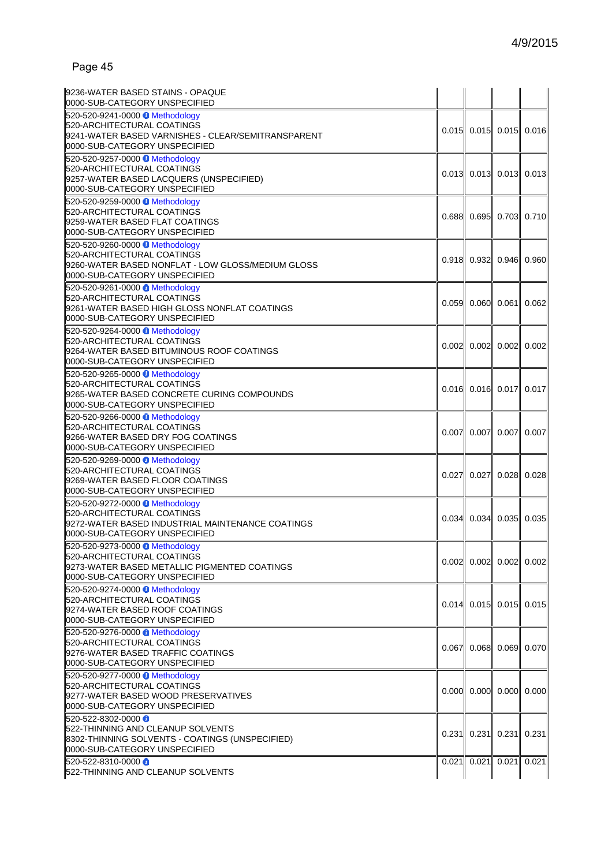| 0000-SUB-CATEGORY UNSPECIFIED<br>520-520-9241-0000 Methodology<br>520-ARCHITECTURAL COATINGS<br>9241-WATER BASED VARNISHES - CLEAR/SEMITRANSPARENT<br>0000-SUB-CATEGORY UNSPECIFIED<br>520-520-9257-0000 Methodology<br>520-ARCHITECTURAL COATINGS<br>9257-WATER BASED LACQUERS (UNSPECIFIED)<br>0000-SUB-CATEGORY UNSPECIFIED<br>520-520-9259-0000 Methodology<br>520-ARCHITECTURAL COATINGS<br>9259-WATER BASED FLAT COATINGS<br>0000-SUB-CATEGORY UNSPECIFIED<br>520-520-9260-0000 Methodology |       | $0.013$ 0.013 0.013 0.013 | $0.015$ 0.015 0.015 0.016     |       |
|---------------------------------------------------------------------------------------------------------------------------------------------------------------------------------------------------------------------------------------------------------------------------------------------------------------------------------------------------------------------------------------------------------------------------------------------------------------------------------------------------|-------|---------------------------|-------------------------------|-------|
|                                                                                                                                                                                                                                                                                                                                                                                                                                                                                                   |       |                           |                               |       |
|                                                                                                                                                                                                                                                                                                                                                                                                                                                                                                   |       |                           |                               |       |
|                                                                                                                                                                                                                                                                                                                                                                                                                                                                                                   |       |                           |                               |       |
|                                                                                                                                                                                                                                                                                                                                                                                                                                                                                                   |       |                           |                               |       |
|                                                                                                                                                                                                                                                                                                                                                                                                                                                                                                   |       |                           |                               |       |
|                                                                                                                                                                                                                                                                                                                                                                                                                                                                                                   |       |                           |                               |       |
|                                                                                                                                                                                                                                                                                                                                                                                                                                                                                                   |       |                           |                               |       |
|                                                                                                                                                                                                                                                                                                                                                                                                                                                                                                   |       |                           |                               |       |
|                                                                                                                                                                                                                                                                                                                                                                                                                                                                                                   |       |                           |                               |       |
|                                                                                                                                                                                                                                                                                                                                                                                                                                                                                                   |       |                           |                               |       |
|                                                                                                                                                                                                                                                                                                                                                                                                                                                                                                   |       |                           |                               |       |
|                                                                                                                                                                                                                                                                                                                                                                                                                                                                                                   |       |                           | $0.688$ 0.695 0.703 0.710     |       |
|                                                                                                                                                                                                                                                                                                                                                                                                                                                                                                   |       |                           |                               |       |
|                                                                                                                                                                                                                                                                                                                                                                                                                                                                                                   |       |                           |                               |       |
|                                                                                                                                                                                                                                                                                                                                                                                                                                                                                                   |       |                           |                               |       |
| 520-ARCHITECTURAL COATINGS                                                                                                                                                                                                                                                                                                                                                                                                                                                                        |       |                           | $0.918$ 0.932 0.946           | 0.960 |
| 9260-WATER BASED NONFLAT - LOW GLOSS/MEDIUM GLOSS                                                                                                                                                                                                                                                                                                                                                                                                                                                 |       |                           |                               |       |
| 0000-SUB-CATEGORY UNSPECIFIED                                                                                                                                                                                                                                                                                                                                                                                                                                                                     |       |                           |                               |       |
| 520-520-9261-0000 Methodology                                                                                                                                                                                                                                                                                                                                                                                                                                                                     |       |                           |                               |       |
|                                                                                                                                                                                                                                                                                                                                                                                                                                                                                                   |       |                           |                               |       |
| 520-ARCHITECTURAL COATINGS                                                                                                                                                                                                                                                                                                                                                                                                                                                                        |       |                           | $0.059$ 0.060 0.061           | 0.062 |
| 9261-WATER BASED HIGH GLOSS NONFLAT COATINGS                                                                                                                                                                                                                                                                                                                                                                                                                                                      |       |                           |                               |       |
| 0000-SUB-CATEGORY UNSPECIFIED                                                                                                                                                                                                                                                                                                                                                                                                                                                                     |       |                           |                               |       |
| 520-520-9264-0000 Methodology                                                                                                                                                                                                                                                                                                                                                                                                                                                                     |       |                           |                               |       |
| 520-ARCHITECTURAL COATINGS                                                                                                                                                                                                                                                                                                                                                                                                                                                                        |       |                           |                               |       |
| 9264-WATER BASED BITUMINOUS ROOF COATINGS                                                                                                                                                                                                                                                                                                                                                                                                                                                         |       |                           | $0.002$ 0.002 0.002           | 0.002 |
| 0000-SUB-CATEGORY UNSPECIFIED                                                                                                                                                                                                                                                                                                                                                                                                                                                                     |       |                           |                               |       |
|                                                                                                                                                                                                                                                                                                                                                                                                                                                                                                   |       |                           |                               |       |
| 520-520-9265-0000 Methodology                                                                                                                                                                                                                                                                                                                                                                                                                                                                     |       |                           |                               |       |
| 520-ARCHITECTURAL COATINGS                                                                                                                                                                                                                                                                                                                                                                                                                                                                        |       |                           | $0.016$ 0.016 0.017           | 0.017 |
| 9265-WATER BASED CONCRETE CURING COMPOUNDS                                                                                                                                                                                                                                                                                                                                                                                                                                                        |       |                           |                               |       |
| 0000-SUB-CATEGORY UNSPECIFIED                                                                                                                                                                                                                                                                                                                                                                                                                                                                     |       |                           |                               |       |
| 520-520-9266-0000 Methodology                                                                                                                                                                                                                                                                                                                                                                                                                                                                     |       |                           |                               |       |
| 520-ARCHITECTURAL COATINGS                                                                                                                                                                                                                                                                                                                                                                                                                                                                        |       |                           |                               |       |
|                                                                                                                                                                                                                                                                                                                                                                                                                                                                                                   |       |                           | $0.007$ 0.007 0.007           | 0.007 |
| 9266-WATER BASED DRY FOG COATINGS                                                                                                                                                                                                                                                                                                                                                                                                                                                                 |       |                           |                               |       |
| 0000-SUB-CATEGORY UNSPECIFIED                                                                                                                                                                                                                                                                                                                                                                                                                                                                     |       |                           |                               |       |
| 520-520-9269-0000 Methodology                                                                                                                                                                                                                                                                                                                                                                                                                                                                     |       |                           |                               |       |
| 520-ARCHITECTURAL COATINGS                                                                                                                                                                                                                                                                                                                                                                                                                                                                        |       |                           | $0.027$ 0.027 0.028           | 0.028 |
| 9269-WATER BASED FLOOR COATINGS                                                                                                                                                                                                                                                                                                                                                                                                                                                                   |       |                           |                               |       |
| 0000-SUB-CATEGORY UNSPECIFIED                                                                                                                                                                                                                                                                                                                                                                                                                                                                     |       |                           |                               |       |
| 520-520-9272-0000 Methodology                                                                                                                                                                                                                                                                                                                                                                                                                                                                     |       |                           |                               |       |
| 520-ARCHITECTURAL COATINGS                                                                                                                                                                                                                                                                                                                                                                                                                                                                        |       |                           |                               |       |
|                                                                                                                                                                                                                                                                                                                                                                                                                                                                                                   |       |                           | $0.034$ 0.034 0.035 0.035     |       |
| 9272-WATER BASED INDUSTRIAL MAINTENANCE COATINGS                                                                                                                                                                                                                                                                                                                                                                                                                                                  |       |                           |                               |       |
| 0000-SUB-CATEGORY UNSPECIFIED                                                                                                                                                                                                                                                                                                                                                                                                                                                                     |       |                           |                               |       |
| l520-520-9273-0000 ❶ Methodology                                                                                                                                                                                                                                                                                                                                                                                                                                                                  |       |                           |                               |       |
| 520-ARCHITECTURAL COATINGS                                                                                                                                                                                                                                                                                                                                                                                                                                                                        |       |                           |                               |       |
| 9273-WATER BASED METALLIC PIGMENTED COATINGS                                                                                                                                                                                                                                                                                                                                                                                                                                                      |       |                           | $0.002$ 0.002 0.002           | 0.002 |
| l0000-SUB-CATEGORY UNSPECIFIED                                                                                                                                                                                                                                                                                                                                                                                                                                                                    |       |                           |                               |       |
|                                                                                                                                                                                                                                                                                                                                                                                                                                                                                                   |       |                           |                               |       |
| 520-520-9274-0000 Methodology                                                                                                                                                                                                                                                                                                                                                                                                                                                                     |       |                           |                               |       |
| 520-ARCHITECTURAL COATINGS                                                                                                                                                                                                                                                                                                                                                                                                                                                                        |       |                           | $0.014$ 0.015 0.015 0.015     |       |
| 9274-WATER BASED ROOF COATINGS                                                                                                                                                                                                                                                                                                                                                                                                                                                                    |       |                           |                               |       |
| 0000-SUB-CATEGORY UNSPECIFIED                                                                                                                                                                                                                                                                                                                                                                                                                                                                     |       |                           |                               |       |
| 520-520-9276-0000 Methodology                                                                                                                                                                                                                                                                                                                                                                                                                                                                     |       |                           |                               |       |
| 520-ARCHITECTURAL COATINGS                                                                                                                                                                                                                                                                                                                                                                                                                                                                        |       |                           |                               |       |
| 9276-WATER BASED TRAFFIC COATINGS                                                                                                                                                                                                                                                                                                                                                                                                                                                                 |       |                           | $0.067$ 0.068 0.069 0.070     |       |
|                                                                                                                                                                                                                                                                                                                                                                                                                                                                                                   |       |                           |                               |       |
| 0000-SUB-CATEGORY UNSPECIFIED                                                                                                                                                                                                                                                                                                                                                                                                                                                                     |       |                           |                               |       |
| 520-520-9277-0000 Methodology                                                                                                                                                                                                                                                                                                                                                                                                                                                                     |       |                           |                               |       |
| 520-ARCHITECTURAL COATINGS                                                                                                                                                                                                                                                                                                                                                                                                                                                                        |       |                           | $0.000$ $0.000$ $0.000$       | 0.000 |
| 9277-WATER BASED WOOD PRESERVATIVES                                                                                                                                                                                                                                                                                                                                                                                                                                                               |       |                           |                               |       |
| 0000-SUB-CATEGORY UNSPECIFIED                                                                                                                                                                                                                                                                                                                                                                                                                                                                     |       |                           |                               |       |
| 520-522-8302-0000 ●                                                                                                                                                                                                                                                                                                                                                                                                                                                                               |       |                           |                               |       |
| 522-THINNING AND CLEANUP SOLVENTS                                                                                                                                                                                                                                                                                                                                                                                                                                                                 |       |                           |                               |       |
|                                                                                                                                                                                                                                                                                                                                                                                                                                                                                                   |       |                           | $0.231$   0.231  0.231  0.231 |       |
| 8302-THINNING SOLVENTS - COATINGS (UNSPECIFIED)                                                                                                                                                                                                                                                                                                                                                                                                                                                   |       |                           |                               |       |
| 0000-SUB-CATEGORY UNSPECIFIED                                                                                                                                                                                                                                                                                                                                                                                                                                                                     |       |                           |                               |       |
| 520-522-8310-0000                                                                                                                                                                                                                                                                                                                                                                                                                                                                                 | 0.021 | 0.021                     | 0.021                         | 0.021 |
|                                                                                                                                                                                                                                                                                                                                                                                                                                                                                                   |       |                           |                               |       |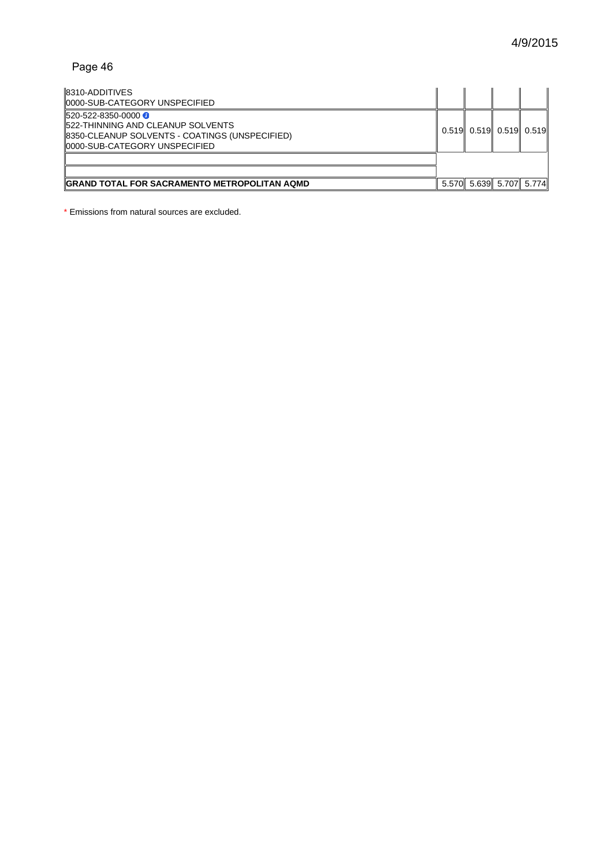| 8310-ADDITIVES<br>0000-SUB-CATEGORY UNSPECIFIED                                                                                                         |                                   |  |
|---------------------------------------------------------------------------------------------------------------------------------------------------------|-----------------------------------|--|
| 520-522-8350-0000 <del>0</del><br>522-THINNING AND CLEANUP SOLVENTS<br>8350-CLEANUP SOLVENTS - COATINGS (UNSPECIFIED)<br>10000-SUB-CATEGORY UNSPECIFIED | $0.519$ 0.519 $0.519$ 0.519 0.519 |  |
| GRAND TOTAL FOR SACRAMENTO METROPOLITAN AQMD                                                                                                            | 5.570 5.639 5.707 5.774           |  |

\* Emissions from natural sources are excluded.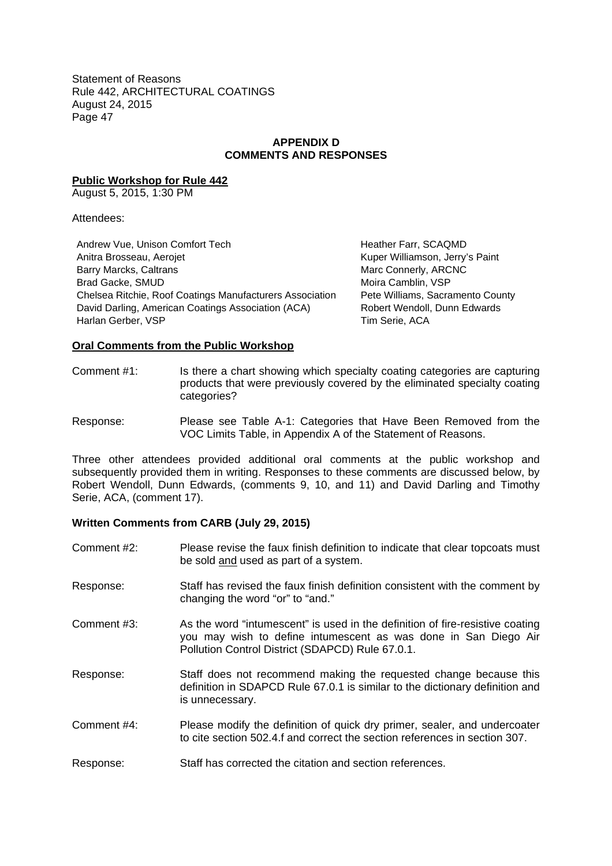# **APPENDIX D COMMENTS AND RESPONSES**

**Public Workshop for Rule 442**

August 5, 2015, 1:30 PM

Attendees:

Andrew Vue, Unison Comfort Tech Heather Farr, SCAQMD Anitra Brosseau, Aerojet **Kuper Kuper Williamson, Jerry's Paint** Barry Marcks, Caltrans Marchines (State of Marc Connerly, ARCNC Brad Gacke, SMUD **Brad Gacke, SMUD Moira Camblin, VSP** Chelsea Ritchie, Roof Coatings Manufacturers Association Pete Williams, Sacramento County David Darling, American Coatings Association (ACA) Robert Wendoll, Dunn Edwards Harlan Gerber, VSP Tim Serie, ACA

#### **Oral Comments from the Public Workshop**

Comment #1: Is there a chart showing which specialty coating categories are capturing products that were previously covered by the eliminated specialty coating categories?

Response: Please see Table A-1: Categories that Have Been Removed from the VOC Limits Table, in Appendix A of the Statement of Reasons.

Three other attendees provided additional oral comments at the public workshop and subsequently provided them in writing. Responses to these comments are discussed below, by Robert Wendoll, Dunn Edwards, (comments 9, 10, and 11) and David Darling and Timothy Serie, ACA, (comment 17).

# **Written Comments from CARB (July 29, 2015)**

- Comment #2: Please revise the faux finish definition to indicate that clear topcoats must be sold and used as part of a system.
- Response: Staff has revised the faux finish definition consistent with the comment by changing the word "or" to "and."
- Comment #3: As the word "intumescent" is used in the definition of fire-resistive coating you may wish to define intumescent as was done in San Diego Air Pollution Control District (SDAPCD) Rule 67.0.1.
- Response: Staff does not recommend making the requested change because this definition in SDAPCD Rule 67.0.1 is similar to the dictionary definition and is unnecessary.
- Comment #4: Please modify the definition of quick dry primer, sealer, and undercoater to cite section 502.4.f and correct the section references in section 307.
- Response: Staff has corrected the citation and section references.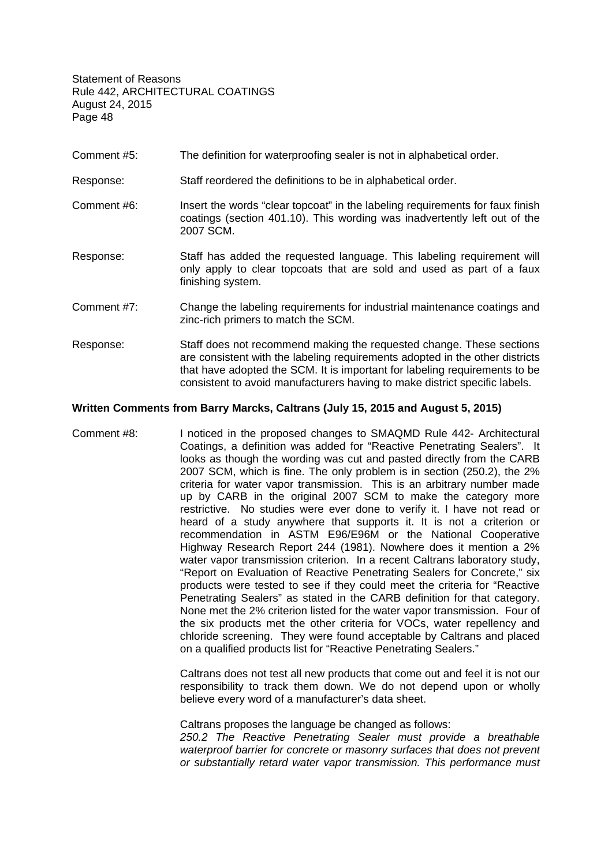- Comment #5: The definition for waterproofing sealer is not in alphabetical order.
- Response: Staff reordered the definitions to be in alphabetical order.
- Comment #6: Insert the words "clear topcoat" in the labeling requirements for faux finish coatings (section 401.10). This wording was inadvertently left out of the 2007 SCM.
- Response: Staff has added the requested language. This labeling requirement will only apply to clear topcoats that are sold and used as part of a faux finishing system.
- Comment #7: Change the labeling requirements for industrial maintenance coatings and zinc-rich primers to match the SCM.
- Response: Staff does not recommend making the requested change. These sections are consistent with the labeling requirements adopted in the other districts that have adopted the SCM. It is important for labeling requirements to be consistent to avoid manufacturers having to make district specific labels.

#### **Written Comments from Barry Marcks, Caltrans (July 15, 2015 and August 5, 2015)**

Comment #8: I noticed in the proposed changes to SMAQMD Rule 442- Architectural Coatings, a definition was added for "Reactive Penetrating Sealers". It looks as though the wording was cut and pasted directly from the CARB 2007 SCM, which is fine. The only problem is in section (250.2), the 2% criteria for water vapor transmission. This is an arbitrary number made up by CARB in the original 2007 SCM to make the category more restrictive. No studies were ever done to verify it. I have not read or heard of a study anywhere that supports it. It is not a criterion or recommendation in ASTM E96/E96M or the National Cooperative Highway Research Report 244 (1981). Nowhere does it mention a 2% water vapor transmission criterion. In a recent Caltrans laboratory study, "Report on Evaluation of Reactive Penetrating Sealers for Concrete," six products were tested to see if they could meet the criteria for "Reactive Penetrating Sealers" as stated in the CARB definition for that category. None met the 2% criterion listed for the water vapor transmission. Four of the six products met the other criteria for VOCs, water repellency and chloride screening. They were found acceptable by Caltrans and placed on a qualified products list for "Reactive Penetrating Sealers."

> Caltrans does not test all new products that come out and feel it is not our responsibility to track them down. We do not depend upon or wholly believe every word of a manufacturer's data sheet.

> Caltrans proposes the language be changed as follows: *250.2 The Reactive Penetrating Sealer must provide a breathable waterproof barrier for concrete or masonry surfaces that does not prevent or substantially retard water vapor transmission. This performance must*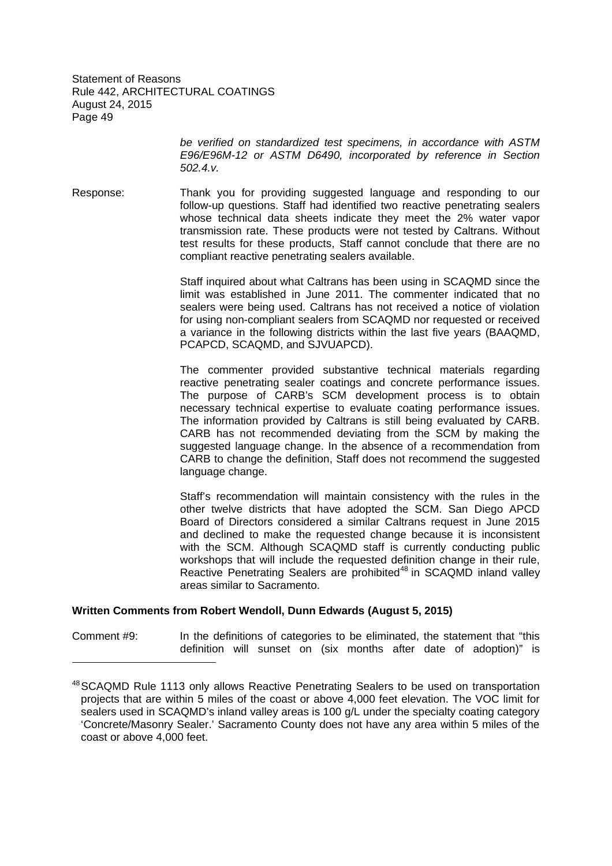> *be verified on standardized test specimens, in accordance with ASTM E96/E96M-12 or ASTM D6490, incorporated by reference in Section 502.4.v.*

Response: Thank you for providing suggested language and responding to our follow-up questions. Staff had identified two reactive penetrating sealers whose technical data sheets indicate they meet the 2% water vapor transmission rate. These products were not tested by Caltrans. Without test results for these products, Staff cannot conclude that there are no compliant reactive penetrating sealers available.

> Staff inquired about what Caltrans has been using in SCAQMD since the limit was established in June 2011. The commenter indicated that no sealers were being used. Caltrans has not received a notice of violation for using non-compliant sealers from SCAQMD nor requested or received a variance in the following districts within the last five years (BAAQMD, PCAPCD, SCAQMD, and SJVUAPCD).

> The commenter provided substantive technical materials regarding reactive penetrating sealer coatings and concrete performance issues. The purpose of CARB's SCM development process is to obtain necessary technical expertise to evaluate coating performance issues. The information provided by Caltrans is still being evaluated by CARB. CARB has not recommended deviating from the SCM by making the suggested language change. In the absence of a recommendation from CARB to change the definition, Staff does not recommend the suggested language change.

> Staff's recommendation will maintain consistency with the rules in the other twelve districts that have adopted the SCM. San Diego APCD Board of Directors considered a similar Caltrans request in June 2015 and declined to make the requested change because it is inconsistent with the SCM. Although SCAQMD staff is currently conducting public workshops that will include the requested definition change in their rule, Reactive Penetrating Sealers are prohibited<sup>48</sup> in SCAQMD inland valley areas similar to Sacramento.

# **Written Comments from Robert Wendoll, Dunn Edwards (August 5, 2015)**

Comment #9: In the definitions of categories to be eliminated, the statement that "this definition will sunset on (six months after date of adoption)" is

<sup>&</sup>lt;sup>48</sup>SCAQMD Rule 1113 only allows Reactive Penetrating Sealers to be used on transportation projects that are within 5 miles of the coast or above 4,000 feet elevation. The VOC limit for sealers used in SCAQMD's inland valley areas is 100 g/L under the specialty coating category 'Concrete/Masonry Sealer.' Sacramento County does not have any area within 5 miles of the coast or above 4,000 feet.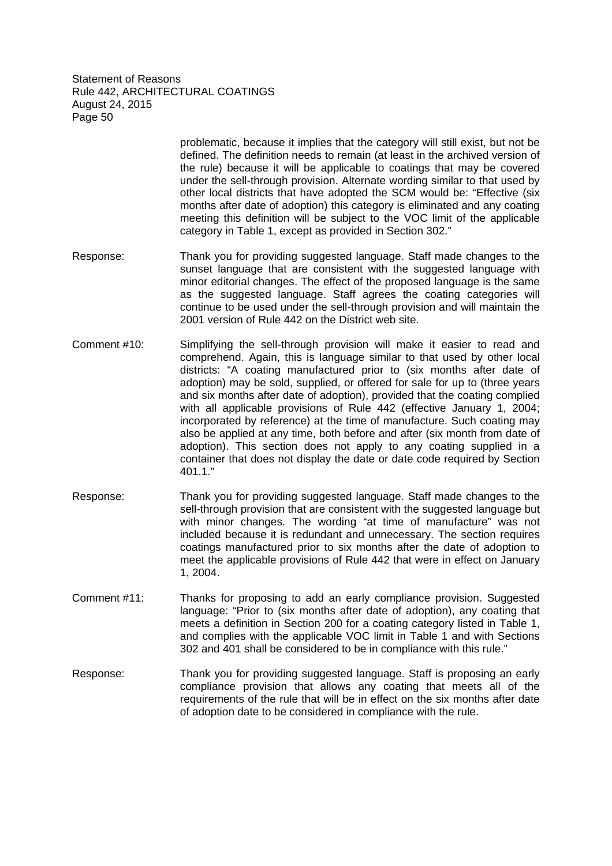> problematic, because it implies that the category will still exist, but not be defined. The definition needs to remain (at least in the archived version of the rule) because it will be applicable to coatings that may be covered under the sell-through provision. Alternate wording similar to that used by other local districts that have adopted the SCM would be: "Effective (six months after date of adoption) this category is eliminated and any coating meeting this definition will be subject to the VOC limit of the applicable category in Table 1, except as provided in Section 302."

- Response: Thank you for providing suggested language. Staff made changes to the sunset language that are consistent with the suggested language with minor editorial changes. The effect of the proposed language is the same as the suggested language. Staff agrees the coating categories will continue to be used under the sell-through provision and will maintain the 2001 version of Rule 442 on the District web site.
- Comment #10: Simplifying the sell-through provision will make it easier to read and comprehend. Again, this is language similar to that used by other local districts: "A coating manufactured prior to (six months after date of adoption) may be sold, supplied, or offered for sale for up to (three years and six months after date of adoption), provided that the coating complied with all applicable provisions of Rule 442 (effective January 1, 2004; incorporated by reference) at the time of manufacture. Such coating may also be applied at any time, both before and after (six month from date of adoption). This section does not apply to any coating supplied in a container that does not display the date or date code required by Section 401.1."
- Response: Thank you for providing suggested language. Staff made changes to the sell-through provision that are consistent with the suggested language but with minor changes. The wording "at time of manufacture" was not included because it is redundant and unnecessary. The section requires coatings manufactured prior to six months after the date of adoption to meet the applicable provisions of Rule 442 that were in effect on January 1, 2004.
- Comment #11: Thanks for proposing to add an early compliance provision. Suggested language: "Prior to (six months after date of adoption), any coating that meets a definition in Section 200 for a coating category listed in Table 1, and complies with the applicable VOC limit in Table 1 and with Sections 302 and 401 shall be considered to be in compliance with this rule."
- Response: Thank you for providing suggested language. Staff is proposing an early compliance provision that allows any coating that meets all of the requirements of the rule that will be in effect on the six months after date of adoption date to be considered in compliance with the rule.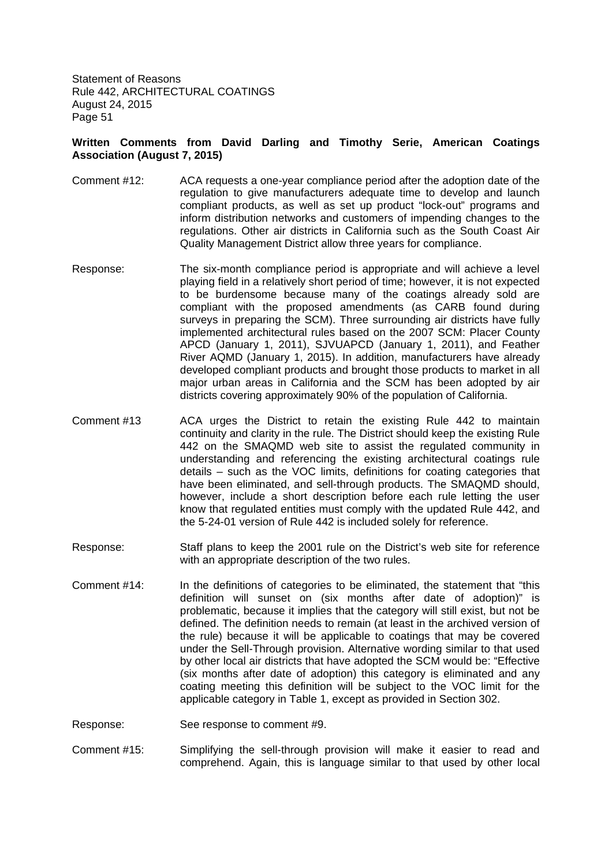# **Written Comments from David Darling and Timothy Serie, American Coatings Association (August 7, 2015)**

- Comment #12: ACA requests a one-year compliance period after the adoption date of the regulation to give manufacturers adequate time to develop and launch compliant products, as well as set up product "lock-out" programs and inform distribution networks and customers of impending changes to the regulations. Other air districts in California such as the South Coast Air Quality Management District allow three years for compliance.
- Response: The six-month compliance period is appropriate and will achieve a level playing field in a relatively short period of time; however, it is not expected to be burdensome because many of the coatings already sold are compliant with the proposed amendments (as CARB found during surveys in preparing the SCM). Three surrounding air districts have fully implemented architectural rules based on the 2007 SCM: Placer County APCD (January 1, 2011), SJVUAPCD (January 1, 2011), and Feather River AQMD (January 1, 2015). In addition, manufacturers have already developed compliant products and brought those products to market in all major urban areas in California and the SCM has been adopted by air districts covering approximately 90% of the population of California.
- Comment #13 ACA urges the District to retain the existing Rule 442 to maintain continuity and clarity in the rule. The District should keep the existing Rule 442 on the SMAQMD web site to assist the regulated community in understanding and referencing the existing architectural coatings rule details – such as the VOC limits, definitions for coating categories that have been eliminated, and sell-through products. The SMAQMD should, however, include a short description before each rule letting the user know that regulated entities must comply with the updated Rule 442, and the 5-24-01 version of Rule 442 is included solely for reference.
- Response: Staff plans to keep the 2001 rule on the District's web site for reference with an appropriate description of the two rules.
- Comment #14: In the definitions of categories to be eliminated, the statement that "this definition will sunset on (six months after date of adoption)" is problematic, because it implies that the category will still exist, but not be defined. The definition needs to remain (at least in the archived version of the rule) because it will be applicable to coatings that may be covered under the Sell-Through provision. Alternative wording similar to that used by other local air districts that have adopted the SCM would be: "Effective (six months after date of adoption) this category is eliminated and any coating meeting this definition will be subject to the VOC limit for the applicable category in Table 1, except as provided in Section 302.
- Response: See response to comment #9.
- Comment #15: Simplifying the sell-through provision will make it easier to read and comprehend. Again, this is language similar to that used by other local